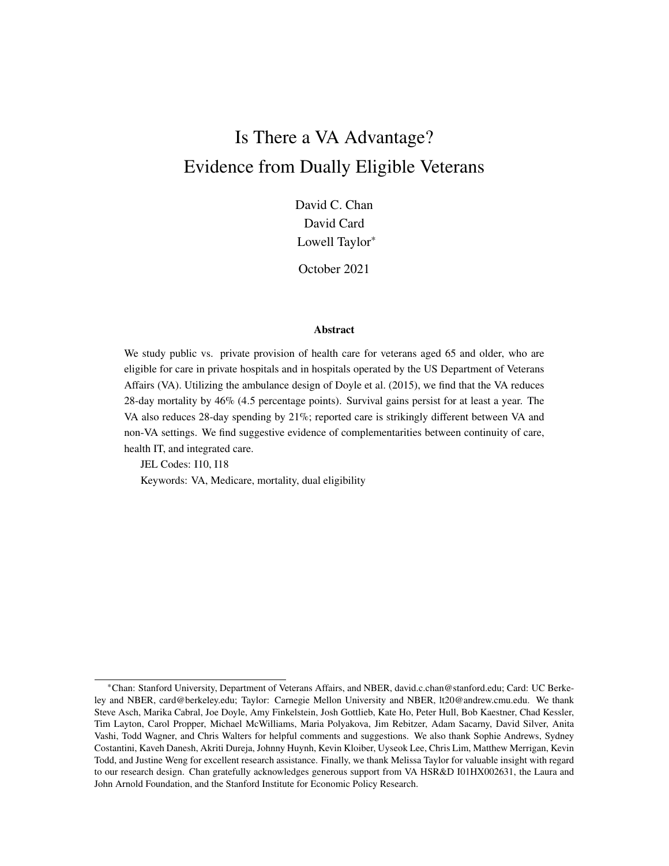# Is There a VA Advantage? Evidence from Dually Eligible Veterans

David C. Chan David Card Lowell Taylor\*

October 2021

#### Abstract

We study public vs. private provision of health care for veterans aged 65 and older, who are eligible for care in private hospitals and in hospitals operated by the US Department of Veterans Affairs (VA). Utilizing the ambulance design of Doyle et al. (2015), we find that the VA reduces 28-day mortality by 46% (4.5 percentage points). Survival gains persist for at least a year. The VA also reduces 28-day spending by 21%; reported care is strikingly different between VA and non-VA settings. We find suggestive evidence of complementarities between continuity of care, health IT, and integrated care.

JEL Codes: I10, I18

Keywords: VA, Medicare, mortality, dual eligibility

<sup>\*</sup>Chan: Stanford University, Department of Veterans Affairs, and NBER, david.c.chan@stanford.edu; Card: UC Berkeley and NBER, card@berkeley.edu; Taylor: Carnegie Mellon University and NBER, lt20@andrew.cmu.edu. We thank Steve Asch, Marika Cabral, Joe Doyle, Amy Finkelstein, Josh Gottlieb, Kate Ho, Peter Hull, Bob Kaestner, Chad Kessler, Tim Layton, Carol Propper, Michael McWilliams, Maria Polyakova, Jim Rebitzer, Adam Sacarny, David Silver, Anita Vashi, Todd Wagner, and Chris Walters for helpful comments and suggestions. We also thank Sophie Andrews, Sydney Costantini, Kaveh Danesh, Akriti Dureja, Johnny Huynh, Kevin Kloiber, Uyseok Lee, Chris Lim, Matthew Merrigan, Kevin Todd, and Justine Weng for excellent research assistance. Finally, we thank Melissa Taylor for valuable insight with regard to our research design. Chan gratefully acknowledges generous support from VA HSR&D I01HX002631, the Laura and John Arnold Foundation, and the Stanford Institute for Economic Policy Research.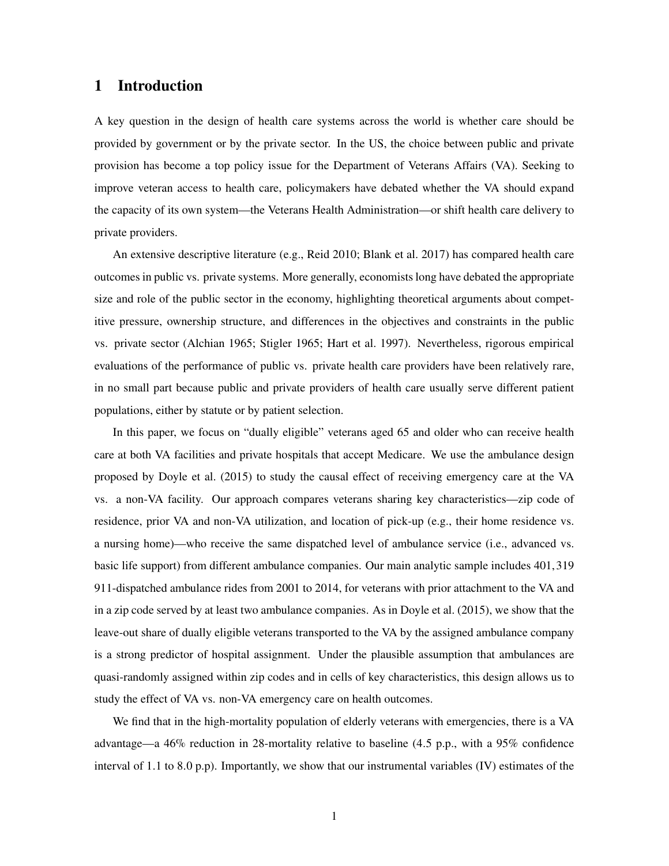# 1 Introduction

A key question in the design of health care systems across the world is whether care should be provided by government or by the private sector. In the US, the choice between public and private provision has become a top policy issue for the Department of Veterans Affairs (VA). Seeking to improve veteran access to health care, policymakers have debated whether the VA should expand the capacity of its own system—the Veterans Health Administration—or shift health care delivery to private providers.

An extensive descriptive literature (e.g., Reid 2010; Blank et al. 2017) has compared health care outcomes in public vs. private systems. More generally, economists long have debated the appropriate size and role of the public sector in the economy, highlighting theoretical arguments about competitive pressure, ownership structure, and differences in the objectives and constraints in the public vs. private sector (Alchian 1965; Stigler 1965; Hart et al. 1997). Nevertheless, rigorous empirical evaluations of the performance of public vs. private health care providers have been relatively rare, in no small part because public and private providers of health care usually serve different patient populations, either by statute or by patient selection.

In this paper, we focus on "dually eligible" veterans aged 65 and older who can receive health care at both VA facilities and private hospitals that accept Medicare. We use the ambulance design proposed by Doyle et al. (2015) to study the causal effect of receiving emergency care at the VA vs. a non-VA facility. Our approach compares veterans sharing key characteristics—zip code of residence, prior VA and non-VA utilization, and location of pick-up (e.g., their home residence vs. a nursing home)—who receive the same dispatched level of ambulance service (i.e., advanced vs. basic life support) from different ambulance companies. Our main analytic sample includes 401,319 911-dispatched ambulance rides from 2001 to 2014, for veterans with prior attachment to the VA and in a zip code served by at least two ambulance companies. As in Doyle et al. (2015), we show that the leave-out share of dually eligible veterans transported to the VA by the assigned ambulance company is a strong predictor of hospital assignment. Under the plausible assumption that ambulances are quasi-randomly assigned within zip codes and in cells of key characteristics, this design allows us to study the effect of VA vs. non-VA emergency care on health outcomes.

We find that in the high-mortality population of elderly veterans with emergencies, there is a VA advantage—a 46% reduction in 28-mortality relative to baseline (4.5 p.p., with a 95% confidence interval of 1.1 to 8.0 p.p). Importantly, we show that our instrumental variables (IV) estimates of the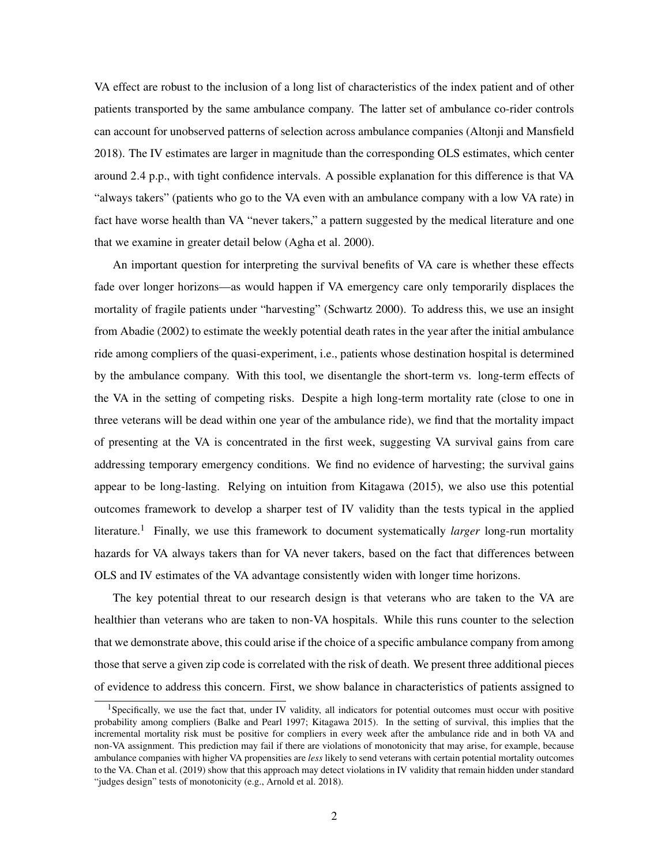VA effect are robust to the inclusion of a long list of characteristics of the index patient and of other patients transported by the same ambulance company. The latter set of ambulance co-rider controls can account for unobserved patterns of selection across ambulance companies (Altonji and Mansfield 2018). The IV estimates are larger in magnitude than the corresponding OLS estimates, which center around 2.4 p.p., with tight confidence intervals. A possible explanation for this difference is that VA "always takers" (patients who go to the VA even with an ambulance company with a low VA rate) in fact have worse health than VA "never takers," a pattern suggested by the medical literature and one that we examine in greater detail below (Agha et al. 2000).

An important question for interpreting the survival benefits of VA care is whether these effects fade over longer horizons—as would happen if VA emergency care only temporarily displaces the mortality of fragile patients under "harvesting" (Schwartz 2000). To address this, we use an insight from Abadie (2002) to estimate the weekly potential death rates in the year after the initial ambulance ride among compliers of the quasi-experiment, i.e., patients whose destination hospital is determined by the ambulance company. With this tool, we disentangle the short-term vs. long-term effects of the VA in the setting of competing risks. Despite a high long-term mortality rate (close to one in three veterans will be dead within one year of the ambulance ride), we find that the mortality impact of presenting at the VA is concentrated in the first week, suggesting VA survival gains from care addressing temporary emergency conditions. We find no evidence of harvesting; the survival gains appear to be long-lasting. Relying on intuition from Kitagawa (2015), we also use this potential outcomes framework to develop a sharper test of IV validity than the tests typical in the applied literature.<sup>1</sup> Finally, we use this framework to document systematically *larger* long-run mortality hazards for VA always takers than for VA never takers, based on the fact that differences between OLS and IV estimates of the VA advantage consistently widen with longer time horizons.

The key potential threat to our research design is that veterans who are taken to the VA are healthier than veterans who are taken to non-VA hospitals. While this runs counter to the selection that we demonstrate above, this could arise if the choice of a specific ambulance company from among those that serve a given zip code is correlated with the risk of death. We present three additional pieces of evidence to address this concern. First, we show balance in characteristics of patients assigned to

<sup>&</sup>lt;sup>1</sup>Specifically, we use the fact that, under IV validity, all indicators for potential outcomes must occur with positive probability among compliers (Balke and Pearl 1997; Kitagawa 2015). In the setting of survival, this implies that the incremental mortality risk must be positive for compliers in every week after the ambulance ride and in both VA and non-VA assignment. This prediction may fail if there are violations of monotonicity that may arise, for example, because ambulance companies with higher VA propensities are *less* likely to send veterans with certain potential mortality outcomes to the VA. Chan et al. (2019) show that this approach may detect violations in IV validity that remain hidden under standard "judges design" tests of monotonicity (e.g., Arnold et al. 2018).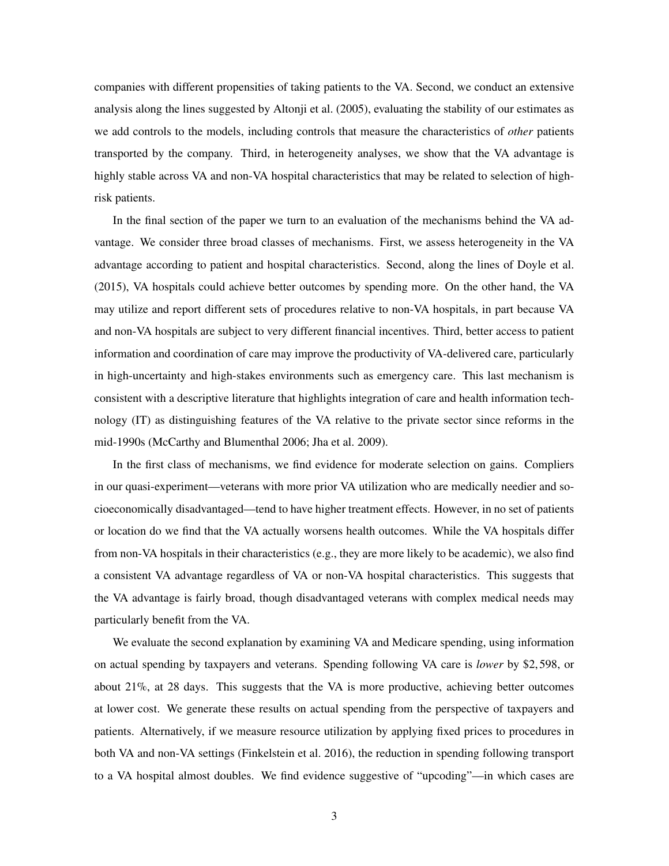companies with different propensities of taking patients to the VA. Second, we conduct an extensive analysis along the lines suggested by Altonji et al. (2005), evaluating the stability of our estimates as we add controls to the models, including controls that measure the characteristics of *other* patients transported by the company. Third, in heterogeneity analyses, we show that the VA advantage is highly stable across VA and non-VA hospital characteristics that may be related to selection of highrisk patients.

In the final section of the paper we turn to an evaluation of the mechanisms behind the VA advantage. We consider three broad classes of mechanisms. First, we assess heterogeneity in the VA advantage according to patient and hospital characteristics. Second, along the lines of Doyle et al. (2015), VA hospitals could achieve better outcomes by spending more. On the other hand, the VA may utilize and report different sets of procedures relative to non-VA hospitals, in part because VA and non-VA hospitals are subject to very different financial incentives. Third, better access to patient information and coordination of care may improve the productivity of VA-delivered care, particularly in high-uncertainty and high-stakes environments such as emergency care. This last mechanism is consistent with a descriptive literature that highlights integration of care and health information technology (IT) as distinguishing features of the VA relative to the private sector since reforms in the mid-1990s (McCarthy and Blumenthal 2006; Jha et al. 2009).

In the first class of mechanisms, we find evidence for moderate selection on gains. Compliers in our quasi-experiment—veterans with more prior VA utilization who are medically needier and socioeconomically disadvantaged—tend to have higher treatment effects. However, in no set of patients or location do we find that the VA actually worsens health outcomes. While the VA hospitals differ from non-VA hospitals in their characteristics (e.g., they are more likely to be academic), we also find a consistent VA advantage regardless of VA or non-VA hospital characteristics. This suggests that the VA advantage is fairly broad, though disadvantaged veterans with complex medical needs may particularly benefit from the VA.

We evaluate the second explanation by examining VA and Medicare spending, using information on actual spending by taxpayers and veterans. Spending following VA care is *lower* by \$2,598, or about 21%, at 28 days. This suggests that the VA is more productive, achieving better outcomes at lower cost. We generate these results on actual spending from the perspective of taxpayers and patients. Alternatively, if we measure resource utilization by applying fixed prices to procedures in both VA and non-VA settings (Finkelstein et al. 2016), the reduction in spending following transport to a VA hospital almost doubles. We find evidence suggestive of "upcoding"—in which cases are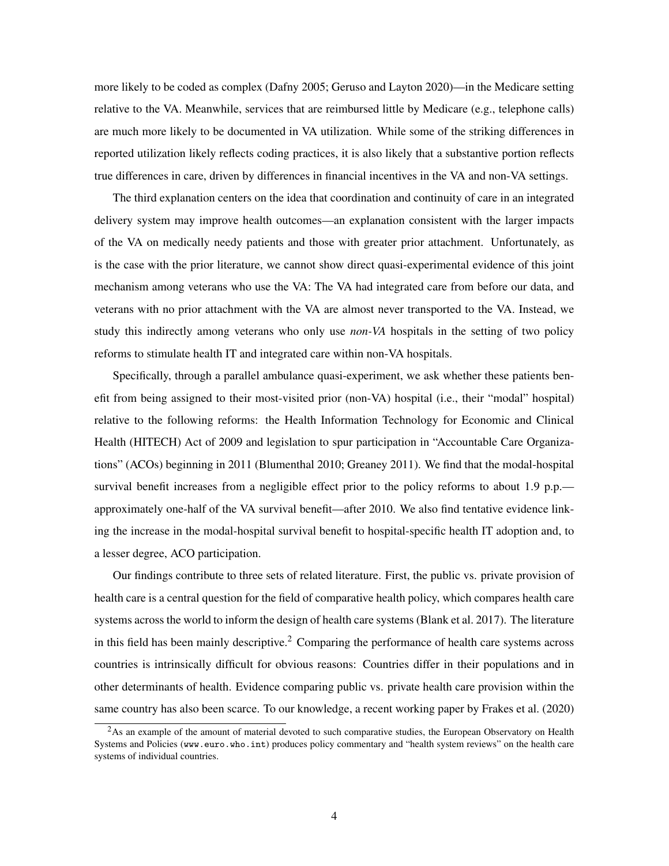more likely to be coded as complex (Dafny 2005; Geruso and Layton 2020)—in the Medicare setting relative to the VA. Meanwhile, services that are reimbursed little by Medicare (e.g., telephone calls) are much more likely to be documented in VA utilization. While some of the striking differences in reported utilization likely reflects coding practices, it is also likely that a substantive portion reflects true differences in care, driven by differences in financial incentives in the VA and non-VA settings.

The third explanation centers on the idea that coordination and continuity of care in an integrated delivery system may improve health outcomes—an explanation consistent with the larger impacts of the VA on medically needy patients and those with greater prior attachment. Unfortunately, as is the case with the prior literature, we cannot show direct quasi-experimental evidence of this joint mechanism among veterans who use the VA: The VA had integrated care from before our data, and veterans with no prior attachment with the VA are almost never transported to the VA. Instead, we study this indirectly among veterans who only use *non-VA* hospitals in the setting of two policy reforms to stimulate health IT and integrated care within non-VA hospitals.

Specifically, through a parallel ambulance quasi-experiment, we ask whether these patients benefit from being assigned to their most-visited prior (non-VA) hospital (i.e., their "modal" hospital) relative to the following reforms: the Health Information Technology for Economic and Clinical Health (HITECH) Act of 2009 and legislation to spur participation in "Accountable Care Organizations" (ACOs) beginning in 2011 (Blumenthal 2010; Greaney 2011). We find that the modal-hospital survival benefit increases from a negligible effect prior to the policy reforms to about 1.9 p.p. approximately one-half of the VA survival benefit—after 2010. We also find tentative evidence linking the increase in the modal-hospital survival benefit to hospital-specific health IT adoption and, to a lesser degree, ACO participation.

Our findings contribute to three sets of related literature. First, the public vs. private provision of health care is a central question for the field of comparative health policy, which compares health care systems across the world to inform the design of health care systems (Blank et al. 2017). The literature in this field has been mainly descriptive.<sup>2</sup> Comparing the performance of health care systems across countries is intrinsically difficult for obvious reasons: Countries differ in their populations and in other determinants of health. Evidence comparing public vs. private health care provision within the same country has also been scarce. To our knowledge, a recent working paper by Frakes et al. (2020)

<sup>&</sup>lt;sup>2</sup>As an example of the amount of material devoted to such comparative studies, the European Observatory on Health Systems and Policies (www.euro.who.int) produces policy commentary and "health system reviews" on the health care systems of individual countries.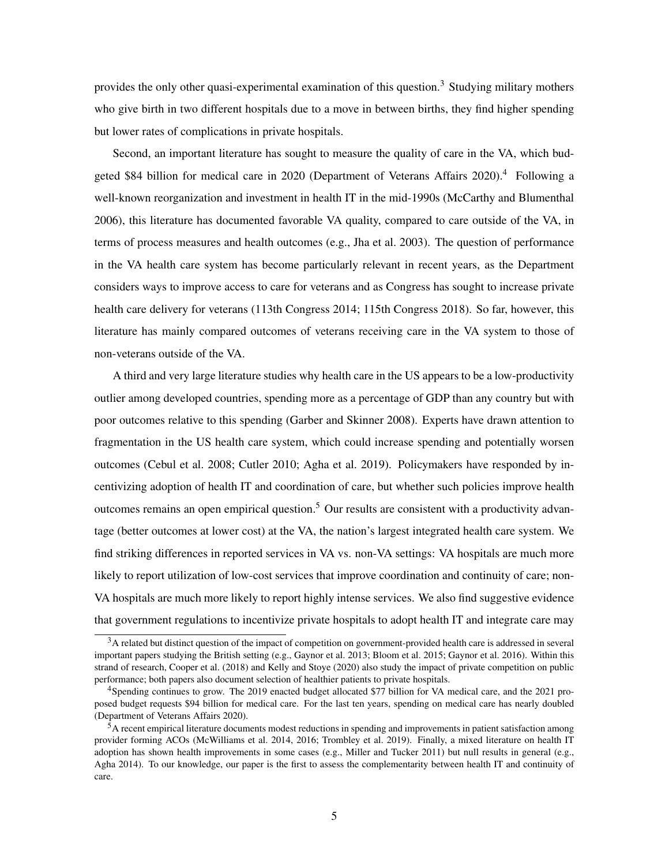provides the only other quasi-experimental examination of this question.<sup>3</sup> Studying military mothers who give birth in two different hospitals due to a move in between births, they find higher spending but lower rates of complications in private hospitals.

Second, an important literature has sought to measure the quality of care in the VA, which budgeted \$84 billion for medical care in 2020 (Department of Veterans Affairs 2020).<sup>4</sup> Following a well-known reorganization and investment in health IT in the mid-1990s (McCarthy and Blumenthal 2006), this literature has documented favorable VA quality, compared to care outside of the VA, in terms of process measures and health outcomes (e.g., Jha et al. 2003). The question of performance in the VA health care system has become particularly relevant in recent years, as the Department considers ways to improve access to care for veterans and as Congress has sought to increase private health care delivery for veterans (113th Congress 2014; 115th Congress 2018). So far, however, this literature has mainly compared outcomes of veterans receiving care in the VA system to those of non-veterans outside of the VA.

A third and very large literature studies why health care in the US appears to be a low-productivity outlier among developed countries, spending more as a percentage of GDP than any country but with poor outcomes relative to this spending (Garber and Skinner 2008). Experts have drawn attention to fragmentation in the US health care system, which could increase spending and potentially worsen outcomes (Cebul et al. 2008; Cutler 2010; Agha et al. 2019). Policymakers have responded by incentivizing adoption of health IT and coordination of care, but whether such policies improve health outcomes remains an open empirical question.<sup>5</sup> Our results are consistent with a productivity advantage (better outcomes at lower cost) at the VA, the nation's largest integrated health care system. We find striking differences in reported services in VA vs. non-VA settings: VA hospitals are much more likely to report utilization of low-cost services that improve coordination and continuity of care; non-VA hospitals are much more likely to report highly intense services. We also find suggestive evidence that government regulations to incentivize private hospitals to adopt health IT and integrate care may

 $3A$  related but distinct question of the impact of competition on government-provided health care is addressed in several important papers studying the British setting (e.g., Gaynor et al. 2013; Bloom et al. 2015; Gaynor et al. 2016). Within this strand of research, Cooper et al. (2018) and Kelly and Stoye (2020) also study the impact of private competition on public performance; both papers also document selection of healthier patients to private hospitals.

<sup>4</sup>Spending continues to grow. The 2019 enacted budget allocated \$77 billion for VA medical care, and the 2021 proposed budget requests \$94 billion for medical care. For the last ten years, spending on medical care has nearly doubled (Department of Veterans Affairs 2020).

<sup>5</sup>A recent empirical literature documents modest reductions in spending and improvements in patient satisfaction among provider forming ACOs (McWilliams et al. 2014, 2016; Trombley et al. 2019). Finally, a mixed literature on health IT adoption has shown health improvements in some cases (e.g., Miller and Tucker 2011) but null results in general (e.g., Agha 2014). To our knowledge, our paper is the first to assess the complementarity between health IT and continuity of care.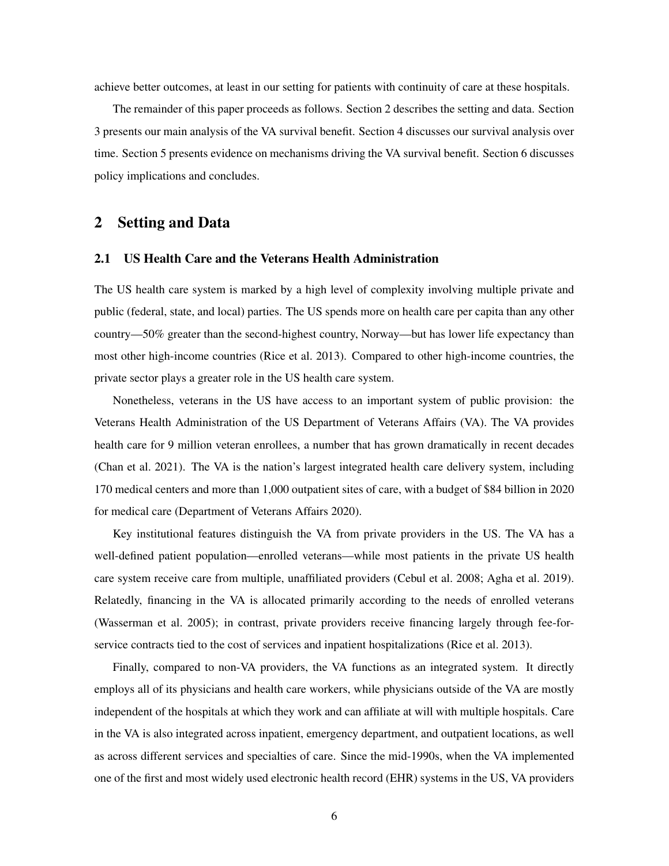achieve better outcomes, at least in our setting for patients with continuity of care at these hospitals.

The remainder of this paper proceeds as follows. Section 2 describes the setting and data. Section 3 presents our main analysis of the VA survival benefit. Section 4 discusses our survival analysis over time. Section 5 presents evidence on mechanisms driving the VA survival benefit. Section 6 discusses policy implications and concludes.

# 2 Setting and Data

#### 2.1 US Health Care and the Veterans Health Administration

The US health care system is marked by a high level of complexity involving multiple private and public (federal, state, and local) parties. The US spends more on health care per capita than any other country—50% greater than the second-highest country, Norway—but has lower life expectancy than most other high-income countries (Rice et al. 2013). Compared to other high-income countries, the private sector plays a greater role in the US health care system.

Nonetheless, veterans in the US have access to an important system of public provision: the Veterans Health Administration of the US Department of Veterans Affairs (VA). The VA provides health care for 9 million veteran enrollees, a number that has grown dramatically in recent decades (Chan et al. 2021). The VA is the nation's largest integrated health care delivery system, including 170 medical centers and more than 1,000 outpatient sites of care, with a budget of \$84 billion in 2020 for medical care (Department of Veterans Affairs 2020).

Key institutional features distinguish the VA from private providers in the US. The VA has a well-defined patient population—enrolled veterans—while most patients in the private US health care system receive care from multiple, unaffiliated providers (Cebul et al. 2008; Agha et al. 2019). Relatedly, financing in the VA is allocated primarily according to the needs of enrolled veterans (Wasserman et al. 2005); in contrast, private providers receive financing largely through fee-forservice contracts tied to the cost of services and inpatient hospitalizations (Rice et al. 2013).

Finally, compared to non-VA providers, the VA functions as an integrated system. It directly employs all of its physicians and health care workers, while physicians outside of the VA are mostly independent of the hospitals at which they work and can affiliate at will with multiple hospitals. Care in the VA is also integrated across inpatient, emergency department, and outpatient locations, as well as across different services and specialties of care. Since the mid-1990s, when the VA implemented one of the first and most widely used electronic health record (EHR) systems in the US, VA providers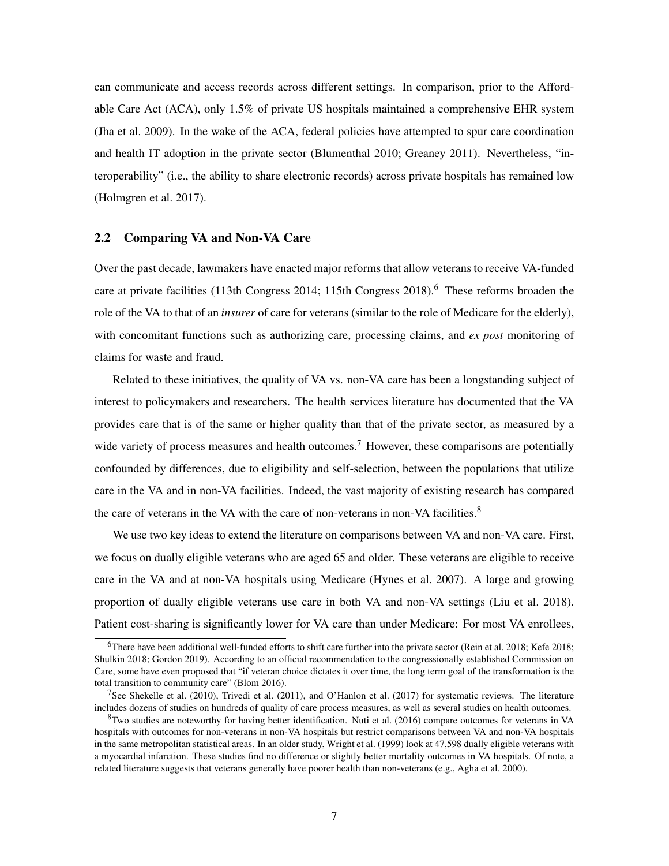can communicate and access records across different settings. In comparison, prior to the Affordable Care Act (ACA), only 1.5% of private US hospitals maintained a comprehensive EHR system (Jha et al. 2009). In the wake of the ACA, federal policies have attempted to spur care coordination and health IT adoption in the private sector (Blumenthal 2010; Greaney 2011). Nevertheless, "interoperability" (i.e., the ability to share electronic records) across private hospitals has remained low (Holmgren et al. 2017).

#### 2.2 Comparing VA and Non-VA Care

Over the past decade, lawmakers have enacted major reforms that allow veterans to receive VA-funded care at private facilities (113th Congress 2014; 115th Congress 2018).<sup>6</sup> These reforms broaden the role of the VA to that of an *insurer* of care for veterans (similar to the role of Medicare for the elderly), with concomitant functions such as authorizing care, processing claims, and *ex post* monitoring of claims for waste and fraud.

Related to these initiatives, the quality of VA vs. non-VA care has been a longstanding subject of interest to policymakers and researchers. The health services literature has documented that the VA provides care that is of the same or higher quality than that of the private sector, as measured by a wide variety of process measures and health outcomes.<sup>7</sup> However, these comparisons are potentially confounded by differences, due to eligibility and self-selection, between the populations that utilize care in the VA and in non-VA facilities. Indeed, the vast majority of existing research has compared the care of veterans in the VA with the care of non-veterans in non-VA facilities.<sup>8</sup>

We use two key ideas to extend the literature on comparisons between VA and non-VA care. First, we focus on dually eligible veterans who are aged 65 and older. These veterans are eligible to receive care in the VA and at non-VA hospitals using Medicare (Hynes et al. 2007). A large and growing proportion of dually eligible veterans use care in both VA and non-VA settings (Liu et al. 2018). Patient cost-sharing is significantly lower for VA care than under Medicare: For most VA enrollees,

<sup>&</sup>lt;sup>6</sup>There have been additional well-funded efforts to shift care further into the private sector (Rein et al. 2018; Kefe 2018; Shulkin 2018; Gordon 2019). According to an official recommendation to the congressionally established Commission on Care, some have even proposed that "if veteran choice dictates it over time, the long term goal of the transformation is the total transition to community care" (Blom 2016).

<sup>&</sup>lt;sup>7</sup>See Shekelle et al. (2010), Trivedi et al. (2011), and O'Hanlon et al. (2017) for systematic reviews. The literature includes dozens of studies on hundreds of quality of care process measures, as well as several studies on health outcomes.

<sup>8</sup>Two studies are noteworthy for having better identification. Nuti et al. (2016) compare outcomes for veterans in VA hospitals with outcomes for non-veterans in non-VA hospitals but restrict comparisons between VA and non-VA hospitals in the same metropolitan statistical areas. In an older study, Wright et al. (1999) look at 47,598 dually eligible veterans with a myocardial infarction. These studies find no difference or slightly better mortality outcomes in VA hospitals. Of note, a related literature suggests that veterans generally have poorer health than non-veterans (e.g., Agha et al. 2000).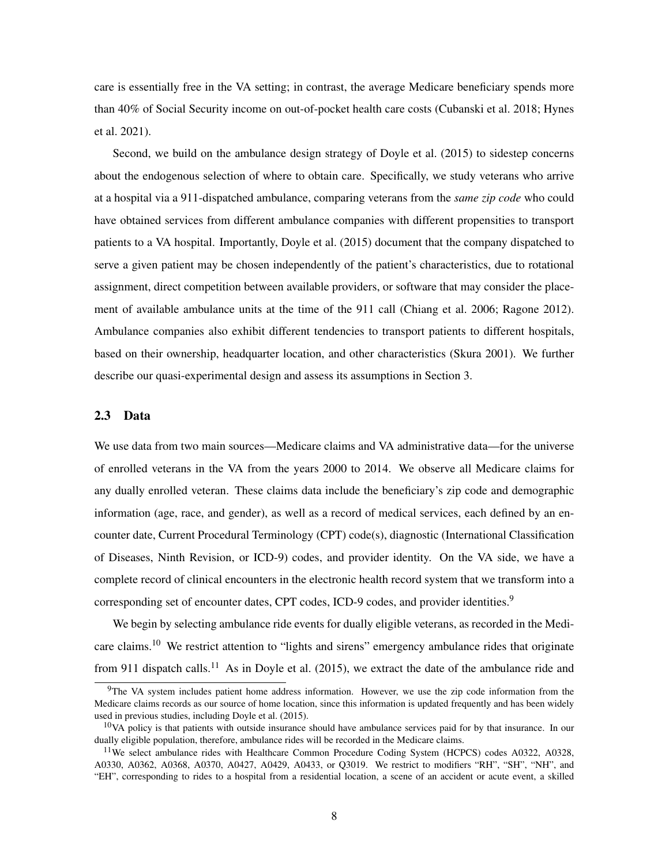care is essentially free in the VA setting; in contrast, the average Medicare beneficiary spends more than 40% of Social Security income on out-of-pocket health care costs (Cubanski et al. 2018; Hynes et al. 2021).

Second, we build on the ambulance design strategy of Doyle et al. (2015) to sidestep concerns about the endogenous selection of where to obtain care. Specifically, we study veterans who arrive at a hospital via a 911-dispatched ambulance, comparing veterans from the *same zip code* who could have obtained services from different ambulance companies with different propensities to transport patients to a VA hospital. Importantly, Doyle et al. (2015) document that the company dispatched to serve a given patient may be chosen independently of the patient's characteristics, due to rotational assignment, direct competition between available providers, or software that may consider the placement of available ambulance units at the time of the 911 call (Chiang et al. 2006; Ragone 2012). Ambulance companies also exhibit different tendencies to transport patients to different hospitals, based on their ownership, headquarter location, and other characteristics (Skura 2001). We further describe our quasi-experimental design and assess its assumptions in Section 3.

## 2.3 Data

We use data from two main sources—Medicare claims and VA administrative data—for the universe of enrolled veterans in the VA from the years 2000 to 2014. We observe all Medicare claims for any dually enrolled veteran. These claims data include the beneficiary's zip code and demographic information (age, race, and gender), as well as a record of medical services, each defined by an encounter date, Current Procedural Terminology (CPT) code(s), diagnostic (International Classification of Diseases, Ninth Revision, or ICD-9) codes, and provider identity. On the VA side, we have a complete record of clinical encounters in the electronic health record system that we transform into a corresponding set of encounter dates, CPT codes, ICD-9 codes, and provider identities.<sup>9</sup>

We begin by selecting ambulance ride events for dually eligible veterans, as recorded in the Medicare claims.<sup>10</sup> We restrict attention to "lights and sirens" emergency ambulance rides that originate from 911 dispatch calls.<sup>11</sup> As in Doyle et al. (2015), we extract the date of the ambulance ride and

<sup>&</sup>lt;sup>9</sup>The VA system includes patient home address information. However, we use the zip code information from the Medicare claims records as our source of home location, since this information is updated frequently and has been widely used in previous studies, including Doyle et al. (2015).

<sup>&</sup>lt;sup>10</sup>VA policy is that patients with outside insurance should have ambulance services paid for by that insurance. In our dually eligible population, therefore, ambulance rides will be recorded in the Medicare claims.

<sup>&</sup>lt;sup>11</sup>We select ambulance rides with Healthcare Common Procedure Coding System (HCPCS) codes A0322, A0328, A0330, A0362, A0368, A0370, A0427, A0429, A0433, or Q3019. We restrict to modifiers "RH", "SH", "NH", and "EH", corresponding to rides to a hospital from a residential location, a scene of an accident or acute event, a skilled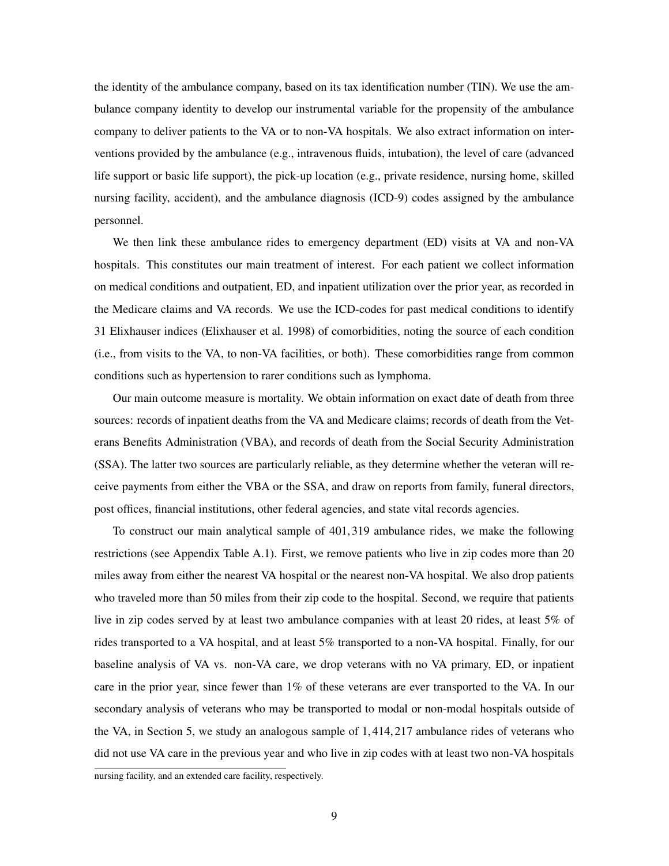the identity of the ambulance company, based on its tax identification number (TIN). We use the ambulance company identity to develop our instrumental variable for the propensity of the ambulance company to deliver patients to the VA or to non-VA hospitals. We also extract information on interventions provided by the ambulance (e.g., intravenous fluids, intubation), the level of care (advanced life support or basic life support), the pick-up location (e.g., private residence, nursing home, skilled nursing facility, accident), and the ambulance diagnosis (ICD-9) codes assigned by the ambulance personnel.

We then link these ambulance rides to emergency department (ED) visits at VA and non-VA hospitals. This constitutes our main treatment of interest. For each patient we collect information on medical conditions and outpatient, ED, and inpatient utilization over the prior year, as recorded in the Medicare claims and VA records. We use the ICD-codes for past medical conditions to identify 31 Elixhauser indices (Elixhauser et al. 1998) of comorbidities, noting the source of each condition (i.e., from visits to the VA, to non-VA facilities, or both). These comorbidities range from common conditions such as hypertension to rarer conditions such as lymphoma.

Our main outcome measure is mortality. We obtain information on exact date of death from three sources: records of inpatient deaths from the VA and Medicare claims; records of death from the Veterans Benefits Administration (VBA), and records of death from the Social Security Administration (SSA). The latter two sources are particularly reliable, as they determine whether the veteran will receive payments from either the VBA or the SSA, and draw on reports from family, funeral directors, post offices, financial institutions, other federal agencies, and state vital records agencies.

To construct our main analytical sample of 401,319 ambulance rides, we make the following restrictions (see Appendix Table A.1). First, we remove patients who live in zip codes more than 20 miles away from either the nearest VA hospital or the nearest non-VA hospital. We also drop patients who traveled more than 50 miles from their zip code to the hospital. Second, we require that patients live in zip codes served by at least two ambulance companies with at least 20 rides, at least 5% of rides transported to a VA hospital, and at least 5% transported to a non-VA hospital. Finally, for our baseline analysis of VA vs. non-VA care, we drop veterans with no VA primary, ED, or inpatient care in the prior year, since fewer than 1% of these veterans are ever transported to the VA. In our secondary analysis of veterans who may be transported to modal or non-modal hospitals outside of the VA, in Section 5, we study an analogous sample of 1,414,217 ambulance rides of veterans who did not use VA care in the previous year and who live in zip codes with at least two non-VA hospitals

nursing facility, and an extended care facility, respectively.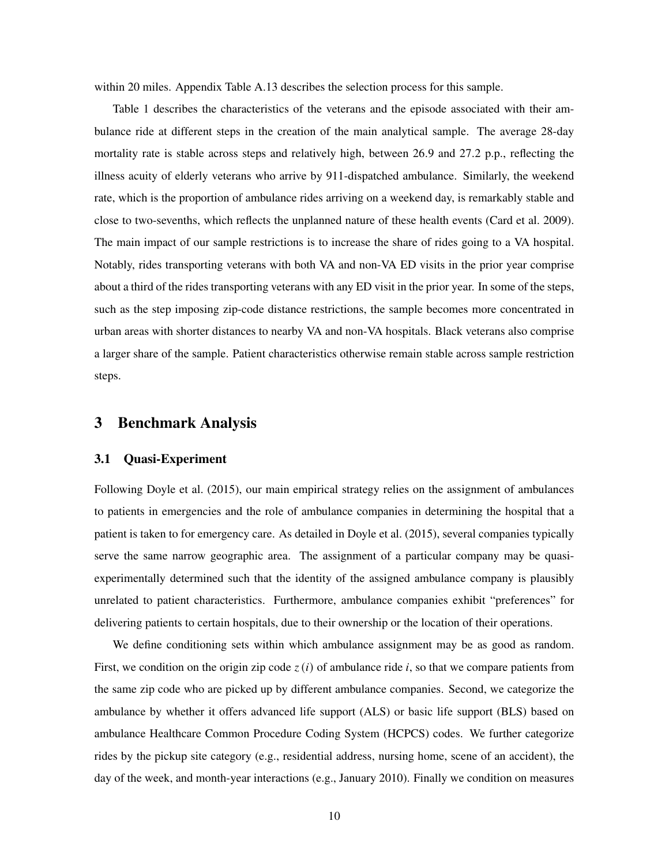within 20 miles. Appendix Table A.13 describes the selection process for this sample.

Table 1 describes the characteristics of the veterans and the episode associated with their ambulance ride at different steps in the creation of the main analytical sample. The average 28-day mortality rate is stable across steps and relatively high, between 26.9 and 27.2 p.p., reflecting the illness acuity of elderly veterans who arrive by 911-dispatched ambulance. Similarly, the weekend rate, which is the proportion of ambulance rides arriving on a weekend day, is remarkably stable and close to two-sevenths, which reflects the unplanned nature of these health events (Card et al. 2009). The main impact of our sample restrictions is to increase the share of rides going to a VA hospital. Notably, rides transporting veterans with both VA and non-VA ED visits in the prior year comprise about a third of the rides transporting veterans with any ED visit in the prior year. In some of the steps, such as the step imposing zip-code distance restrictions, the sample becomes more concentrated in urban areas with shorter distances to nearby VA and non-VA hospitals. Black veterans also comprise a larger share of the sample. Patient characteristics otherwise remain stable across sample restriction steps.

## 3 Benchmark Analysis

#### 3.1 Quasi-Experiment

Following Doyle et al. (2015), our main empirical strategy relies on the assignment of ambulances to patients in emergencies and the role of ambulance companies in determining the hospital that a patient is taken to for emergency care. As detailed in Doyle et al. (2015), several companies typically serve the same narrow geographic area. The assignment of a particular company may be quasiexperimentally determined such that the identity of the assigned ambulance company is plausibly unrelated to patient characteristics. Furthermore, ambulance companies exhibit "preferences" for delivering patients to certain hospitals, due to their ownership or the location of their operations.

We define conditioning sets within which ambulance assignment may be as good as random. First, we condition on the origin zip code  $z(i)$  of ambulance ride i, so that we compare patients from the same zip code who are picked up by different ambulance companies. Second, we categorize the ambulance by whether it offers advanced life support (ALS) or basic life support (BLS) based on ambulance Healthcare Common Procedure Coding System (HCPCS) codes. We further categorize rides by the pickup site category (e.g., residential address, nursing home, scene of an accident), the day of the week, and month-year interactions (e.g., January 2010). Finally we condition on measures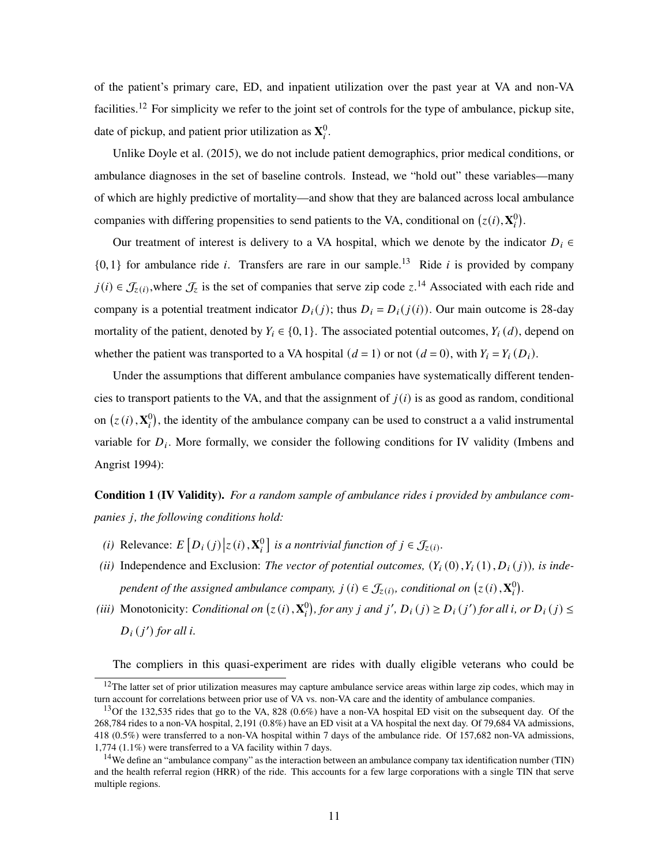of the patient's primary care, ED, and inpatient utilization over the past year at VA and non-VA facilities.<sup>12</sup> For simplicity we refer to the joint set of controls for the type of ambulance, pickup site, date of pickup, and patient prior utilization as  $\mathbf{X}_i^0$ .

Unlike Doyle et al. (2015), we do not include patient demographics, prior medical conditions, or ambulance diagnoses in the set of baseline controls. Instead, we "hold out" these variables—many of which are highly predictive of mortality—and show that they are balanced across local ambulance companies with differing propensities to send patients to the VA, conditional on  $(z(i), \mathbf{X}_i^0)$ .

Our treatment of interest is delivery to a VA hospital, which we denote by the indicator  $D_i \in$  $\{0,1\}$  for ambulance ride *i*. Transfers are rare in our sample.<sup>13</sup> Ride *i* is provided by company  $j(i) \in \mathcal{J}_{z(i)}$ , where  $\mathcal{J}_z$  is the set of companies that serve zip code  $z$ .<sup>14</sup> Associated with each ride and company is a potential treatment indicator  $D_i(j)$ ; thus  $D_i = D_i(j(i))$ . Our main outcome is 28-day mortality of the patient, denoted by  $Y_i \in \{0,1\}$ . The associated potential outcomes,  $Y_i(d)$ , depend on whether the patient was transported to a VA hospital  $(d = 1)$  or not  $(d = 0)$ , with  $Y_i = Y_i(D_i)$ .

Under the assumptions that different ambulance companies have systematically different tendencies to transport patients to the VA, and that the assignment of  $j(i)$  is as good as random, conditional on  $(z(i), \mathbf{X}_i^0)$ , the identity of the ambulance company can be used to construct a a valid instrumental variable for  $D_i$ . More formally, we consider the following conditions for IV validity (Imbens and Angrist 1994):

**Condition 1 (IV Validity).** For a random sample of ambulance rides *i* provided by ambulance com*panies j, the following conditions hold:* 

- *(i)* Relevance:  $E[D_i(j)|z(i), \mathbf{X}_i^0]$  is a nontrivial function of  $j \in \mathcal{J}_{z(i)}$ .
- *(ii)* Independence and Exclusion: *The vector of potential outcomes,*  $(Y_i(0), Y_i(1), D_i(j))$ *, is independent of the assigned ambulance company,*  $j(i) \in \mathcal{J}_{z(i)}$ , conditional on  $(z(i), \mathbf{X}_i^0)$ .
- (*iii*) Monotonicity: *Conditional on*  $(z(i), \mathbf{X}_i^0)$ , for any j and j',  $D_i(j) \ge D_i(j')$  for all i, or  $D_i(j) \le$  $D_i(j')$  for all i.

The compliers in this quasi-experiment are rides with dually eligible veterans who could be

 $12$ The latter set of prior utilization measures may capture ambulance service areas within large zip codes, which may in turn account for correlations between prior use of VA vs. non-VA care and the identity of ambulance companies.

<sup>&</sup>lt;sup>13</sup>Of the 132,535 rides that go to the VA, 828 (0.6%) have a non-VA hospital ED visit on the subsequent day. Of the 268,784 rides to a non-VA hospital, 2,191 (0.8%) have an ED visit at a VA hospital the next day. Of 79,684 VA admissions, 418 (0.5%) were transferred to a non-VA hospital within 7 days of the ambulance ride. Of 157,682 non-VA admissions, 1,774 (1.1%) were transferred to a VA facility within 7 days.

<sup>&</sup>lt;sup>14</sup>We define an "ambulance company" as the interaction between an ambulance company tax identification number (TIN) and the health referral region (HRR) of the ride. This accounts for a few large corporations with a single TIN that serve multiple regions.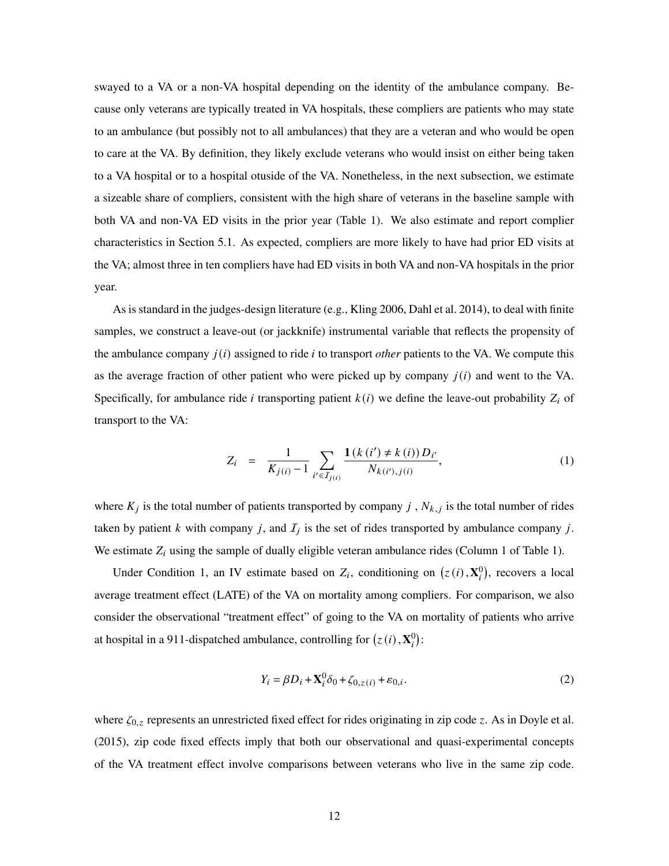swayed to a VA or a non-VA hospital depending on the identity of the ambulance company. Because only veterans are typically treated in VA hospitals, these compliers are patients who may state to an ambulance (but possibly not to all ambulances) that they are a veteran and who would be open to care at the VA. By definition, they likely exclude veterans who would insist on either being taken to a VA hospital or to a hospital otuside of the VA. Nonetheless, in the next subsection, we estimate a sizeable share of compliers, consistent with the high share of veterans in the baseline sample with both VA and non-VA ED visits in the prior year (Table 1). We also estimate and report complier characteristics in Section 5.1. As expected, compliers are more likely to have had prior ED visits at the VA; almost three in ten compliers have had ED visits in both VA and non-VA hospitals in the prior year.

As is standard in the judges-design literature (e.g., Kling 2006, Dahl et al. 2014), to deal with finite samples, we construct a leave-out (or jackknife) instrumental variable that reflects the propensity of the ambulance company  $j(i)$  assigned to ride  $i$  to transport *other* patients to the VA. We compute this as the average fraction of other patient who were picked up by company  $j(i)$  and went to the VA. Specifically, for ambulance ride *i* transporting patient  $k(i)$  we define the leave-out probability  $Z_i$  of transport to the VA:

$$
Z_{i} = \frac{1}{K_{j(i)} - 1} \sum_{i' \in I_{j(i)}} \frac{\mathbf{1}(k(i') \neq k(i)) D_{i'}}{N_{k(i'),j(i)}}, \qquad (1)
$$

where  $K_j$  is the total number of patients transported by company  $j$ ,  $N_{k,j}$  is the total number of rides taken by patient k with company j, and  $I_j$  is the set of rides transported by ambulance company j. We estimate  $Z_i$  using the sample of dually eligible veteran ambulance rides (Column 1 of Table 1).

Under Condition 1, an IV estimate based on  $Z_i$ , conditioning on  $(z(i), \mathbf{X}_i^0)$ , recovers a local average treatment effect (LATE) of the VA on mortality among compliers. For comparison, we also consider the observational "treatment effect" of going to the VA on mortality of patients who arrive at hospital in a 911-dispatched ambulance, controlling for  $(z(i), \mathbf{X}_i^0)$ :

$$
Y_i = \beta D_i + \mathbf{X}_i^0 \delta_0 + \zeta_{0,z(i)} + \varepsilon_{0,i}.
$$
 (2)

where  $\zeta_{0,z}$  represents an unrestricted fixed effect for rides originating in zip code z. As in Doyle et al. (2015), zip code fixed effects imply that both our observational and quasi-experimental concepts of the VA treatment effect involve comparisons between veterans who live in the same zip code.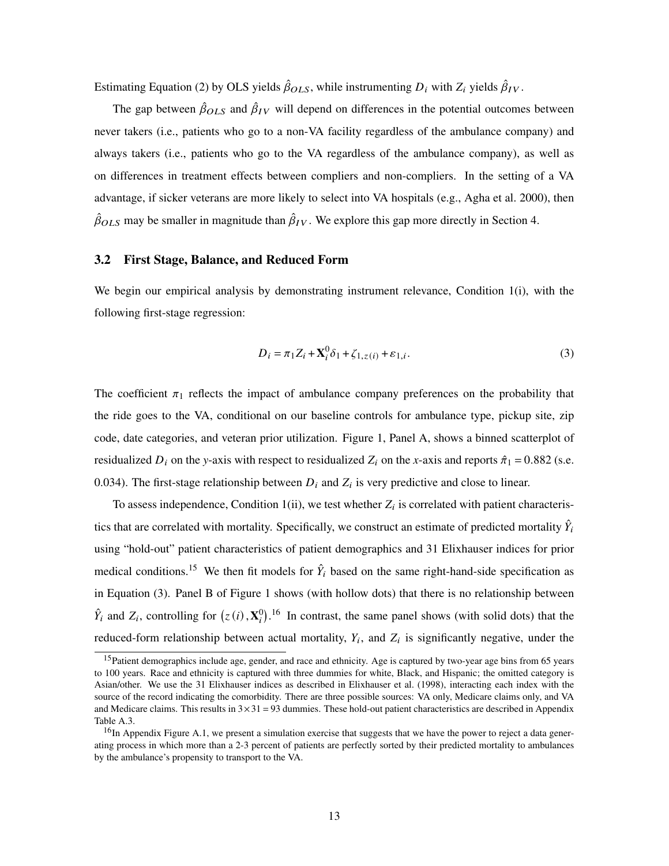Estimating Equation (2) by OLS yields  $\hat{\beta}_{OLS}$ , while instrumenting  $D_i$  with  $Z_i$  yields  $\hat{\beta}_{IV}$ .

The gap between  $\hat{\beta}_{OLS}$  and  $\hat{\beta}_{IV}$  will depend on differences in the potential outcomes between never takers (i.e., patients who go to a non-VA facility regardless of the ambulance company) and always takers (i.e., patients who go to the VA regardless of the ambulance company), as well as on differences in treatment effects between compliers and non-compliers. In the setting of a VA advantage, if sicker veterans are more likely to select into VA hospitals (e.g., Agha et al. 2000), then  $\hat{\beta}_{OLS}$  may be smaller in magnitude than  $\hat{\beta}_{IV}$ . We explore this gap more directly in Section 4.

#### 3.2 First Stage, Balance, and Reduced Form

We begin our empirical analysis by demonstrating instrument relevance, Condition 1(i), with the following first-stage regression:

$$
D_i = \pi_1 Z_i + \mathbf{X}_i^0 \delta_1 + \zeta_{1,z(i)} + \varepsilon_{1,i}.
$$
 (3)

The coefficient  $\pi_1$  reflects the impact of ambulance company preferences on the probability that the ride goes to the VA, conditional on our baseline controls for ambulance type, pickup site, zip code, date categories, and veteran prior utilization. Figure 1, Panel A, shows a binned scatterplot of residualized  $D_i$  on the *y*-axis with respect to residualized  $Z_i$  on the *x*-axis and reports  $\hat{\pi}_1 = 0.882$  (s.e. 0.034). The first-stage relationship between  $D_i$  and  $Z_i$  is very predictive and close to linear.

To assess independence, Condition 1(ii), we test whether  $Z_i$  is correlated with patient characteristics that are correlated with mortality. Specifically, we construct an estimate of predicted mortality  $\hat{Y}_i$ using "hold-out" patient characteristics of patient demographics and 31 Elixhauser indices for prior medical conditions.<sup>15</sup> We then fit models for  $\hat{Y}_i$  based on the same right-hand-side specification as in Equation (3). Panel B of Figure 1 shows (with hollow dots) that there is no relationship between  $\hat{Y}_i$  and  $Z_i$ , controlling for  $(z(i), \mathbf{X}_i^0)$ .<sup>16</sup> In contrast, the same panel shows (with solid dots) that the reduced-form relationship between actual mortality,  $Y_i$ , and  $Z_i$  is significantly negative, under the

<sup>&</sup>lt;sup>15</sup>Patient demographics include age, gender, and race and ethnicity. Age is captured by two-year age bins from 65 years to 100 years. Race and ethnicity is captured with three dummies for white, Black, and Hispanic; the omitted category is Asian/other. We use the 31 Elixhauser indices as described in Elixhauser et al. (1998), interacting each index with the source of the record indicating the comorbidity. There are three possible sources: VA only, Medicare claims only, and VA and Medicare claims. This results in  $3 \times 31 = 93$  dummies. These hold-out patient characteristics are described in Appendix Table A.3.

 $^{16}$ In Appendix Figure A.1, we present a simulation exercise that suggests that we have the power to reject a data generating process in which more than a 2-3 percent of patients are perfectly sorted by their predicted mortality to ambulances by the ambulance's propensity to transport to the VA.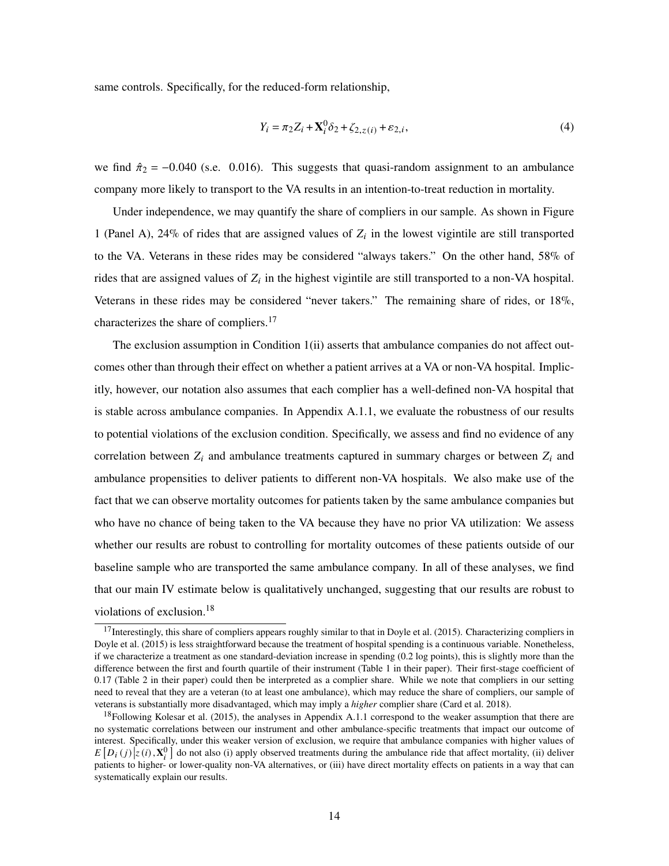same controls. Specifically, for the reduced-form relationship,

$$
Y_i = \pi_2 Z_i + \mathbf{X}_i^0 \delta_2 + \zeta_{2,z(i)} + \varepsilon_{2,i},\tag{4}
$$

we find  $\hat{\pi}_2$  = -0.040 (s.e. 0.016). This suggests that quasi-random assignment to an ambulance company more likely to transport to the VA results in an intention-to-treat reduction in mortality.

Under independence, we may quantify the share of compliers in our sample. As shown in Figure 1 (Panel A), 24% of rides that are assigned values of  $Z_i$  in the lowest vigintile are still transported to the VA. Veterans in these rides may be considered "always takers." On the other hand, 58% of rides that are assigned values of  $Z_i$  in the highest vigintile are still transported to a non-VA hospital. Veterans in these rides may be considered "never takers." The remaining share of rides, or 18%, characterizes the share of compliers.<sup>17</sup>

The exclusion assumption in Condition 1(ii) asserts that ambulance companies do not affect outcomes other than through their effect on whether a patient arrives at a VA or non-VA hospital. Implicitly, however, our notation also assumes that each complier has a well-defined non-VA hospital that is stable across ambulance companies. In Appendix A.1.1, we evaluate the robustness of our results to potential violations of the exclusion condition. Specifically, we assess and find no evidence of any correlation between  $Z_i$  and ambulance treatments captured in summary charges or between  $Z_i$  and ambulance propensities to deliver patients to different non-VA hospitals. We also make use of the fact that we can observe mortality outcomes for patients taken by the same ambulance companies but who have no chance of being taken to the VA because they have no prior VA utilization: We assess whether our results are robust to controlling for mortality outcomes of these patients outside of our baseline sample who are transported the same ambulance company. In all of these analyses, we find that our main IV estimate below is qualitatively unchanged, suggesting that our results are robust to violations of exclusion.<sup>18</sup>

<sup>&</sup>lt;sup>17</sup>Interestingly, this share of compliers appears roughly similar to that in Doyle et al. (2015). Characterizing compliers in Doyle et al. (2015) is less straightforward because the treatment of hospital spending is a continuous variable. Nonetheless, if we characterize a treatment as one standard-deviation increase in spending (0.2 log points), this is slightly more than the difference between the first and fourth quartile of their instrument (Table 1 in their paper). Their first-stage coefficient of 0.17 (Table 2 in their paper) could then be interpreted as a complier share. While we note that compliers in our setting need to reveal that they are a veteran (to at least one ambulance), which may reduce the share of compliers, our sample of veterans is substantially more disadvantaged, which may imply a *higher* complier share (Card et al. 2018).

 $18$ Following Kolesar et al. (2015), the analyses in Appendix A.1.1 correspond to the weaker assumption that there are no systematic correlations between our instrument and other ambulance-specific treatments that impact our outcome of interest. Specifically, under this weaker version of exclusion, we require that ambulance companies with higher values of  $E[D_i(j)|z(i), \mathbf{X}_i^0]$  do not also (i) apply observed treatments during the ambulance ride that affect mortality, (ii) deliver patients to higher- or lower-quality non-VA alternatives, or (iii) have direct mortality effects on patients in a way that can systematically explain our results.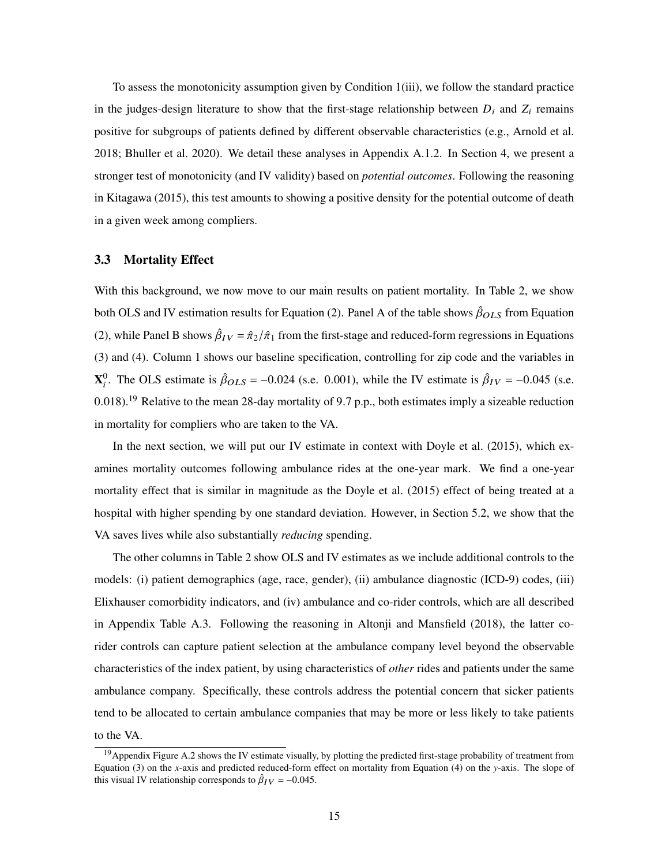To assess the monotonicity assumption given by Condition 1(iii), we follow the standard practice in the judges-design literature to show that the first-stage relationship between  $D_i$  and  $Z_i$  remains positive for subgroups of patients defined by different observable characteristics (e.g., Arnold et al. 2018; Bhuller et al. 2020). We detail these analyses in Appendix A.1.2. In Section 4, we present a stronger test of monotonicity (and IV validity) based on *potential outcomes*. Following the reasoning in Kitagawa (2015), this test amounts to showing a positive density for the potential outcome of death in a given week among compliers.

#### 3.3 Mortality Effect

With this background, we now move to our main results on patient mortality. In Table 2, we show both OLS and IV estimation results for Equation (2). Panel A of the table shows  $\hat{\beta}_{OLS}$  from Equation (2), while Panel B shows  $\hat{\beta}_{IV} = \hat{\pi}_2/\hat{\pi}_1$  from the first-stage and reduced-form regressions in Equations (3) and (4). Column 1 shows our baseline specification, controlling for zip code and the variables in **X**<sup>0</sup>. The OLS estimate is  $\hat{\beta}_{OLS} = -0.024$  (s.e. 0.001), while the IV estimate is  $\hat{\beta}_{IV} = -0.045$  (s.e. 0.018).<sup>19</sup> Relative to the mean 28-day mortality of 9.7 p.p., both estimates imply a sizeable reduction in mortality for compliers who are taken to the VA.

In the next section, we will put our IV estimate in context with Doyle et al. (2015), which examines mortality outcomes following ambulance rides at the one-year mark. We find a one-year mortality effect that is similar in magnitude as the Doyle et al. (2015) effect of being treated at a hospital with higher spending by one standard deviation. However, in Section 5.2, we show that the VA saves lives while also substantially *reducing* spending.

The other columns in Table 2 show OLS and IV estimates as we include additional controls to the models: (i) patient demographics (age, race, gender), (ii) ambulance diagnostic (ICD-9) codes, (iii) Elixhauser comorbidity indicators, and (iv) ambulance and co-rider controls, which are all described in Appendix Table A.3. Following the reasoning in Altonji and Mansfield (2018), the latter corider controls can capture patient selection at the ambulance company level beyond the observable characteristics of the index patient, by using characteristics of *other* rides and patients under the same ambulance company. Specifically, these controls address the potential concern that sicker patients tend to be allocated to certain ambulance companies that may be more or less likely to take patients to the VA.

<sup>&</sup>lt;sup>19</sup> Appendix Figure A.2 shows the IV estimate visually, by plotting the predicted first-stage probability of treatment from Equation (3) on the *x*-axis and predicted reduced-form effect on mortality from Equation (4) on the *y*-axis. The slope of this visual IV relationship corresponds to  $\hat{\beta}_{IV} = -0.045$ .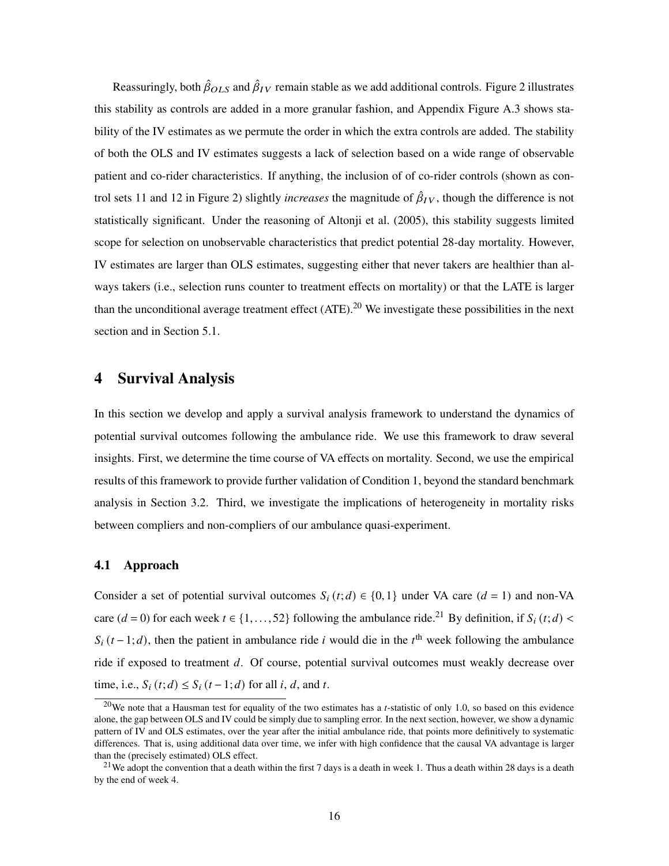Reassuringly, both  $\hat{\beta}_{OLS}$  and  $\hat{\beta}_{IV}$  remain stable as we add additional controls. Figure 2 illustrates this stability as controls are added in a more granular fashion, and Appendix Figure A.3 shows stability of the IV estimates as we permute the order in which the extra controls are added. The stability of both the OLS and IV estimates suggests a lack of selection based on a wide range of observable patient and co-rider characteristics. If anything, the inclusion of of co-rider controls (shown as control sets 11 and 12 in Figure 2) slightly *increases* the magnitude of  $\hat{\beta}_{IV}$ , though the difference is not statistically significant. Under the reasoning of Altonji et al. (2005), this stability suggests limited scope for selection on unobservable characteristics that predict potential 28-day mortality. However, IV estimates are larger than OLS estimates, suggesting either that never takers are healthier than always takers (i.e., selection runs counter to treatment effects on mortality) or that the LATE is larger than the unconditional average treatment effect  $(ATE)$ .<sup>20</sup> We investigate these possibilities in the next section and in Section 5.1.

# 4 Survival Analysis

In this section we develop and apply a survival analysis framework to understand the dynamics of potential survival outcomes following the ambulance ride. We use this framework to draw several insights. First, we determine the time course of VA effects on mortality. Second, we use the empirical results of this framework to provide further validation of Condition 1, beyond the standard benchmark analysis in Section 3.2. Third, we investigate the implications of heterogeneity in mortality risks between compliers and non-compliers of our ambulance quasi-experiment.

## 4.1 Approach

Consider a set of potential survival outcomes  $S_i(t; d) \in \{0, 1\}$  under VA care  $(d = 1)$  and non-VA care  $(d = 0)$  for each week  $t \in \{1, \ldots, 52\}$  following the ambulance ride.<sup>21</sup> By definition, if  $S_i(t; d)$  <  $S_i(t-1; d)$ , then the patient in ambulance ride *i* would die in the *t*<sup>th</sup> week following the ambulance ride if exposed to treatment  $d$ . Of course, potential survival outcomes must weakly decrease over time, i.e.,  $S_i(t; d) \leq S_i(t-1; d)$  for all *i*, *d*, and *t*.

<sup>20</sup>We note that a Hausman test for equality of the two estimates has a *t*-statistic of only 1.0, so based on this evidence alone, the gap between OLS and IV could be simply due to sampling error. In the next section, however, we show a dynamic pattern of IV and OLS estimates, over the year after the initial ambulance ride, that points more definitively to systematic differences. That is, using additional data over time, we infer with high confidence that the causal VA advantage is larger than the (precisely estimated) OLS effect.

<sup>&</sup>lt;sup>21</sup>We adopt the convention that a death within the first 7 days is a death in week 1. Thus a death within 28 days is a death by the end of week 4.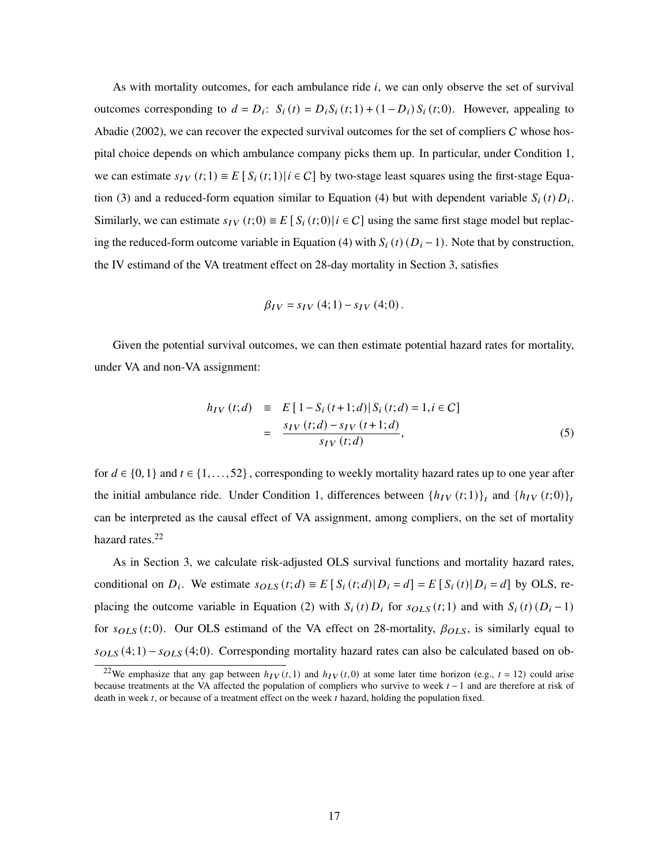As with mortality outcomes, for each ambulance ride  $i$ , we can only observe the set of survival outcomes corresponding to  $d = D_i$ :  $S_i(t) = D_i S_i(t; 1) + (1 - D_i) S_i(t; 0)$ . However, appealing to Abadie (2002), we can recover the expected survival outcomes for the set of compliers  $C$  whose hospital choice depends on which ambulance company picks them up. In particular, under Condition 1, we can estimate  $s_{IV}(t; 1) \equiv E[\frac{S_i(t; 1)}{i} \in C]$  by two-stage least squares using the first-stage Equation (3) and a reduced-form equation similar to Equation (4) but with dependent variable  $S_i(t) D_i$ . Similarly, we can estimate  $s_{IV}(t;0) \equiv E[S_i(t;0)] i \in C]$  using the same first stage model but replacing the reduced-form outcome variable in Equation (4) with  $S_i(t)$  ( $D_i - 1$ ). Note that by construction, the IV estimand of the VA treatment effect on 28-day mortality in Section 3, satisfies

$$
\beta_{IV} = s_{IV} (4;1) - s_{IV} (4;0).
$$

Given the potential survival outcomes, we can then estimate potential hazard rates for mortality, under VA and non-VA assignment:

$$
h_{IV}(t; d) \equiv E[1 - S_i(t+1; d)|S_i(t; d) = 1, i \in C]
$$
  
= 
$$
\frac{s_{IV}(t; d) - s_{IV}(t+1; d)}{s_{IV}(t; d)},
$$
 (5)

for  $d \in \{0,1\}$  and  $t \in \{1,\ldots,52\}$ , corresponding to weekly mortality hazard rates up to one year after the initial ambulance ride. Under Condition 1, differences between  $\{h_{IV}(t;1)\}_t$  and  $\{h_{IV}(t;0)\}_t$ can be interpreted as the causal effect of VA assignment, among compliers, on the set of mortality hazard rates.<sup>22</sup>

As in Section 3, we calculate risk-adjusted OLS survival functions and mortality hazard rates, conditional on  $D_i$ . We estimate  $s_{OLS}(t; d) \equiv E[S_i(t; d) | D_i = d] = E[S_i(t) | D_i = d]$  by OLS, replacing the outcome variable in Equation (2) with  $S_i(t) D_i$  for  $s_{OLS}(t; 1)$  and with  $S_i(t) (D_i - 1)$ for  $s_{OLS}(t; 0)$ . Our OLS estimand of the VA effect on 28-mortality,  $\beta_{OLS}$ , is similarly equal to  $s_{OLS}(4;1) - s_{OLS}(4;0)$ . Corresponding mortality hazard rates can also be calculated based on ob-

<sup>&</sup>lt;sup>22</sup>We emphasize that any gap between  $h_{IV}(t,1)$  and  $h_{IV}(t,0)$  at some later time horizon (e.g.,  $t = 12$ ) could arise because treatments at the VA affected the population of compliers who survive to week  $t - 1$  and are therefore at risk of death in week  $t$ , or because of a treatment effect on the week  $t$  hazard, holding the population fixed.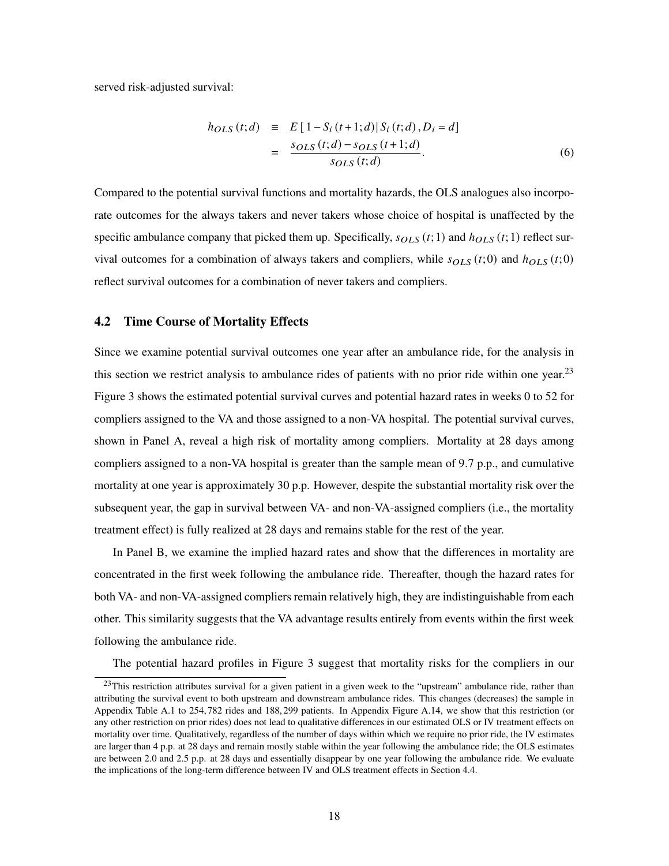served risk-adjusted survival:

$$
h_{OLS}(t; d) \equiv E[1 - S_i(t+1; d)|S_i(t; d), D_i = d]
$$
  
= 
$$
\frac{s_{OLS}(t; d) - s_{OLS}(t+1; d)}{s_{OLS}(t; d)}.
$$
 (6)

Compared to the potential survival functions and mortality hazards, the OLS analogues also incorporate outcomes for the always takers and never takers whose choice of hospital is unaffected by the specific ambulance company that picked them up. Specifically,  $s_{OLS}(t; 1)$  and  $h_{OLS}(t; 1)$  reflect survival outcomes for a combination of always takers and compliers, while  $s_{OLS}(t; 0)$  and  $h_{OLS}(t; 0)$ reflect survival outcomes for a combination of never takers and compliers.

#### 4.2 Time Course of Mortality Effects

Since we examine potential survival outcomes one year after an ambulance ride, for the analysis in this section we restrict analysis to ambulance rides of patients with no prior ride within one year.<sup>23</sup> Figure 3 shows the estimated potential survival curves and potential hazard rates in weeks 0 to 52 for compliers assigned to the VA and those assigned to a non-VA hospital. The potential survival curves, shown in Panel A, reveal a high risk of mortality among compliers. Mortality at 28 days among compliers assigned to a non-VA hospital is greater than the sample mean of 9.7 p.p., and cumulative mortality at one year is approximately 30 p.p. However, despite the substantial mortality risk over the subsequent year, the gap in survival between VA- and non-VA-assigned compliers (i.e., the mortality treatment effect) is fully realized at 28 days and remains stable for the rest of the year.

In Panel B, we examine the implied hazard rates and show that the differences in mortality are concentrated in the first week following the ambulance ride. Thereafter, though the hazard rates for both VA- and non-VA-assigned compliers remain relatively high, they are indistinguishable from each other. This similarity suggests that the VA advantage results entirely from events within the first week following the ambulance ride.

The potential hazard profiles in Figure 3 suggest that mortality risks for the compliers in our

 $23$ This restriction attributes survival for a given patient in a given week to the "upstream" ambulance ride, rather than attributing the survival event to both upstream and downstream ambulance rides. This changes (decreases) the sample in Appendix Table A.1 to 254,782 rides and 188,299 patients. In Appendix Figure A.14, we show that this restriction (or any other restriction on prior rides) does not lead to qualitative differences in our estimated OLS or IV treatment effects on mortality over time. Qualitatively, regardless of the number of days within which we require no prior ride, the IV estimates are larger than 4 p.p. at 28 days and remain mostly stable within the year following the ambulance ride; the OLS estimates are between 2.0 and 2.5 p.p. at 28 days and essentially disappear by one year following the ambulance ride. We evaluate the implications of the long-term difference between IV and OLS treatment effects in Section 4.4.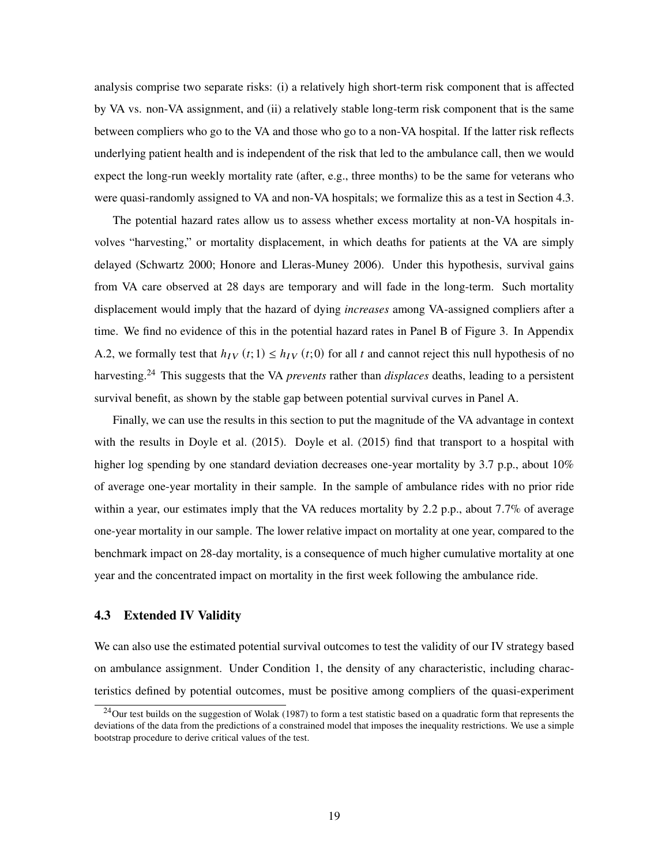analysis comprise two separate risks: (i) a relatively high short-term risk component that is affected by VA vs. non-VA assignment, and (ii) a relatively stable long-term risk component that is the same between compliers who go to the VA and those who go to a non-VA hospital. If the latter risk reflects underlying patient health and is independent of the risk that led to the ambulance call, then we would expect the long-run weekly mortality rate (after, e.g., three months) to be the same for veterans who were quasi-randomly assigned to VA and non-VA hospitals; we formalize this as a test in Section 4.3.

The potential hazard rates allow us to assess whether excess mortality at non-VA hospitals involves "harvesting," or mortality displacement, in which deaths for patients at the VA are simply delayed (Schwartz 2000; Honore and Lleras-Muney 2006). Under this hypothesis, survival gains from VA care observed at 28 days are temporary and will fade in the long-term. Such mortality displacement would imply that the hazard of dying *increases* among VA-assigned compliers after a time. We find no evidence of this in the potential hazard rates in Panel B of Figure 3. In Appendix A.2, we formally test that  $h_{IV}(t; 1) \le h_{IV}(t; 0)$  for all t and cannot reject this null hypothesis of no harvesting.<sup>24</sup> This suggests that the VA *prevents* rather than *displaces* deaths, leading to a persistent survival benefit, as shown by the stable gap between potential survival curves in Panel A.

Finally, we can use the results in this section to put the magnitude of the VA advantage in context with the results in Doyle et al. (2015). Doyle et al. (2015) find that transport to a hospital with higher log spending by one standard deviation decreases one-year mortality by 3.7 p.p., about 10% of average one-year mortality in their sample. In the sample of ambulance rides with no prior ride within a year, our estimates imply that the VA reduces mortality by 2.2 p.p., about 7.7% of average one-year mortality in our sample. The lower relative impact on mortality at one year, compared to the benchmark impact on 28-day mortality, is a consequence of much higher cumulative mortality at one year and the concentrated impact on mortality in the first week following the ambulance ride.

## 4.3 Extended IV Validity

We can also use the estimated potential survival outcomes to test the validity of our IV strategy based on ambulance assignment. Under Condition 1, the density of any characteristic, including characteristics defined by potential outcomes, must be positive among compliers of the quasi-experiment

 $^{24}$ Our test builds on the suggestion of Wolak (1987) to form a test statistic based on a quadratic form that represents the deviations of the data from the predictions of a constrained model that imposes the inequality restrictions. We use a simple bootstrap procedure to derive critical values of the test.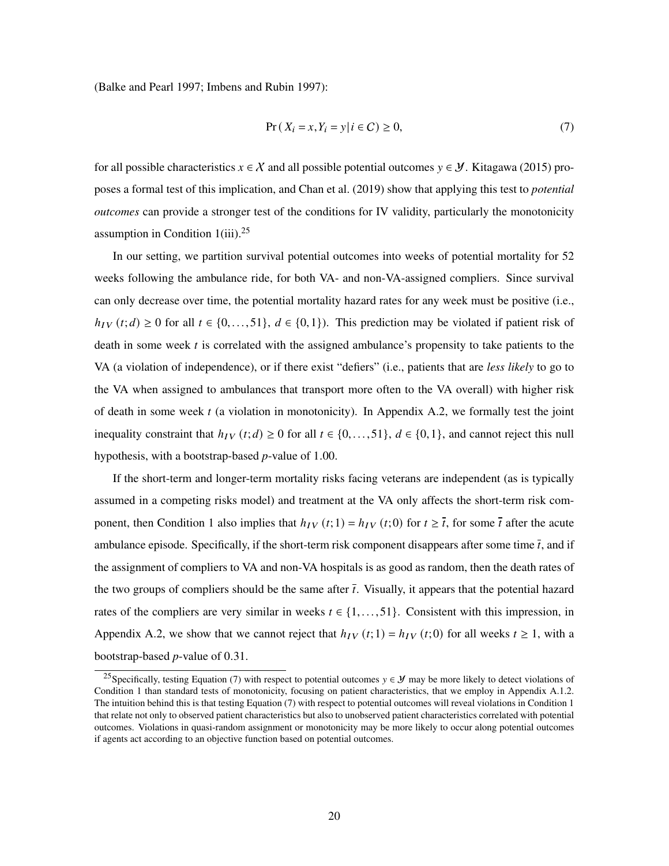(Balke and Pearl 1997; Imbens and Rubin 1997):

$$
Pr(X_i = x, Y_i = y | i \in C) \ge 0,
$$
\n<sup>(7)</sup>

for all possible characteristics  $x \in \mathcal{X}$  and all possible potential outcomes  $y \in \mathcal{Y}$ . Kitagawa (2015) proposes a formal test of this implication, and Chan et al. (2019) show that applying this test to *potential outcomes* can provide a stronger test of the conditions for IV validity, particularly the monotonicity assumption in Condition  $1(iii).^{25}$ 

In our setting, we partition survival potential outcomes into weeks of potential mortality for 52 weeks following the ambulance ride, for both VA- and non-VA-assigned compliers. Since survival can only decrease over time, the potential mortality hazard rates for any week must be positive (i.e.,  $h_{IV}(t;d) \ge 0$  for all  $t \in \{0,\ldots,51\}$ ,  $d \in \{0,1\}$ ). This prediction may be violated if patient risk of death in some week  $t$  is correlated with the assigned ambulance's propensity to take patients to the VA (a violation of independence), or if there exist "defiers" (i.e., patients that are *less likely* to go to the VA when assigned to ambulances that transport more often to the VA overall) with higher risk of death in some week  $t$  (a violation in monotonicity). In Appendix A.2, we formally test the joint inequality constraint that  $h_{IV}(t; d) \ge 0$  for all  $t \in \{0, \ldots, 51\}$ ,  $d \in \{0, 1\}$ , and cannot reject this null hypothesis, with a bootstrap-based *p*-value of 1.00.

If the short-term and longer-term mortality risks facing veterans are independent (as is typically assumed in a competing risks model) and treatment at the VA only affects the short-term risk component, then Condition 1 also implies that  $h_{IV}(t; 1) = h_{IV}(t; 0)$  for  $t \geq \bar{t}$ , for some  $\bar{t}$  after the acute ambulance episode. Specifically, if the short-term risk component disappears after some time  $\bar{t}$ , and if the assignment of compliers to VA and non-VA hospitals is as good as random, then the death rates of the two groups of compliers should be the same after  $\bar{t}$ . Visually, it appears that the potential hazard rates of the compliers are very similar in weeks  $t \in \{1, \ldots, 51\}$ . Consistent with this impression, in Appendix A.2, we show that we cannot reject that  $h_{IV}(t; 1) = h_{IV}(t; 0)$  for all weeks  $t \ge 1$ , with a bootstrap-based *p*-value of 0.31.

<sup>&</sup>lt;sup>25</sup>Specifically, testing Equation (7) with respect to potential outcomes  $y \in \mathcal{Y}$  may be more likely to detect violations of Condition 1 than standard tests of monotonicity, focusing on patient characteristics, that we employ in Appendix A.1.2. The intuition behind this is that testing Equation (7) with respect to potential outcomes will reveal violations in Condition 1 that relate not only to observed patient characteristics but also to unobserved patient characteristics correlated with potential outcomes. Violations in quasi-random assignment or monotonicity may be more likely to occur along potential outcomes if agents act according to an objective function based on potential outcomes.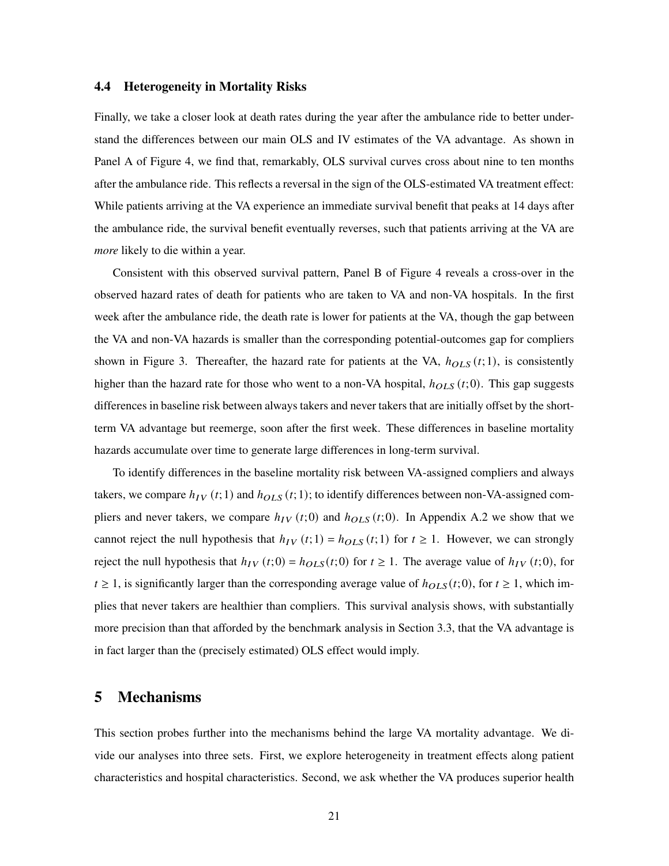#### 4.4 Heterogeneity in Mortality Risks

Finally, we take a closer look at death rates during the year after the ambulance ride to better understand the differences between our main OLS and IV estimates of the VA advantage. As shown in Panel A of Figure 4, we find that, remarkably, OLS survival curves cross about nine to ten months after the ambulance ride. This reflects a reversal in the sign of the OLS-estimated VA treatment effect: While patients arriving at the VA experience an immediate survival benefit that peaks at 14 days after the ambulance ride, the survival benefit eventually reverses, such that patients arriving at the VA are *more* likely to die within a year.

Consistent with this observed survival pattern, Panel B of Figure 4 reveals a cross-over in the observed hazard rates of death for patients who are taken to VA and non-VA hospitals. In the first week after the ambulance ride, the death rate is lower for patients at the VA, though the gap between the VA and non-VA hazards is smaller than the corresponding potential-outcomes gap for compliers shown in Figure 3. Thereafter, the hazard rate for patients at the VA,  $h_{OLS}(t; 1)$ , is consistently higher than the hazard rate for those who went to a non-VA hospital,  $h_{OLS}(t; 0)$ . This gap suggests differences in baseline risk between always takers and never takers that are initially offset by the shortterm VA advantage but reemerge, soon after the first week. These differences in baseline mortality hazards accumulate over time to generate large differences in long-term survival.

To identify differences in the baseline mortality risk between VA-assigned compliers and always takers, we compare  $h_{IV}(t; 1)$  and  $h_{OLS}(t; 1)$ ; to identify differences between non-VA-assigned compliers and never takers, we compare  $h_{IV}(t; 0)$  and  $h_{OLS}(t; 0)$ . In Appendix A.2 we show that we cannot reject the null hypothesis that  $h_{IV}(t; 1) = h_{OLS}(t; 1)$  for  $t \ge 1$ . However, we can strongly reject the null hypothesis that  $h_{IV}(t;0) = h_{OLS}(t;0)$  for  $t \ge 1$ . The average value of  $h_{IV}(t;0)$ , for  $t \geq 1$ , is significantly larger than the corresponding average value of  $h_{OLS}(t; 0)$ , for  $t \geq 1$ , which implies that never takers are healthier than compliers. This survival analysis shows, with substantially more precision than that afforded by the benchmark analysis in Section 3.3, that the VA advantage is in fact larger than the (precisely estimated) OLS effect would imply.

# 5 Mechanisms

This section probes further into the mechanisms behind the large VA mortality advantage. We divide our analyses into three sets. First, we explore heterogeneity in treatment effects along patient characteristics and hospital characteristics. Second, we ask whether the VA produces superior health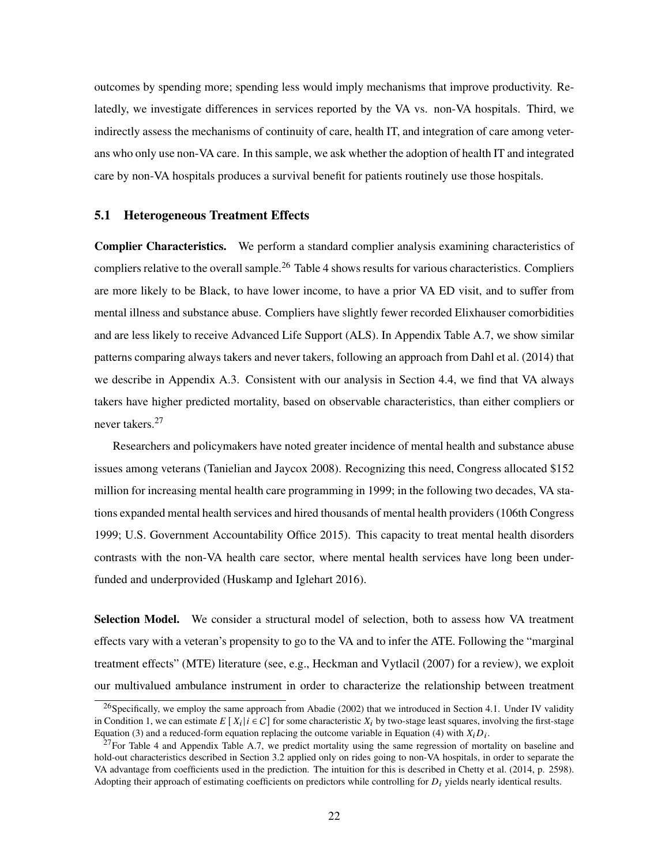outcomes by spending more; spending less would imply mechanisms that improve productivity. Relatedly, we investigate differences in services reported by the VA vs. non-VA hospitals. Third, we indirectly assess the mechanisms of continuity of care, health IT, and integration of care among veterans who only use non-VA care. In this sample, we ask whether the adoption of health IT and integrated care by non-VA hospitals produces a survival benefit for patients routinely use those hospitals.

## 5.1 Heterogeneous Treatment Effects

Complier Characteristics. We perform a standard complier analysis examining characteristics of compliers relative to the overall sample.<sup>26</sup> Table 4 shows results for various characteristics. Compliers are more likely to be Black, to have lower income, to have a prior VA ED visit, and to suffer from mental illness and substance abuse. Compliers have slightly fewer recorded Elixhauser comorbidities and are less likely to receive Advanced Life Support (ALS). In Appendix Table A.7, we show similar patterns comparing always takers and never takers, following an approach from Dahl et al. (2014) that we describe in Appendix A.3. Consistent with our analysis in Section 4.4, we find that VA always takers have higher predicted mortality, based on observable characteristics, than either compliers or never takers.<sup>27</sup>

Researchers and policymakers have noted greater incidence of mental health and substance abuse issues among veterans (Tanielian and Jaycox 2008). Recognizing this need, Congress allocated \$152 million for increasing mental health care programming in 1999; in the following two decades, VA stations expanded mental health services and hired thousands of mental health providers (106th Congress 1999; U.S. Government Accountability Office 2015). This capacity to treat mental health disorders contrasts with the non-VA health care sector, where mental health services have long been underfunded and underprovided (Huskamp and Iglehart 2016).

Selection Model. We consider a structural model of selection, both to assess how VA treatment effects vary with a veteran's propensity to go to the VA and to infer the ATE. Following the "marginal treatment effects" (MTE) literature (see, e.g., Heckman and Vytlacil (2007) for a review), we exploit our multivalued ambulance instrument in order to characterize the relationship between treatment

 $^{26}$ Specifically, we employ the same approach from Abadie (2002) that we introduced in Section 4.1. Under IV validity in Condition 1, we can estimate  $E[X_i | i \in C]$  for some characteristic  $X_i$  by two-stage least squares, involving the first-stage Equation (3) and a reduced-form equation replacing the outcome variable in Equation (4) with  $X_i D_i$ .

 $27$  For Table 4 and Appendix Table A.7, we predict mortality using the same regression of mortality on baseline and hold-out characteristics described in Section 3.2 applied only on rides going to non-VA hospitals, in order to separate the VA advantage from coefficients used in the prediction. The intuition for this is described in Chetty et al. (2014, p. 2598). Adopting their approach of estimating coefficients on predictors while controlling for  $D_i$  yields nearly identical results.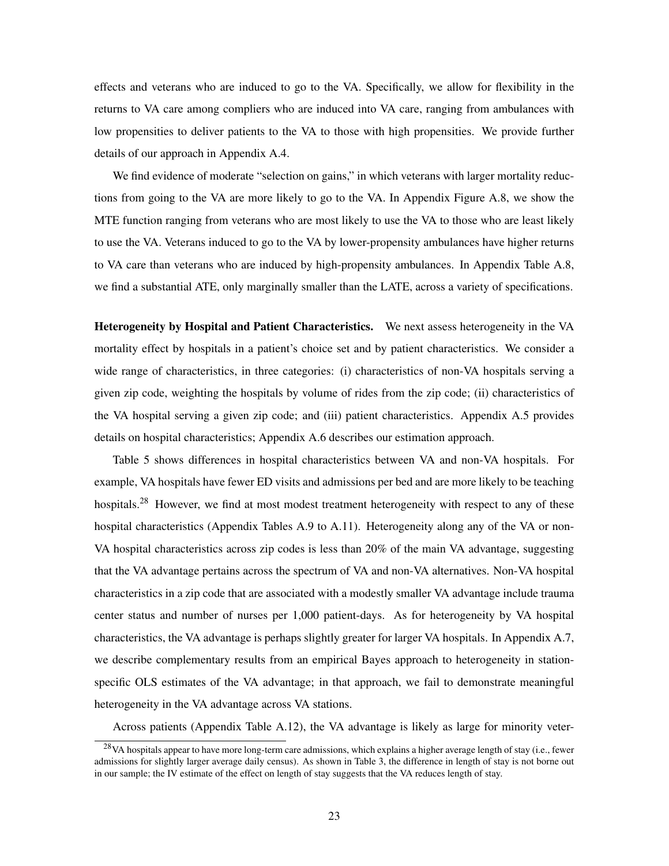effects and veterans who are induced to go to the VA. Specifically, we allow for flexibility in the returns to VA care among compliers who are induced into VA care, ranging from ambulances with low propensities to deliver patients to the VA to those with high propensities. We provide further details of our approach in Appendix A.4.

We find evidence of moderate "selection on gains," in which veterans with larger mortality reductions from going to the VA are more likely to go to the VA. In Appendix Figure A.8, we show the MTE function ranging from veterans who are most likely to use the VA to those who are least likely to use the VA. Veterans induced to go to the VA by lower-propensity ambulances have higher returns to VA care than veterans who are induced by high-propensity ambulances. In Appendix Table A.8, we find a substantial ATE, only marginally smaller than the LATE, across a variety of specifications.

Heterogeneity by Hospital and Patient Characteristics. We next assess heterogeneity in the VA mortality effect by hospitals in a patient's choice set and by patient characteristics. We consider a wide range of characteristics, in three categories: (i) characteristics of non-VA hospitals serving a given zip code, weighting the hospitals by volume of rides from the zip code; (ii) characteristics of the VA hospital serving a given zip code; and (iii) patient characteristics. Appendix A.5 provides details on hospital characteristics; Appendix A.6 describes our estimation approach.

Table 5 shows differences in hospital characteristics between VA and non-VA hospitals. For example, VA hospitals have fewer ED visits and admissions per bed and are more likely to be teaching hospitals.<sup>28</sup> However, we find at most modest treatment heterogeneity with respect to any of these hospital characteristics (Appendix Tables A.9 to A.11). Heterogeneity along any of the VA or non-VA hospital characteristics across zip codes is less than 20% of the main VA advantage, suggesting that the VA advantage pertains across the spectrum of VA and non-VA alternatives. Non-VA hospital characteristics in a zip code that are associated with a modestly smaller VA advantage include trauma center status and number of nurses per 1,000 patient-days. As for heterogeneity by VA hospital characteristics, the VA advantage is perhaps slightly greater for larger VA hospitals. In Appendix A.7, we describe complementary results from an empirical Bayes approach to heterogeneity in stationspecific OLS estimates of the VA advantage; in that approach, we fail to demonstrate meaningful heterogeneity in the VA advantage across VA stations.

Across patients (Appendix Table A.12), the VA advantage is likely as large for minority veter-

 $^{28}$ VA hospitals appear to have more long-term care admissions, which explains a higher average length of stay (i.e., fewer admissions for slightly larger average daily census). As shown in Table 3, the difference in length of stay is not borne out in our sample; the IV estimate of the effect on length of stay suggests that the VA reduces length of stay.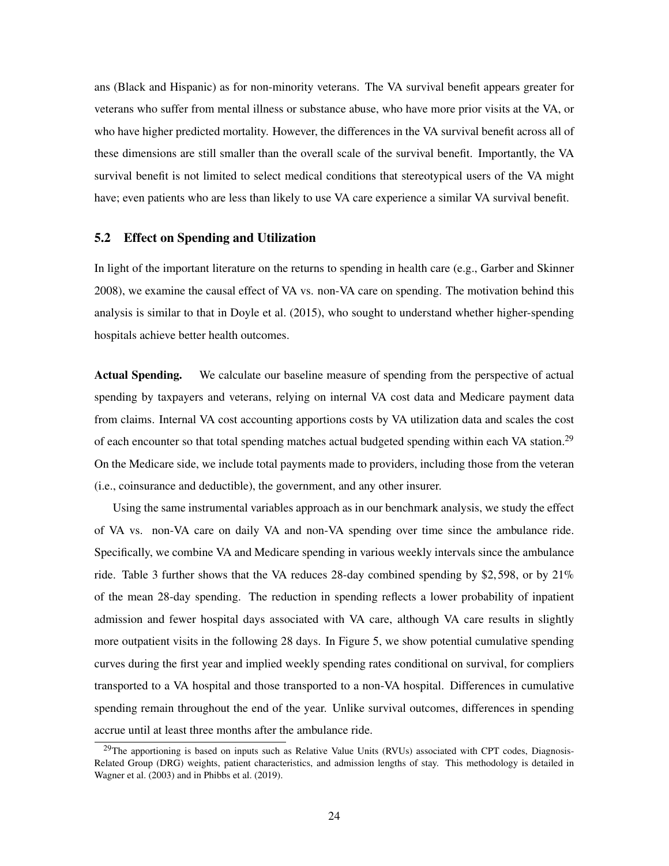ans (Black and Hispanic) as for non-minority veterans. The VA survival benefit appears greater for veterans who suffer from mental illness or substance abuse, who have more prior visits at the VA, or who have higher predicted mortality. However, the differences in the VA survival benefit across all of these dimensions are still smaller than the overall scale of the survival benefit. Importantly, the VA survival benefit is not limited to select medical conditions that stereotypical users of the VA might have; even patients who are less than likely to use VA care experience a similar VA survival benefit.

#### 5.2 Effect on Spending and Utilization

In light of the important literature on the returns to spending in health care (e.g., Garber and Skinner 2008), we examine the causal effect of VA vs. non-VA care on spending. The motivation behind this analysis is similar to that in Doyle et al. (2015), who sought to understand whether higher-spending hospitals achieve better health outcomes.

Actual Spending. We calculate our baseline measure of spending from the perspective of actual spending by taxpayers and veterans, relying on internal VA cost data and Medicare payment data from claims. Internal VA cost accounting apportions costs by VA utilization data and scales the cost of each encounter so that total spending matches actual budgeted spending within each VA station.<sup>29</sup> On the Medicare side, we include total payments made to providers, including those from the veteran (i.e., coinsurance and deductible), the government, and any other insurer.

Using the same instrumental variables approach as in our benchmark analysis, we study the effect of VA vs. non-VA care on daily VA and non-VA spending over time since the ambulance ride. Specifically, we combine VA and Medicare spending in various weekly intervals since the ambulance ride. Table 3 further shows that the VA reduces 28-day combined spending by \$2,598, or by 21% of the mean 28-day spending. The reduction in spending reflects a lower probability of inpatient admission and fewer hospital days associated with VA care, although VA care results in slightly more outpatient visits in the following 28 days. In Figure 5, we show potential cumulative spending curves during the first year and implied weekly spending rates conditional on survival, for compliers transported to a VA hospital and those transported to a non-VA hospital. Differences in cumulative spending remain throughout the end of the year. Unlike survival outcomes, differences in spending accrue until at least three months after the ambulance ride.

 $^{29}$ The apportioning is based on inputs such as Relative Value Units (RVUs) associated with CPT codes, Diagnosis-Related Group (DRG) weights, patient characteristics, and admission lengths of stay. This methodology is detailed in Wagner et al. (2003) and in Phibbs et al. (2019).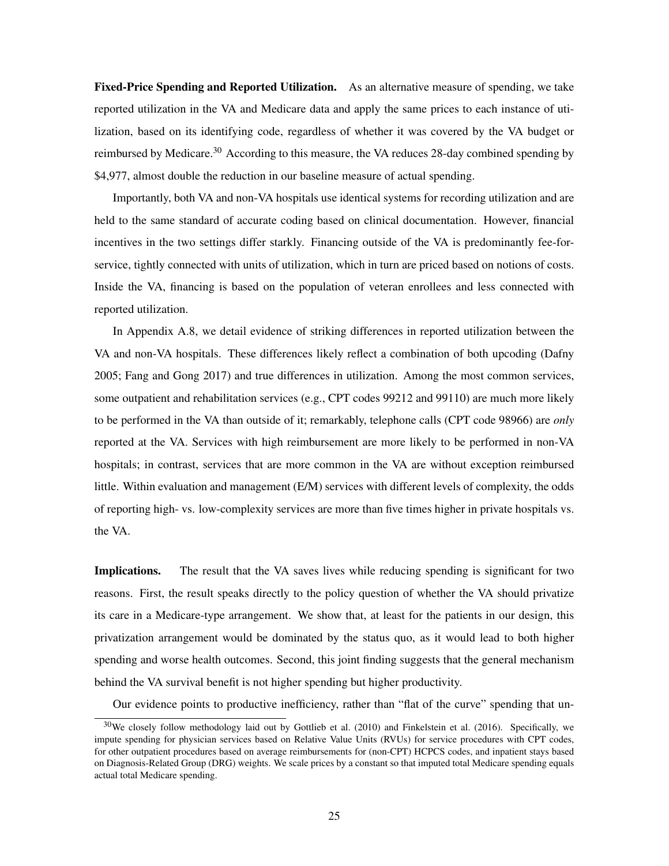Fixed-Price Spending and Reported Utilization. As an alternative measure of spending, we take reported utilization in the VA and Medicare data and apply the same prices to each instance of utilization, based on its identifying code, regardless of whether it was covered by the VA budget or reimbursed by Medicare.<sup>30</sup> According to this measure, the VA reduces 28-day combined spending by \$4,977, almost double the reduction in our baseline measure of actual spending.

Importantly, both VA and non-VA hospitals use identical systems for recording utilization and are held to the same standard of accurate coding based on clinical documentation. However, financial incentives in the two settings differ starkly. Financing outside of the VA is predominantly fee-forservice, tightly connected with units of utilization, which in turn are priced based on notions of costs. Inside the VA, financing is based on the population of veteran enrollees and less connected with reported utilization.

In Appendix A.8, we detail evidence of striking differences in reported utilization between the VA and non-VA hospitals. These differences likely reflect a combination of both upcoding (Dafny 2005; Fang and Gong 2017) and true differences in utilization. Among the most common services, some outpatient and rehabilitation services (e.g., CPT codes 99212 and 99110) are much more likely to be performed in the VA than outside of it; remarkably, telephone calls (CPT code 98966) are *only* reported at the VA. Services with high reimbursement are more likely to be performed in non-VA hospitals; in contrast, services that are more common in the VA are without exception reimbursed little. Within evaluation and management (E/M) services with different levels of complexity, the odds of reporting high- vs. low-complexity services are more than five times higher in private hospitals vs. the VA.

Implications. The result that the VA saves lives while reducing spending is significant for two reasons. First, the result speaks directly to the policy question of whether the VA should privatize its care in a Medicare-type arrangement. We show that, at least for the patients in our design, this privatization arrangement would be dominated by the status quo, as it would lead to both higher spending and worse health outcomes. Second, this joint finding suggests that the general mechanism behind the VA survival benefit is not higher spending but higher productivity.

Our evidence points to productive inefficiency, rather than "flat of the curve" spending that un-

 $30$ We closely follow methodology laid out by Gottlieb et al. (2010) and Finkelstein et al. (2016). Specifically, we impute spending for physician services based on Relative Value Units (RVUs) for service procedures with CPT codes, for other outpatient procedures based on average reimbursements for (non-CPT) HCPCS codes, and inpatient stays based on Diagnosis-Related Group (DRG) weights. We scale prices by a constant so that imputed total Medicare spending equals actual total Medicare spending.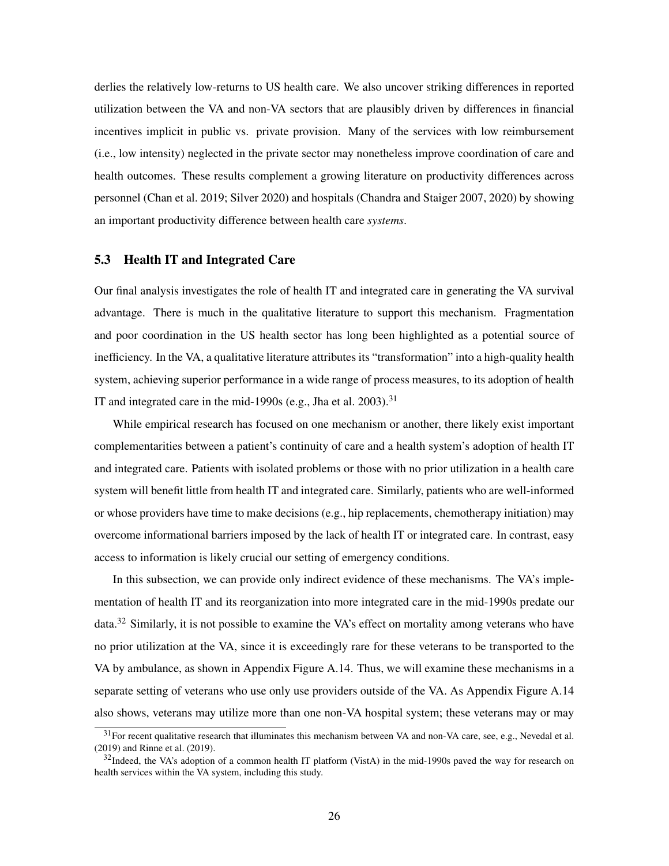derlies the relatively low-returns to US health care. We also uncover striking differences in reported utilization between the VA and non-VA sectors that are plausibly driven by differences in financial incentives implicit in public vs. private provision. Many of the services with low reimbursement (i.e., low intensity) neglected in the private sector may nonetheless improve coordination of care and health outcomes. These results complement a growing literature on productivity differences across personnel (Chan et al. 2019; Silver 2020) and hospitals (Chandra and Staiger 2007, 2020) by showing an important productivity difference between health care *systems*.

### 5.3 Health IT and Integrated Care

Our final analysis investigates the role of health IT and integrated care in generating the VA survival advantage. There is much in the qualitative literature to support this mechanism. Fragmentation and poor coordination in the US health sector has long been highlighted as a potential source of inefficiency. In the VA, a qualitative literature attributes its "transformation" into a high-quality health system, achieving superior performance in a wide range of process measures, to its adoption of health IT and integrated care in the mid-1990s (e.g., Jha et al. 2003).<sup>31</sup>

While empirical research has focused on one mechanism or another, there likely exist important complementarities between a patient's continuity of care and a health system's adoption of health IT and integrated care. Patients with isolated problems or those with no prior utilization in a health care system will benefit little from health IT and integrated care. Similarly, patients who are well-informed or whose providers have time to make decisions (e.g., hip replacements, chemotherapy initiation) may overcome informational barriers imposed by the lack of health IT or integrated care. In contrast, easy access to information is likely crucial our setting of emergency conditions.

In this subsection, we can provide only indirect evidence of these mechanisms. The VA's implementation of health IT and its reorganization into more integrated care in the mid-1990s predate our data.<sup>32</sup> Similarly, it is not possible to examine the VA's effect on mortality among veterans who have no prior utilization at the VA, since it is exceedingly rare for these veterans to be transported to the VA by ambulance, as shown in Appendix Figure A.14. Thus, we will examine these mechanisms in a separate setting of veterans who use only use providers outside of the VA. As Appendix Figure A.14 also shows, veterans may utilize more than one non-VA hospital system; these veterans may or may

 $31$  For recent qualitative research that illuminates this mechanism between VA and non-VA care, see, e.g., Nevedal et al. (2019) and Rinne et al. (2019).

 $32$ Indeed, the VA's adoption of a common health IT platform (VistA) in the mid-1990s paved the way for research on health services within the VA system, including this study.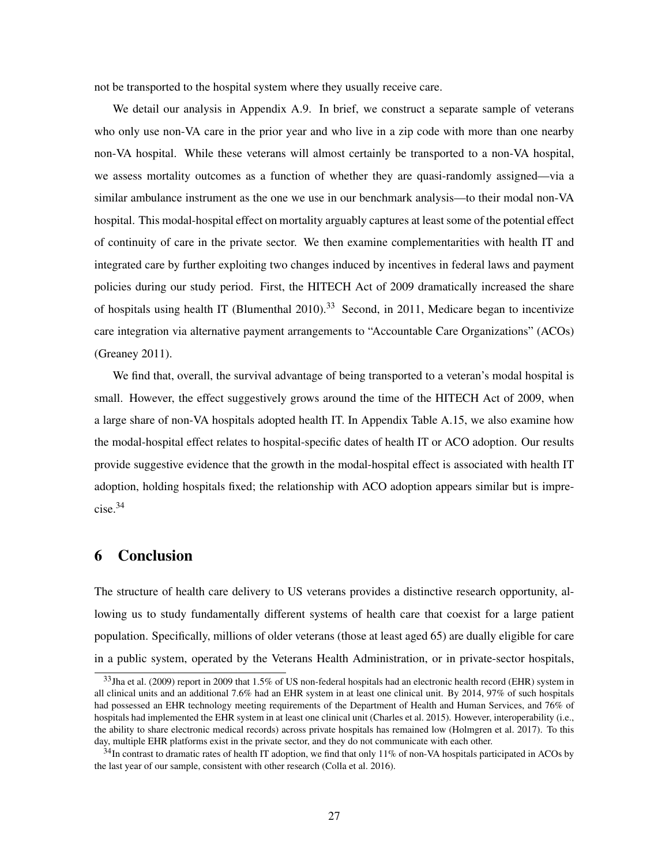not be transported to the hospital system where they usually receive care.

We detail our analysis in Appendix A.9. In brief, we construct a separate sample of veterans who only use non-VA care in the prior year and who live in a zip code with more than one nearby non-VA hospital. While these veterans will almost certainly be transported to a non-VA hospital, we assess mortality outcomes as a function of whether they are quasi-randomly assigned—via a similar ambulance instrument as the one we use in our benchmark analysis—to their modal non-VA hospital. This modal-hospital effect on mortality arguably captures at least some of the potential effect of continuity of care in the private sector. We then examine complementarities with health IT and integrated care by further exploiting two changes induced by incentives in federal laws and payment policies during our study period. First, the HITECH Act of 2009 dramatically increased the share of hospitals using health IT (Blumenthal 2010).<sup>33</sup> Second, in 2011, Medicare began to incentivize care integration via alternative payment arrangements to "Accountable Care Organizations" (ACOs) (Greaney 2011).

We find that, overall, the survival advantage of being transported to a veteran's modal hospital is small. However, the effect suggestively grows around the time of the HITECH Act of 2009, when a large share of non-VA hospitals adopted health IT. In Appendix Table A.15, we also examine how the modal-hospital effect relates to hospital-specific dates of health IT or ACO adoption. Our results provide suggestive evidence that the growth in the modal-hospital effect is associated with health IT adoption, holding hospitals fixed; the relationship with ACO adoption appears similar but is imprecise.<sup>34</sup>

# 6 Conclusion

The structure of health care delivery to US veterans provides a distinctive research opportunity, allowing us to study fundamentally different systems of health care that coexist for a large patient population. Specifically, millions of older veterans (those at least aged 65) are dually eligible for care in a public system, operated by the Veterans Health Administration, or in private-sector hospitals,

 $33$ Jha et al. (2009) report in 2009 that 1.5% of US non-federal hospitals had an electronic health record (EHR) system in all clinical units and an additional 7.6% had an EHR system in at least one clinical unit. By 2014, 97% of such hospitals had possessed an EHR technology meeting requirements of the Department of Health and Human Services, and 76% of hospitals had implemented the EHR system in at least one clinical unit (Charles et al. 2015). However, interoperability (i.e., the ability to share electronic medical records) across private hospitals has remained low (Holmgren et al. 2017). To this day, multiple EHR platforms exist in the private sector, and they do not communicate with each other.

 $34$ In contrast to dramatic rates of health IT adoption, we find that only 11% of non-VA hospitals participated in ACOs by the last year of our sample, consistent with other research (Colla et al. 2016).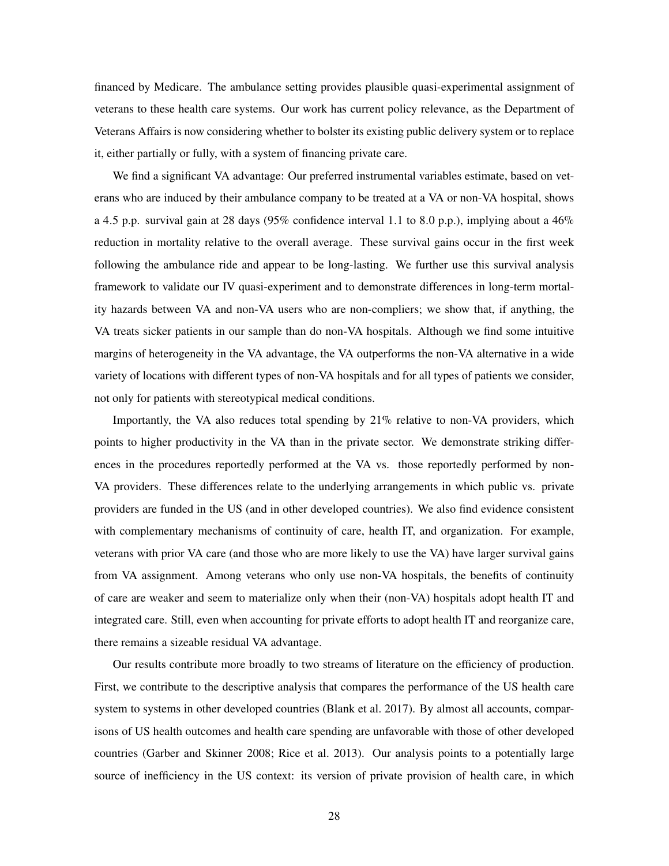financed by Medicare. The ambulance setting provides plausible quasi-experimental assignment of veterans to these health care systems. Our work has current policy relevance, as the Department of Veterans Affairs is now considering whether to bolster its existing public delivery system or to replace it, either partially or fully, with a system of financing private care.

We find a significant VA advantage: Our preferred instrumental variables estimate, based on veterans who are induced by their ambulance company to be treated at a VA or non-VA hospital, shows a 4.5 p.p. survival gain at 28 days (95% confidence interval 1.1 to 8.0 p.p.), implying about a  $46\%$ reduction in mortality relative to the overall average. These survival gains occur in the first week following the ambulance ride and appear to be long-lasting. We further use this survival analysis framework to validate our IV quasi-experiment and to demonstrate differences in long-term mortality hazards between VA and non-VA users who are non-compliers; we show that, if anything, the VA treats sicker patients in our sample than do non-VA hospitals. Although we find some intuitive margins of heterogeneity in the VA advantage, the VA outperforms the non-VA alternative in a wide variety of locations with different types of non-VA hospitals and for all types of patients we consider, not only for patients with stereotypical medical conditions.

Importantly, the VA also reduces total spending by 21% relative to non-VA providers, which points to higher productivity in the VA than in the private sector. We demonstrate striking differences in the procedures reportedly performed at the VA vs. those reportedly performed by non-VA providers. These differences relate to the underlying arrangements in which public vs. private providers are funded in the US (and in other developed countries). We also find evidence consistent with complementary mechanisms of continuity of care, health IT, and organization. For example, veterans with prior VA care (and those who are more likely to use the VA) have larger survival gains from VA assignment. Among veterans who only use non-VA hospitals, the benefits of continuity of care are weaker and seem to materialize only when their (non-VA) hospitals adopt health IT and integrated care. Still, even when accounting for private efforts to adopt health IT and reorganize care, there remains a sizeable residual VA advantage.

Our results contribute more broadly to two streams of literature on the efficiency of production. First, we contribute to the descriptive analysis that compares the performance of the US health care system to systems in other developed countries (Blank et al. 2017). By almost all accounts, comparisons of US health outcomes and health care spending are unfavorable with those of other developed countries (Garber and Skinner 2008; Rice et al. 2013). Our analysis points to a potentially large source of inefficiency in the US context: its version of private provision of health care, in which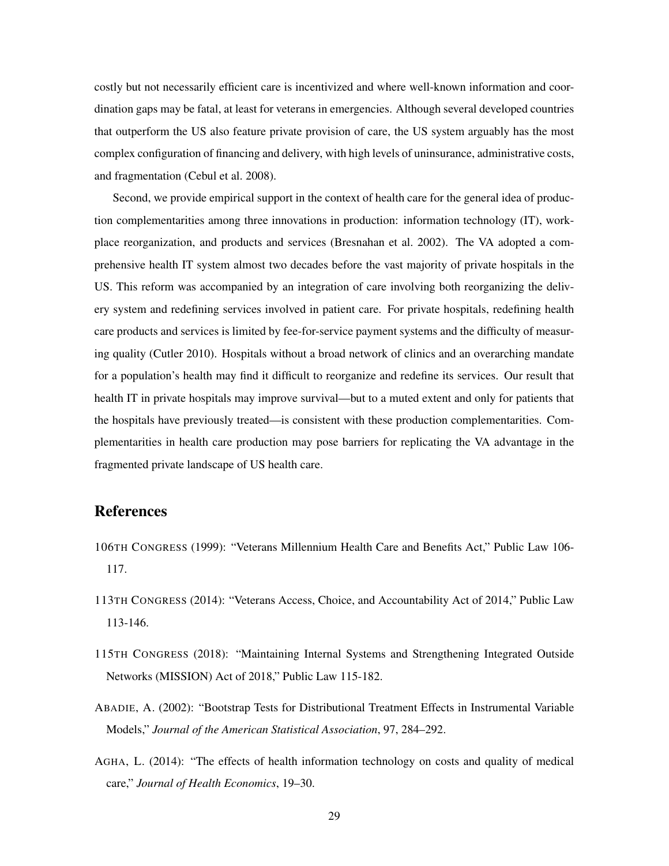costly but not necessarily efficient care is incentivized and where well-known information and coordination gaps may be fatal, at least for veterans in emergencies. Although several developed countries that outperform the US also feature private provision of care, the US system arguably has the most complex configuration of financing and delivery, with high levels of uninsurance, administrative costs, and fragmentation (Cebul et al. 2008).

Second, we provide empirical support in the context of health care for the general idea of production complementarities among three innovations in production: information technology (IT), workplace reorganization, and products and services (Bresnahan et al. 2002). The VA adopted a comprehensive health IT system almost two decades before the vast majority of private hospitals in the US. This reform was accompanied by an integration of care involving both reorganizing the delivery system and redefining services involved in patient care. For private hospitals, redefining health care products and services is limited by fee-for-service payment systems and the difficulty of measuring quality (Cutler 2010). Hospitals without a broad network of clinics and an overarching mandate for a population's health may find it difficult to reorganize and redefine its services. Our result that health IT in private hospitals may improve survival—but to a muted extent and only for patients that the hospitals have previously treated—is consistent with these production complementarities. Complementarities in health care production may pose barriers for replicating the VA advantage in the fragmented private landscape of US health care.

# References

- 106TH CONGRESS (1999): "Veterans Millennium Health Care and Benefits Act," Public Law 106- 117.
- 113TH CONGRESS (2014): "Veterans Access, Choice, and Accountability Act of 2014," Public Law 113-146.
- 115TH CONGRESS (2018): "Maintaining Internal Systems and Strengthening Integrated Outside Networks (MISSION) Act of 2018," Public Law 115-182.
- ABADIE, A. (2002): "Bootstrap Tests for Distributional Treatment Effects in Instrumental Variable Models," *Journal of the American Statistical Association*, 97, 284–292.
- AGHA, L. (2014): "The effects of health information technology on costs and quality of medical care," *Journal of Health Economics*, 19–30.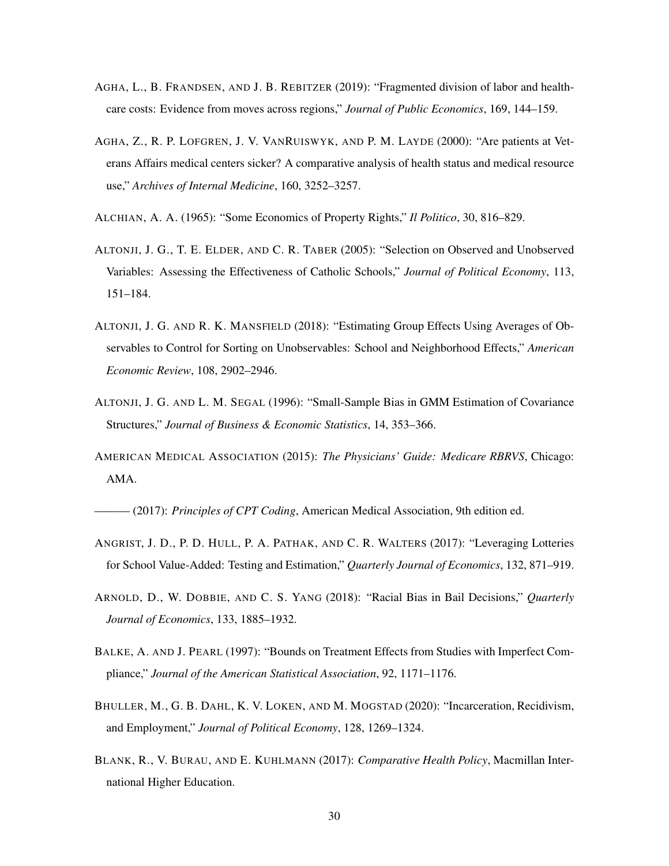- AGHA, L., B. FRANDSEN, AND J. B. REBITZER (2019): "Fragmented division of labor and healthcare costs: Evidence from moves across regions," *Journal of Public Economics*, 169, 144–159.
- AGHA, Z., R. P. LOFGREN, J. V. VANRUISWYK, AND P. M. LAYDE (2000): "Are patients at Veterans Affairs medical centers sicker? A comparative analysis of health status and medical resource use," *Archives of Internal Medicine*, 160, 3252–3257.
- ALCHIAN, A. A. (1965): "Some Economics of Property Rights," *Il Politico*, 30, 816–829.
- ALTONJI, J. G., T. E. ELDER, AND C. R. TABER (2005): "Selection on Observed and Unobserved Variables: Assessing the Effectiveness of Catholic Schools," *Journal of Political Economy*, 113, 151–184.
- ALTONJI, J. G. AND R. K. MANSFIELD (2018): "Estimating Group Effects Using Averages of Observables to Control for Sorting on Unobservables: School and Neighborhood Effects," *American Economic Review*, 108, 2902–2946.
- ALTONJI, J. G. AND L. M. SEGAL (1996): "Small-Sample Bias in GMM Estimation of Covariance Structures," *Journal of Business & Economic Statistics*, 14, 353–366.
- AMERICAN MEDICAL ASSOCIATION (2015): *The Physicians' Guide: Medicare RBRVS*, Chicago: AMA.

(2017): *Principles of CPT Coding*, American Medical Association, 9th edition ed.

- ANGRIST, J. D., P. D. HULL, P. A. PATHAK, AND C. R. WALTERS (2017): "Leveraging Lotteries for School Value-Added: Testing and Estimation," *Quarterly Journal of Economics*, 132, 871–919.
- ARNOLD, D., W. DOBBIE, AND C. S. YANG (2018): "Racial Bias in Bail Decisions," *Quarterly Journal of Economics*, 133, 1885–1932.
- BALKE, A. AND J. PEARL (1997): "Bounds on Treatment Effects from Studies with Imperfect Compliance," *Journal of the American Statistical Association*, 92, 1171–1176.
- BHULLER, M., G. B. DAHL, K. V. LOKEN, AND M. MOGSTAD (2020): "Incarceration, Recidivism, and Employment," *Journal of Political Economy*, 128, 1269–1324.
- BLANK, R., V. BURAU, AND E. KUHLMANN (2017): *Comparative Health Policy*, Macmillan International Higher Education.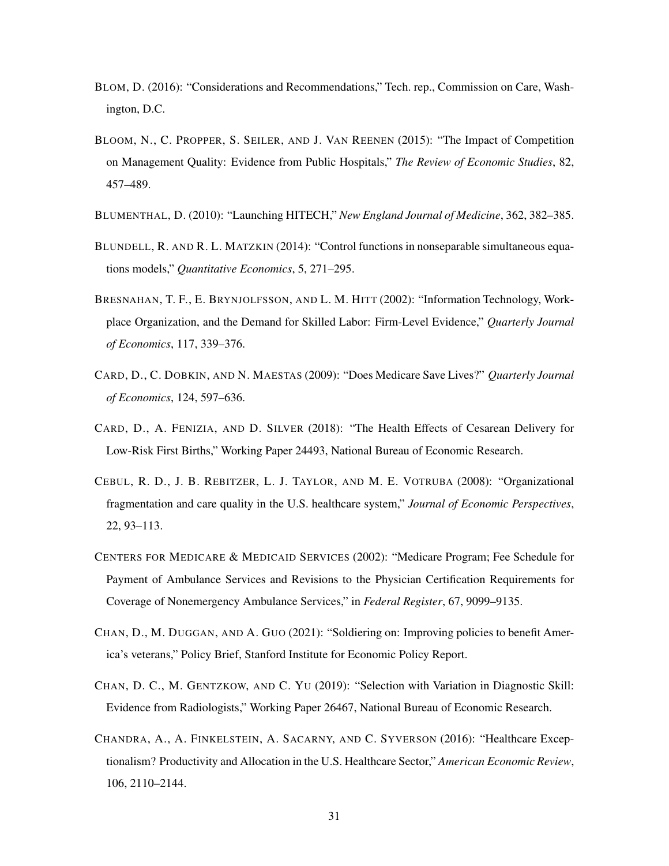- BLOM, D. (2016): "Considerations and Recommendations," Tech. rep., Commission on Care, Washington, D.C.
- BLOOM, N., C. PROPPER, S. SEILER, AND J. VAN REENEN (2015): "The Impact of Competition on Management Quality: Evidence from Public Hospitals," *The Review of Economic Studies*, 82, 457–489.
- BLUMENTHAL, D. (2010): "Launching HITECH," *New England Journal of Medicine*, 362, 382–385.
- BLUNDELL, R. AND R. L. MATZKIN (2014): "Control functions in nonseparable simultaneous equations models," *Quantitative Economics*, 5, 271–295.
- BRESNAHAN, T. F., E. BRYNJOLFSSON, AND L. M. HITT (2002): "Information Technology, Workplace Organization, and the Demand for Skilled Labor: Firm-Level Evidence," *Quarterly Journal of Economics*, 117, 339–376.
- CARD, D., C. DOBKIN, AND N. MAESTAS (2009): "Does Medicare Save Lives?" *Quarterly Journal of Economics*, 124, 597–636.
- CARD, D., A. FENIZIA, AND D. SILVER (2018): "The Health Effects of Cesarean Delivery for Low-Risk First Births," Working Paper 24493, National Bureau of Economic Research.
- CEBUL, R. D., J. B. REBITZER, L. J. TAYLOR, AND M. E. VOTRUBA (2008): "Organizational fragmentation and care quality in the U.S. healthcare system," *Journal of Economic Perspectives*, 22, 93–113.
- CENTERS FOR MEDICARE & MEDICAID SERVICES (2002): "Medicare Program; Fee Schedule for Payment of Ambulance Services and Revisions to the Physician Certification Requirements for Coverage of Nonemergency Ambulance Services," in *Federal Register*, 67, 9099–9135.
- CHAN, D., M. DUGGAN, AND A. GUO (2021): "Soldiering on: Improving policies to benefit America's veterans," Policy Brief, Stanford Institute for Economic Policy Report.
- CHAN, D. C., M. GENTZKOW, AND C. YU (2019): "Selection with Variation in Diagnostic Skill: Evidence from Radiologists," Working Paper 26467, National Bureau of Economic Research.
- CHANDRA, A., A. FINKELSTEIN, A. SACARNY, AND C. SYVERSON (2016): "Healthcare Exceptionalism? Productivity and Allocation in the U.S. Healthcare Sector," *American Economic Review*, 106, 2110–2144.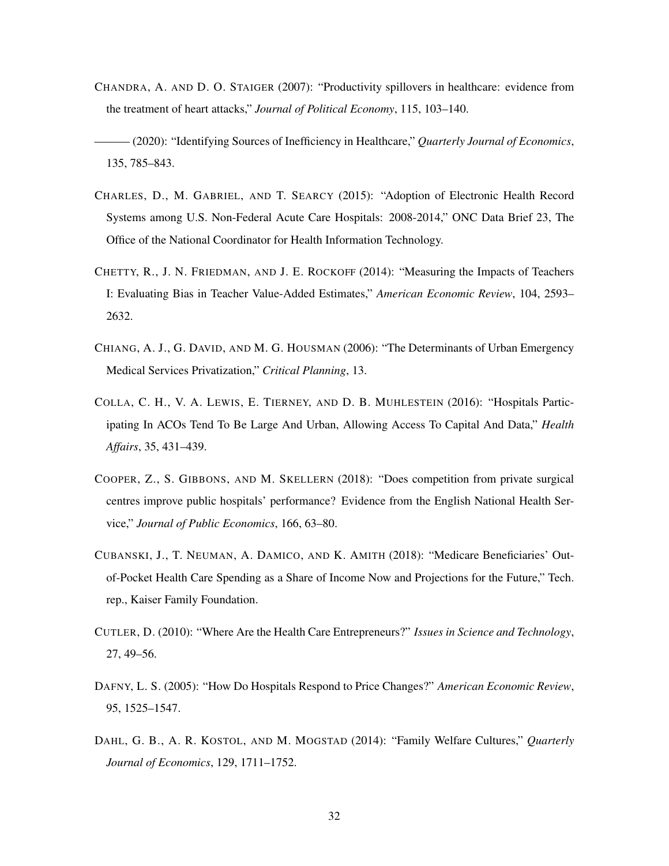- CHANDRA, A. AND D. O. STAIGER (2007): "Productivity spillovers in healthcare: evidence from the treatment of heart attacks," *Journal of Political Economy*, 115, 103–140.
- ——— (2020): "Identifying Sources of Inefficiency in Healthcare," *Quarterly Journal of Economics*, 135, 785–843.
- CHARLES, D., M. GABRIEL, AND T. SEARCY (2015): "Adoption of Electronic Health Record Systems among U.S. Non-Federal Acute Care Hospitals: 2008-2014," ONC Data Brief 23, The Office of the National Coordinator for Health Information Technology.
- CHETTY, R., J. N. FRIEDMAN, AND J. E. ROCKOFF (2014): "Measuring the Impacts of Teachers I: Evaluating Bias in Teacher Value-Added Estimates," *American Economic Review*, 104, 2593– 2632.
- CHIANG, A. J., G. DAVID, AND M. G. HOUSMAN (2006): "The Determinants of Urban Emergency Medical Services Privatization," *Critical Planning*, 13.
- COLLA, C. H., V. A. LEWIS, E. TIERNEY, AND D. B. MUHLESTEIN (2016): "Hospitals Participating In ACOs Tend To Be Large And Urban, Allowing Access To Capital And Data," *Health Affairs*, 35, 431–439.
- COOPER, Z., S. GIBBONS, AND M. SKELLERN (2018): "Does competition from private surgical centres improve public hospitals' performance? Evidence from the English National Health Service," *Journal of Public Economics*, 166, 63–80.
- CUBANSKI, J., T. NEUMAN, A. DAMICO, AND K. AMITH (2018): "Medicare Beneficiaries' Outof-Pocket Health Care Spending as a Share of Income Now and Projections for the Future," Tech. rep., Kaiser Family Foundation.
- CUTLER, D. (2010): "Where Are the Health Care Entrepreneurs?" *Issues in Science and Technology*, 27, 49–56.
- DAFNY, L. S. (2005): "How Do Hospitals Respond to Price Changes?" *American Economic Review*, 95, 1525–1547.
- DAHL, G. B., A. R. KOSTOL, AND M. MOGSTAD (2014): "Family Welfare Cultures," *Quarterly Journal of Economics*, 129, 1711–1752.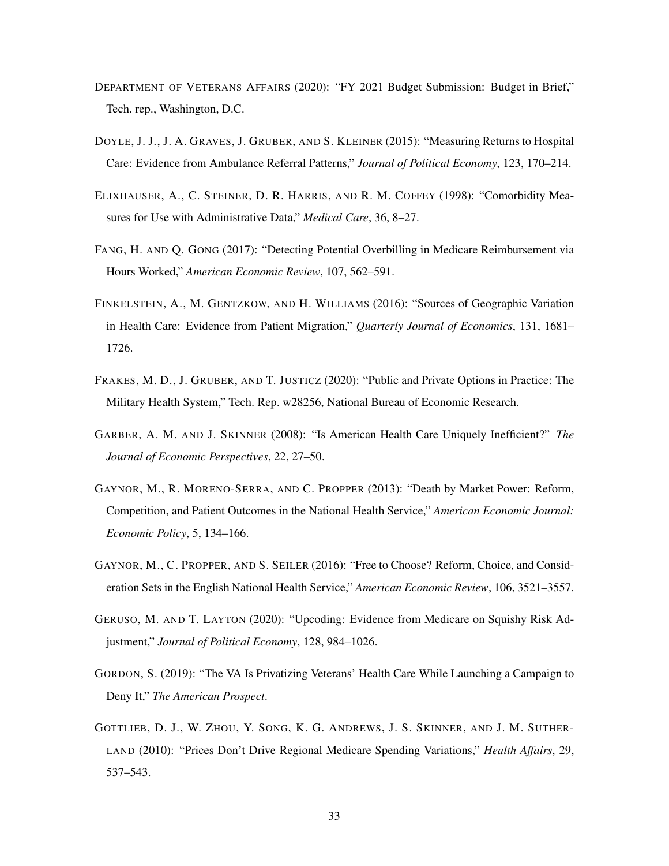- DEPARTMENT OF VETERANS AFFAIRS (2020): "FY 2021 Budget Submission: Budget in Brief," Tech. rep., Washington, D.C.
- DOYLE, J. J., J. A. GRAVES, J. GRUBER, AND S. KLEINER (2015): "Measuring Returns to Hospital Care: Evidence from Ambulance Referral Patterns," *Journal of Political Economy*, 123, 170–214.
- ELIXHAUSER, A., C. STEINER, D. R. HARRIS, AND R. M. COFFEY (1998): "Comorbidity Measures for Use with Administrative Data," *Medical Care*, 36, 8–27.
- FANG, H. AND Q. GONG (2017): "Detecting Potential Overbilling in Medicare Reimbursement via Hours Worked," *American Economic Review*, 107, 562–591.
- FINKELSTEIN, A., M. GENTZKOW, AND H. WILLIAMS (2016): "Sources of Geographic Variation in Health Care: Evidence from Patient Migration," *Quarterly Journal of Economics*, 131, 1681– 1726.
- FRAKES, M. D., J. GRUBER, AND T. JUSTICZ (2020): "Public and Private Options in Practice: The Military Health System," Tech. Rep. w28256, National Bureau of Economic Research.
- GARBER, A. M. AND J. SKINNER (2008): "Is American Health Care Uniquely Inefficient?" *The Journal of Economic Perspectives*, 22, 27–50.
- GAYNOR, M., R. MORENO-SERRA, AND C. PROPPER (2013): "Death by Market Power: Reform, Competition, and Patient Outcomes in the National Health Service," *American Economic Journal: Economic Policy*, 5, 134–166.
- GAYNOR, M., C. PROPPER, AND S. SEILER (2016): "Free to Choose? Reform, Choice, and Consideration Sets in the English National Health Service," *American Economic Review*, 106, 3521–3557.
- GERUSO, M. AND T. LAYTON (2020): "Upcoding: Evidence from Medicare on Squishy Risk Adjustment," *Journal of Political Economy*, 128, 984–1026.
- GORDON, S. (2019): "The VA Is Privatizing Veterans' Health Care While Launching a Campaign to Deny It," *The American Prospect*.
- GOTTLIEB, D. J., W. ZHOU, Y. SONG, K. G. ANDREWS, J. S. SKINNER, AND J. M. SUTHER-LAND (2010): "Prices Don't Drive Regional Medicare Spending Variations," *Health Affairs*, 29, 537–543.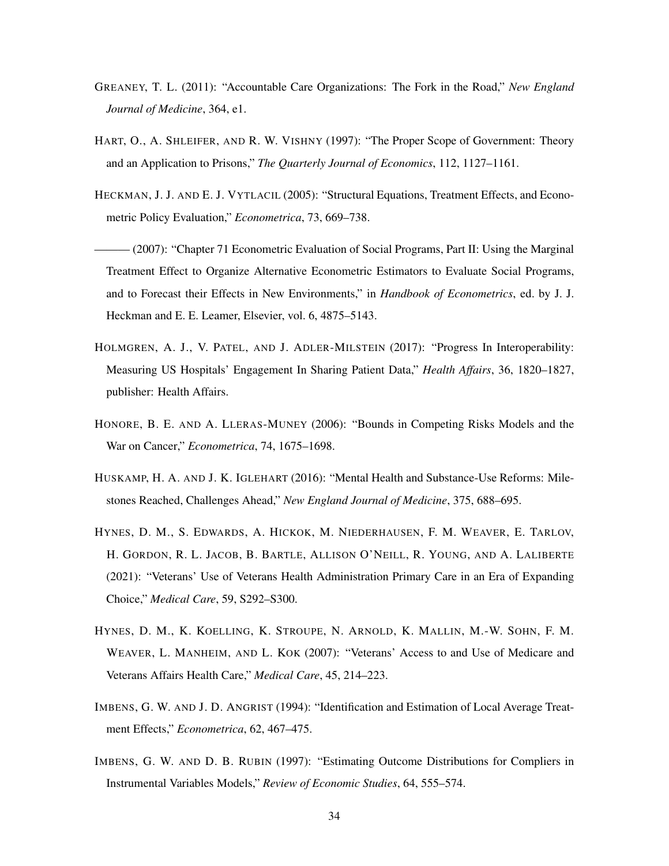- GREANEY, T. L. (2011): "Accountable Care Organizations: The Fork in the Road," *New England Journal of Medicine*, 364, e1.
- HART, O., A. SHLEIFER, AND R. W. VISHNY (1997): "The Proper Scope of Government: Theory and an Application to Prisons," *The Quarterly Journal of Economics*, 112, 1127–1161.
- HECKMAN, J. J. AND E. J. VYTLACIL (2005): "Structural Equations, Treatment Effects, and Econometric Policy Evaluation," *Econometrica*, 73, 669–738.
- ——— (2007): "Chapter 71 Econometric Evaluation of Social Programs, Part II: Using the Marginal Treatment Effect to Organize Alternative Econometric Estimators to Evaluate Social Programs, and to Forecast their Effects in New Environments," in *Handbook of Econometrics*, ed. by J. J. Heckman and E. E. Leamer, Elsevier, vol. 6, 4875–5143.
- HOLMGREN, A. J., V. PATEL, AND J. ADLER-MILSTEIN (2017): "Progress In Interoperability: Measuring US Hospitals' Engagement In Sharing Patient Data," *Health Affairs*, 36, 1820–1827, publisher: Health Affairs.
- HONORE, B. E. AND A. LLERAS-MUNEY (2006): "Bounds in Competing Risks Models and the War on Cancer," *Econometrica*, 74, 1675–1698.
- HUSKAMP, H. A. AND J. K. IGLEHART (2016): "Mental Health and Substance-Use Reforms: Milestones Reached, Challenges Ahead," *New England Journal of Medicine*, 375, 688–695.
- HYNES, D. M., S. EDWARDS, A. HICKOK, M. NIEDERHAUSEN, F. M. WEAVER, E. TARLOV, H. GORDON, R. L. JACOB, B. BARTLE, ALLISON O'NEILL, R. YOUNG, AND A. LALIBERTE (2021): "Veterans' Use of Veterans Health Administration Primary Care in an Era of Expanding Choice," *Medical Care*, 59, S292–S300.
- HYNES, D. M., K. KOELLING, K. STROUPE, N. ARNOLD, K. MALLIN, M.-W. SOHN, F. M. WEAVER, L. MANHEIM, AND L. KOK (2007): "Veterans' Access to and Use of Medicare and Veterans Affairs Health Care," *Medical Care*, 45, 214–223.
- IMBENS, G. W. AND J. D. ANGRIST (1994): "Identification and Estimation of Local Average Treatment Effects," *Econometrica*, 62, 467–475.
- IMBENS, G. W. AND D. B. RUBIN (1997): "Estimating Outcome Distributions for Compliers in Instrumental Variables Models," *Review of Economic Studies*, 64, 555–574.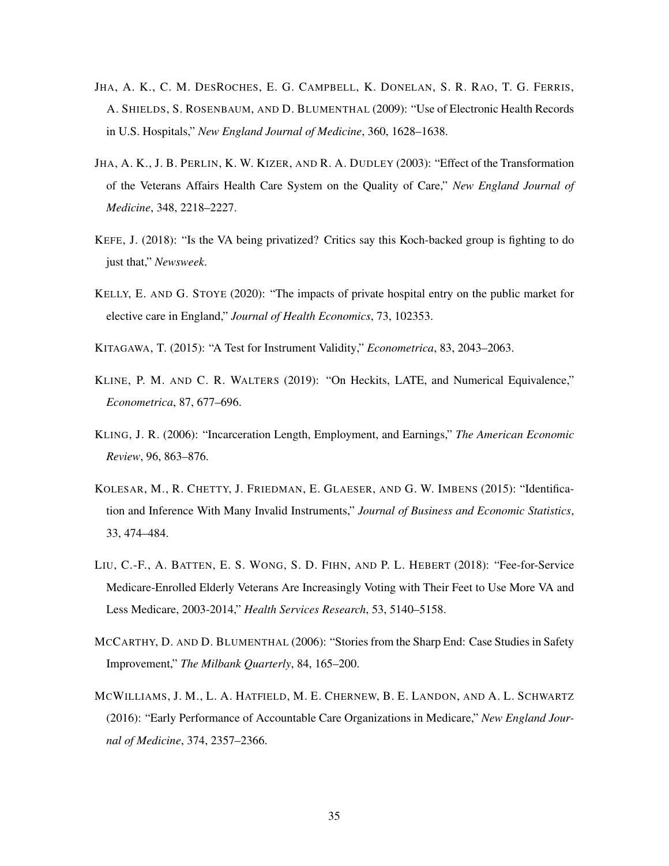- JHA, A. K., C. M. DESROCHES, E. G. CAMPBELL, K. DONELAN, S. R. RAO, T. G. FERRIS, A. SHIELDS, S. ROSENBAUM, AND D. BLUMENTHAL (2009): "Use of Electronic Health Records in U.S. Hospitals," *New England Journal of Medicine*, 360, 1628–1638.
- JHA, A. K., J. B. PERLIN, K. W. KIZER, AND R. A. DUDLEY (2003): "Effect of the Transformation of the Veterans Affairs Health Care System on the Quality of Care," *New England Journal of Medicine*, 348, 2218–2227.
- KEFE, J. (2018): "Is the VA being privatized? Critics say this Koch-backed group is fighting to do just that," *Newsweek*.
- KELLY, E. AND G. STOYE (2020): "The impacts of private hospital entry on the public market for elective care in England," *Journal of Health Economics*, 73, 102353.
- KITAGAWA, T. (2015): "A Test for Instrument Validity," *Econometrica*, 83, 2043–2063.
- KLINE, P. M. AND C. R. WALTERS (2019): "On Heckits, LATE, and Numerical Equivalence," *Econometrica*, 87, 677–696.
- KLING, J. R. (2006): "Incarceration Length, Employment, and Earnings," *The American Economic Review*, 96, 863–876.
- KOLESAR, M., R. CHETTY, J. FRIEDMAN, E. GLAESER, AND G. W. IMBENS (2015): "Identification and Inference With Many Invalid Instruments," *Journal of Business and Economic Statistics*, 33, 474–484.
- LIU, C.-F., A. BATTEN, E. S. WONG, S. D. FIHN, AND P. L. HEBERT (2018): "Fee-for-Service Medicare-Enrolled Elderly Veterans Are Increasingly Voting with Their Feet to Use More VA and Less Medicare, 2003-2014," *Health Services Research*, 53, 5140–5158.
- MCCARTHY, D. AND D. BLUMENTHAL (2006): "Stories from the Sharp End: Case Studies in Safety Improvement," *The Milbank Quarterly*, 84, 165–200.
- MCWILLIAMS, J. M., L. A. HATFIELD, M. E. CHERNEW, B. E. LANDON, AND A. L. SCHWARTZ (2016): "Early Performance of Accountable Care Organizations in Medicare," *New England Journal of Medicine*, 374, 2357–2366.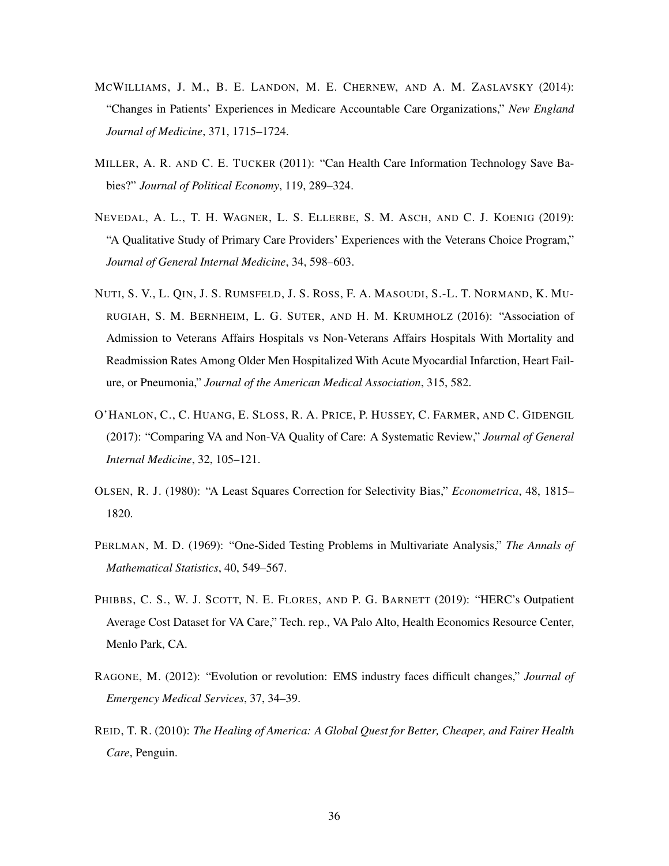- MCWILLIAMS, J. M., B. E. LANDON, M. E. CHERNEW, AND A. M. ZASLAVSKY (2014): "Changes in Patients' Experiences in Medicare Accountable Care Organizations," *New England Journal of Medicine*, 371, 1715–1724.
- MILLER, A. R. AND C. E. TUCKER (2011): "Can Health Care Information Technology Save Babies?" *Journal of Political Economy*, 119, 289–324.
- NEVEDAL, A. L., T. H. WAGNER, L. S. ELLERBE, S. M. ASCH, AND C. J. KOENIG (2019): "A Qualitative Study of Primary Care Providers' Experiences with the Veterans Choice Program," *Journal of General Internal Medicine*, 34, 598–603.
- NUTI, S. V., L. QIN, J. S. RUMSFELD, J. S. ROSS, F. A. MASOUDI, S.-L. T. NORMAND, K. MU-RUGIAH, S. M. BERNHEIM, L. G. SUTER, AND H. M. KRUMHOLZ (2016): "Association of Admission to Veterans Affairs Hospitals vs Non-Veterans Affairs Hospitals With Mortality and Readmission Rates Among Older Men Hospitalized With Acute Myocardial Infarction, Heart Failure, or Pneumonia," *Journal of the American Medical Association*, 315, 582.
- O'HANLON, C., C. HUANG, E. SLOSS, R. A. PRICE, P. HUSSEY, C. FARMER, AND C. GIDENGIL (2017): "Comparing VA and Non-VA Quality of Care: A Systematic Review," *Journal of General Internal Medicine*, 32, 105–121.
- OLSEN, R. J. (1980): "A Least Squares Correction for Selectivity Bias," *Econometrica*, 48, 1815– 1820.
- PERLMAN, M. D. (1969): "One-Sided Testing Problems in Multivariate Analysis," *The Annals of Mathematical Statistics*, 40, 549–567.
- PHIBBS, C. S., W. J. SCOTT, N. E. FLORES, AND P. G. BARNETT (2019): "HERC's Outpatient Average Cost Dataset for VA Care," Tech. rep., VA Palo Alto, Health Economics Resource Center, Menlo Park, CA.
- RAGONE, M. (2012): "Evolution or revolution: EMS industry faces difficult changes," *Journal of Emergency Medical Services*, 37, 34–39.
- REID, T. R. (2010): *The Healing of America: A Global Quest for Better, Cheaper, and Fairer Health Care*, Penguin.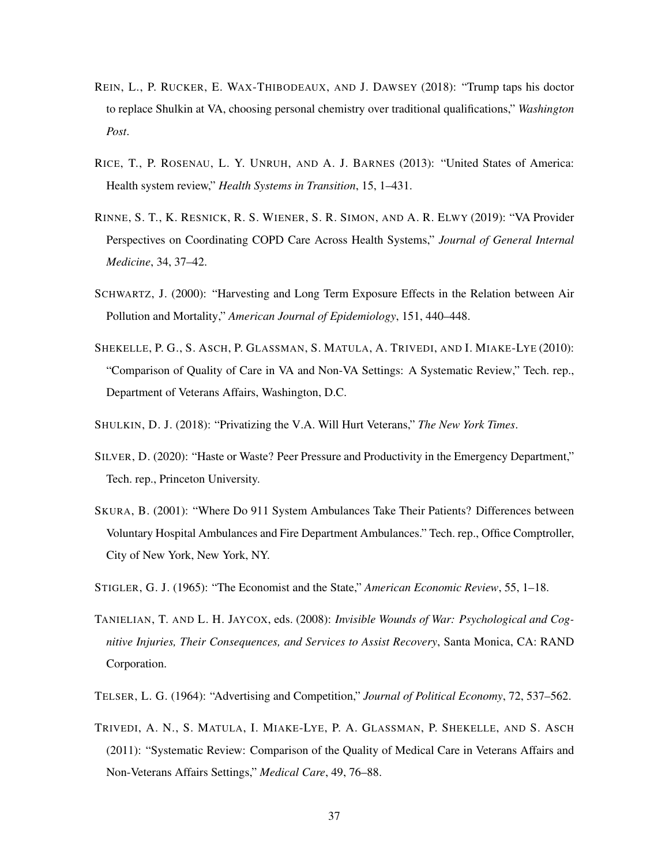- REIN, L., P. RUCKER, E. WAX-THIBODEAUX, AND J. DAWSEY (2018): "Trump taps his doctor to replace Shulkin at VA, choosing personal chemistry over traditional qualifications," *Washington Post*.
- RICE, T., P. ROSENAU, L. Y. UNRUH, AND A. J. BARNES (2013): "United States of America: Health system review," *Health Systems in Transition*, 15, 1–431.
- RINNE, S. T., K. RESNICK, R. S. WIENER, S. R. SIMON, AND A. R. ELWY (2019): "VA Provider Perspectives on Coordinating COPD Care Across Health Systems," *Journal of General Internal Medicine*, 34, 37–42.
- SCHWARTZ, J. (2000): "Harvesting and Long Term Exposure Effects in the Relation between Air Pollution and Mortality," *American Journal of Epidemiology*, 151, 440–448.
- SHEKELLE, P. G., S. ASCH, P. GLASSMAN, S. MATULA, A. TRIVEDI, AND I. MIAKE-LYE (2010): "Comparison of Quality of Care in VA and Non-VA Settings: A Systematic Review," Tech. rep., Department of Veterans Affairs, Washington, D.C.
- SHULKIN, D. J. (2018): "Privatizing the V.A. Will Hurt Veterans," *The New York Times*.
- SILVER, D. (2020): "Haste or Waste? Peer Pressure and Productivity in the Emergency Department," Tech. rep., Princeton University.
- SKURA, B. (2001): "Where Do 911 System Ambulances Take Their Patients? Differences between Voluntary Hospital Ambulances and Fire Department Ambulances." Tech. rep., Office Comptroller, City of New York, New York, NY.
- STIGLER, G. J. (1965): "The Economist and the State," *American Economic Review*, 55, 1–18.
- TANIELIAN, T. AND L. H. JAYCOX, eds. (2008): *Invisible Wounds of War: Psychological and Cognitive Injuries, Their Consequences, and Services to Assist Recovery*, Santa Monica, CA: RAND Corporation.
- TELSER, L. G. (1964): "Advertising and Competition," *Journal of Political Economy*, 72, 537–562.
- TRIVEDI, A. N., S. MATULA, I. MIAKE-LYE, P. A. GLASSMAN, P. SHEKELLE, AND S. ASCH (2011): "Systematic Review: Comparison of the Quality of Medical Care in Veterans Affairs and Non-Veterans Affairs Settings," *Medical Care*, 49, 76–88.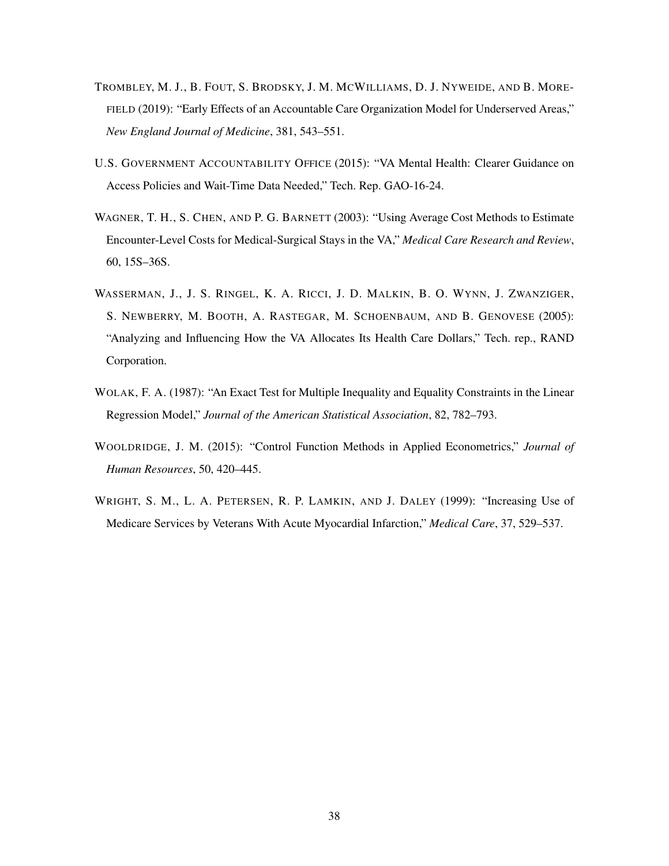- TROMBLEY, M. J., B. FOUT, S. BRODSKY, J. M. MCWILLIAMS, D. J. NYWEIDE, AND B. MORE-FIELD (2019): "Early Effects of an Accountable Care Organization Model for Underserved Areas," *New England Journal of Medicine*, 381, 543–551.
- U.S. GOVERNMENT ACCOUNTABILITY OFFICE (2015): "VA Mental Health: Clearer Guidance on Access Policies and Wait-Time Data Needed," Tech. Rep. GAO-16-24.
- WAGNER, T. H., S. CHEN, AND P. G. BARNETT (2003): "Using Average Cost Methods to Estimate Encounter-Level Costs for Medical-Surgical Stays in the VA," *Medical Care Research and Review*, 60, 15S–36S.
- WASSERMAN, J., J. S. RINGEL, K. A. RICCI, J. D. MALKIN, B. O. WYNN, J. ZWANZIGER, S. NEWBERRY, M. BOOTH, A. RASTEGAR, M. SCHOENBAUM, AND B. GENOVESE (2005): "Analyzing and Influencing How the VA Allocates Its Health Care Dollars," Tech. rep., RAND Corporation.
- WOLAK, F. A. (1987): "An Exact Test for Multiple Inequality and Equality Constraints in the Linear Regression Model," *Journal of the American Statistical Association*, 82, 782–793.
- WOOLDRIDGE, J. M. (2015): "Control Function Methods in Applied Econometrics," *Journal of Human Resources*, 50, 420–445.
- WRIGHT, S. M., L. A. PETERSEN, R. P. LAMKIN, AND J. DALEY (1999): "Increasing Use of Medicare Services by Veterans With Acute Myocardial Infarction," *Medical Care*, 37, 529–537.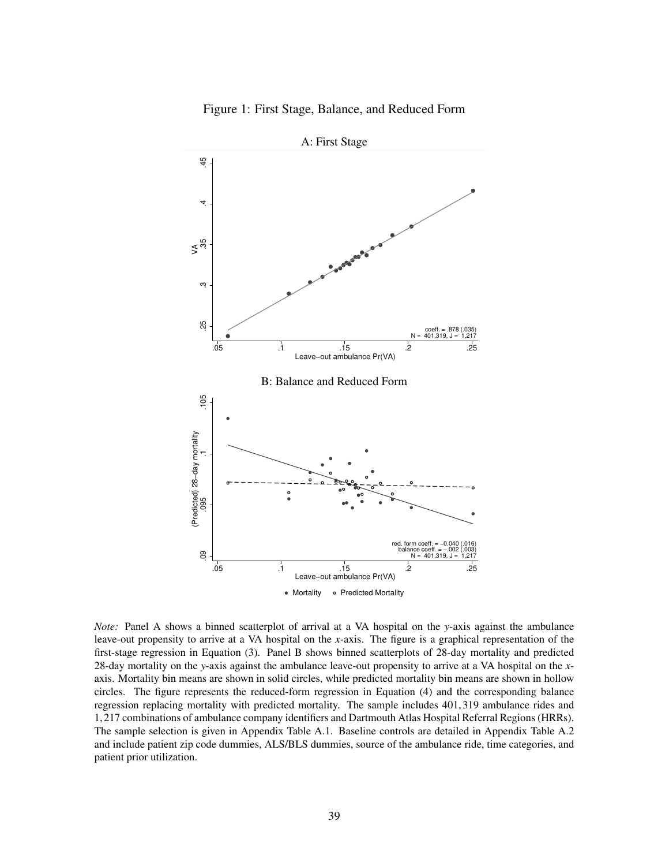



A: First Stage

*Note:* Panel A shows a binned scatterplot of arrival at a VA hospital on the *y*-axis against the ambulance leave-out propensity to arrive at a VA hospital on the *x*-axis. The figure is a graphical representation of the first-stage regression in Equation (3). Panel B shows binned scatterplots of 28-day mortality and predicted 28-day mortality on the *y*-axis against the ambulance leave-out propensity to arrive at a VA hospital on the *x*axis. Mortality bin means are shown in solid circles, while predicted mortality bin means are shown in hollow circles. The figure represents the reduced-form regression in Equation (4) and the corresponding balance regression replacing mortality with predicted mortality. The sample includes 401,319 ambulance rides and 1,217 combinations of ambulance company identifiers and Dartmouth Atlas Hospital Referral Regions (HRRs). The sample selection is given in Appendix Table A.1. Baseline controls are detailed in Appendix Table A.2 and include patient zip code dummies, ALS/BLS dummies, source of the ambulance ride, time categories, and patient prior utilization.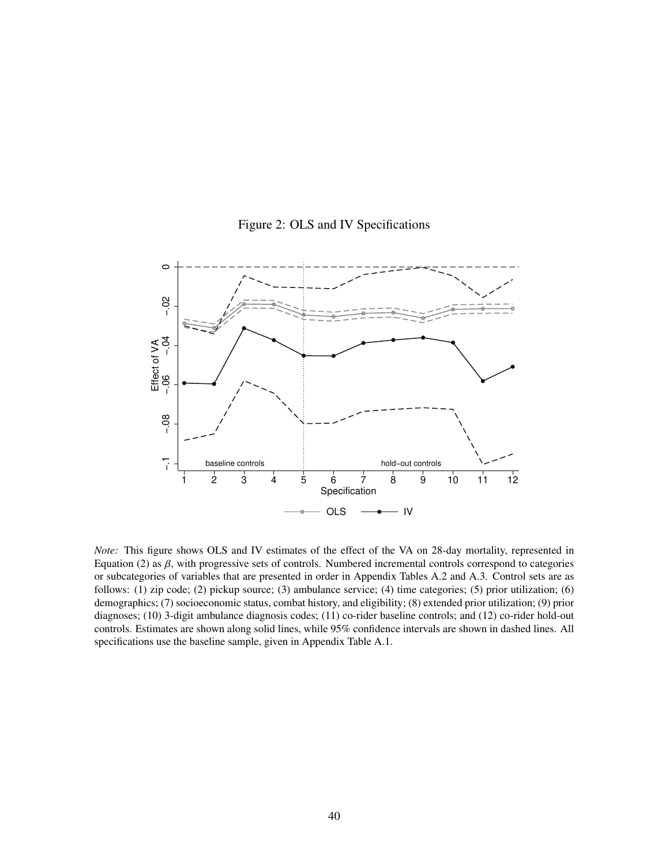

Figure 2: OLS and IV Specifications

*Note:* This figure shows OLS and IV estimates of the effect of the VA on 28-day mortality, represented in Equation (2) as  $\beta$ , with progressive sets of controls. Numbered incremental controls correspond to categories or subcategories of variables that are presented in order in Appendix Tables A.2 and A.3. Control sets are as follows: (1) zip code; (2) pickup source; (3) ambulance service; (4) time categories; (5) prior utilization; (6) demographics; (7) socioeconomic status, combat history, and eligibility; (8) extended prior utilization; (9) prior diagnoses; (10) 3-digit ambulance diagnosis codes; (11) co-rider baseline controls; and (12) co-rider hold-out controls. Estimates are shown along solid lines, while 95% confidence intervals are shown in dashed lines. All specifications use the baseline sample, given in Appendix Table A.1.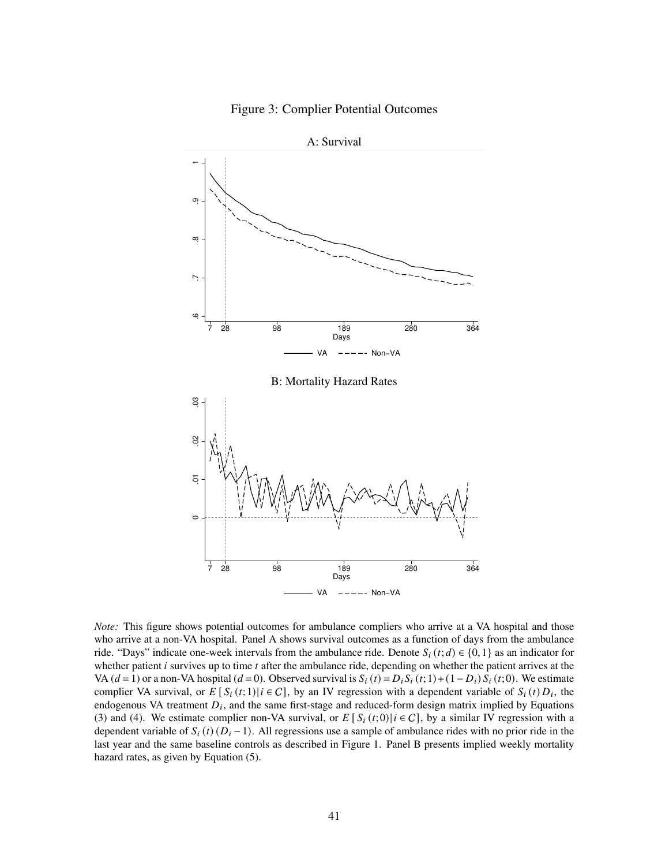



*Note:* This figure shows potential outcomes for ambulance compliers who arrive at a VA hospital and those who arrive at a non-VA hospital. Panel A shows survival outcomes as a function of days from the ambulance ride. "Days" indicate one-week intervals from the ambulance ride. Denote  $S_i(t; d) \in \{0, 1\}$  as an indicator for whether patient  $i$  survives up to time  $t$  after the ambulance ride, depending on whether the patient arrives at the VA ( $d = 1$ ) or a non-VA hospital ( $d = 0$ ). Observed survival is  $S_i(t) = D_i S_i(t; 1) + (1 - D_i) S_i(t; 0)$ . We estimate complier VA survival, or  $E[S_i(t; 1)|i \in C]$ , by an IV regression with a dependent variable of  $S_i(t)D_i$ , the endogenous VA treatment  $D_i$ , and the same first-stage and reduced-form design matrix implied by Equations (3) and (4). We estimate complier non-VA survival, or  $E[S_i(t;0)|i\in C]$ , by a similar IV regression with a dependent variable of  $S_i(t)$  ( $D_i - 1$ ). All regressions use a sample of ambulance rides with no prior ride in the last year and the same baseline controls as described in Figure 1. Panel B presents implied weekly mortality hazard rates, as given by Equation (5).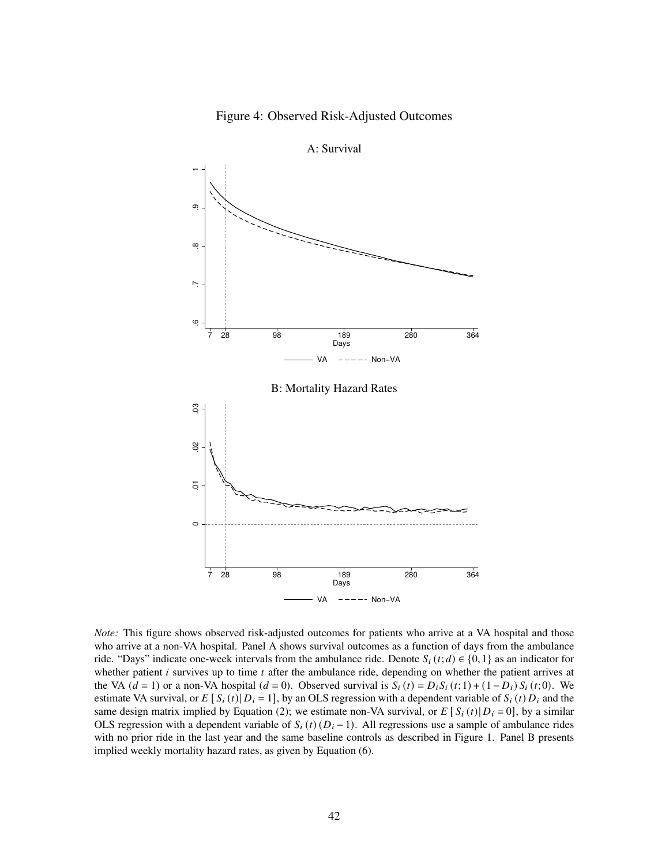



*Note:* This figure shows observed risk-adjusted outcomes for patients who arrive at a VA hospital and those who arrive at a non-VA hospital. Panel A shows survival outcomes as a function of days from the ambulance ride. "Days" indicate one-week intervals from the ambulance ride. Denote  $S_i(t; d) \in \{0, 1\}$  as an indicator for whether patient  $i$  survives up to time  $t$  after the ambulance ride, depending on whether the patient arrives at the VA  $(d = 1)$  or a non-VA hospital  $(d = 0)$ . Observed survival is  $S_i(t) = D_i S_i(t; 1) + (1 - D_i) S_i(t; 0)$ . We estimate VA survival, or  $E[S_i(t) | D_i = 1]$ , by an OLS regression with a dependent variable of  $S_i(t) D_i$  and the same design matrix implied by Equation (2); we estimate non-VA survival, or  $E[S_i(t)|D_i=0]$ , by a similar OLS regression with a dependent variable of  $S_i(t)(D_i-1)$ . All regressions use a sample of ambulance rides with no prior ride in the last year and the same baseline controls as described in Figure 1. Panel B presents implied weekly mortality hazard rates, as given by Equation (6).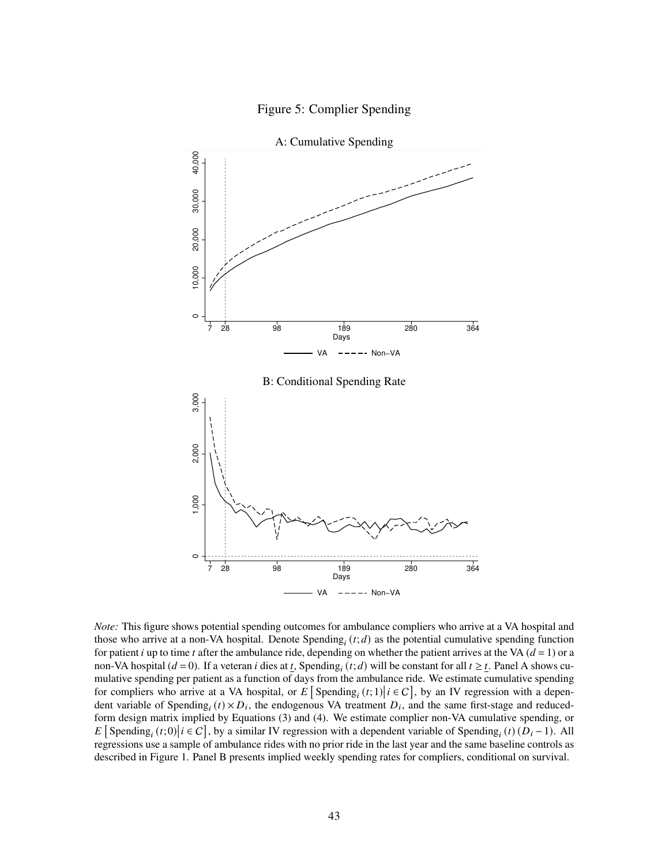



A: Cumulative Spending

*Note:* This figure shows potential spending outcomes for ambulance compliers who arrive at a VA hospital and those who arrive at a non-VA hospital. Denote  $\text{Spending}_i(t; d)$  as the potential cumulative spending function for patient *i* up to time *t* after the ambulance ride, depending on whether the patient arrives at the VA ( $d = 1$ ) or a non-VA hospital ( $d = 0$ ). If a veteran *i* dies at  $\underline{t}$ , Spending<sub>*i*</sub> (*t*; *d*) will be constant for all  $t \geq \underline{t}$ . Panel A shows cumulative spending per patient as a function of days from the ambulance ride. We estimate cumulative spending for compliers who arrive at a VA hospital, or E [Spending<sub>i</sub> (t; 1) |  $i \in C$ ], by an IV regression with a dependent variable of Spending<sub>i</sub> ( $t$ ) ×  $D_i$ , the endogenous VA treatment  $D_i$ , and the same first-stage and reducedform design matrix implied by Equations (3) and (4). We estimate complier non-VA cumulative spending, or E [Spending<sub>i</sub> (t; 0) |  $i \in C$ ], by a similar IV regression with a dependent variable of Spending<sub>i</sub> (t)  $(D_i - 1)$ . All regressions use a sample of ambulance rides with no prior ride in the last year and the same baseline controls as described in Figure 1. Panel B presents implied weekly spending rates for compliers, conditional on survival.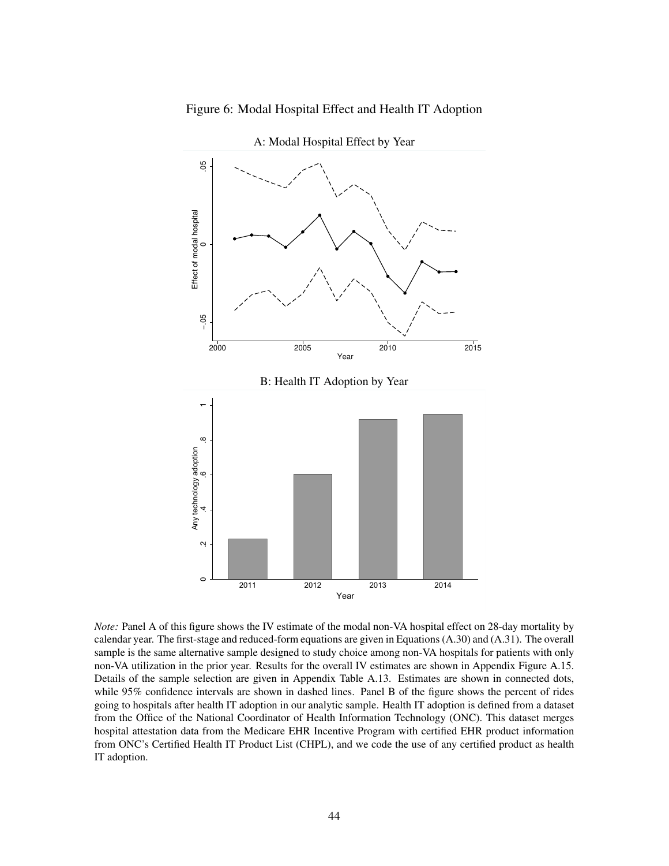

Figure 6: Modal Hospital Effect and Health IT Adoption

*Note:* Panel A of this figure shows the IV estimate of the modal non-VA hospital effect on 28-day mortality by calendar year. The first-stage and reduced-form equations are given in Equations (A.30) and (A.31). The overall sample is the same alternative sample designed to study choice among non-VA hospitals for patients with only non-VA utilization in the prior year. Results for the overall IV estimates are shown in Appendix Figure A.15. Details of the sample selection are given in Appendix Table A.13. Estimates are shown in connected dots, while 95% confidence intervals are shown in dashed lines. Panel B of the figure shows the percent of rides going to hospitals after health IT adoption in our analytic sample. Health IT adoption is defined from a dataset from the Office of the National Coordinator of Health Information Technology (ONC). This dataset merges hospital attestation data from the Medicare EHR Incentive Program with certified EHR product information from ONC's Certified Health IT Product List (CHPL), and we code the use of any certified product as health IT adoption.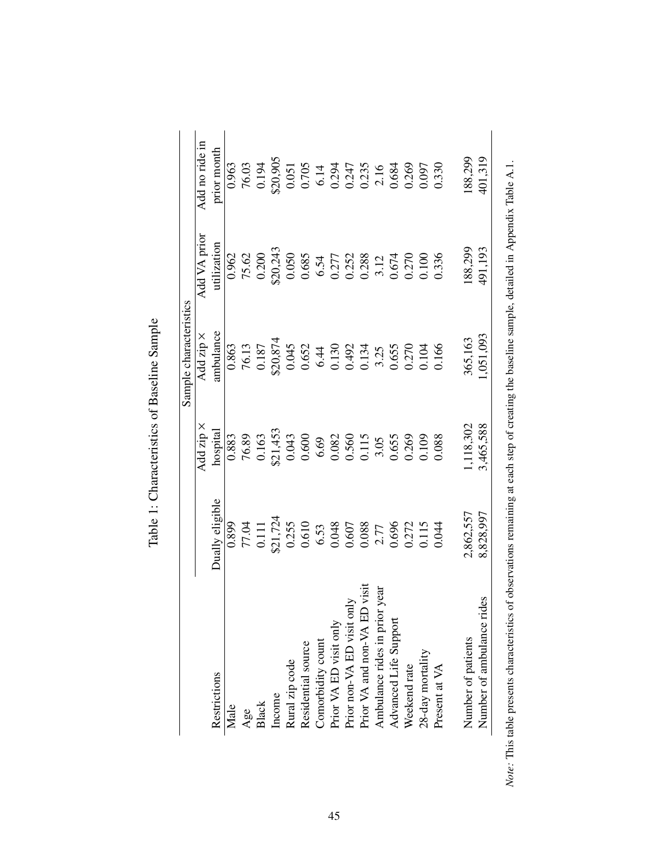|                               |                                                                         |                            | Sample characteristics                                    |                                                                                                                         |                                                                                                                                  |
|-------------------------------|-------------------------------------------------------------------------|----------------------------|-----------------------------------------------------------|-------------------------------------------------------------------------------------------------------------------------|----------------------------------------------------------------------------------------------------------------------------------|
|                               |                                                                         | Add zip $\times$           | Add zip ×                                                 | Add VA prior                                                                                                            | Add no ride in                                                                                                                   |
| Restrictions                  | Dually eligible                                                         | hospital                   | ambulance                                                 | utilization                                                                                                             | prior month                                                                                                                      |
| Male                          | 0.899                                                                   | 0.883                      | 0.863                                                     | 0.962                                                                                                                   | 0.963                                                                                                                            |
| Age                           |                                                                         |                            | 76.13                                                     | 75.62                                                                                                                   |                                                                                                                                  |
| Black                         |                                                                         |                            |                                                           |                                                                                                                         |                                                                                                                                  |
| Income                        | 77.04<br>0.111<br>\$21,724                                              | 76.89<br>0.163<br>\$21,453 | $\frac{0.187}{\$20,874}$                                  | $0.200$<br>\$20,243                                                                                                     | 76.03<br>0.194<br>\$20,905                                                                                                       |
| Rural zip code                |                                                                         | 0.043                      |                                                           | 0.050                                                                                                                   | $0.051\,$                                                                                                                        |
| Residential source            | $\begin{array}{c} 0.255 \\ 0.610 \\ 6.53 \\ 0.048 \\ 0.607 \end{array}$ | 0.600                      |                                                           |                                                                                                                         |                                                                                                                                  |
| Comorbidity count             |                                                                         | 6.69                       |                                                           |                                                                                                                         |                                                                                                                                  |
| Prior VA ED visit only        |                                                                         |                            |                                                           |                                                                                                                         |                                                                                                                                  |
| only<br>Prior non-VA ED visit |                                                                         |                            |                                                           |                                                                                                                         |                                                                                                                                  |
| Prior VA and non-VA ED visit  |                                                                         | 0.082<br>0.560<br>0.115    | 0.652<br>6.44<br>0.130<br>0.134<br>0.655<br>3.25<br>0.104 |                                                                                                                         | $\begin{array}{l} 0.705 \\ 6.14 \\ 0.294 \\ 0.247 \\ 0.247 \\ 0.235 \\ 0.684 \\ 0.089 \\ 0.0269 \\ 0.0369 \\ 0.0007 \end{array}$ |
| Ambulance rides in prior year | 2.77                                                                    | 3.05                       |                                                           |                                                                                                                         |                                                                                                                                  |
| Advanced Life Support         | 0.696                                                                   | 0.655                      |                                                           |                                                                                                                         |                                                                                                                                  |
| Weekend rate                  | 0.272<br>0.115                                                          | 0.269                      |                                                           |                                                                                                                         |                                                                                                                                  |
| 28-day mortality              |                                                                         | 0.109                      |                                                           | $\begin{array}{l} 0.685 \\ 6.54 \\ 0.277 \\ 0.252 \\ 0.288 \\ 0.54 \\ 0.674 \\ 0.674 \\ 0.070 \\ 0.0100 \\ \end{array}$ |                                                                                                                                  |
| Present at VA                 | 0.044                                                                   | 0.088                      | 0.166                                                     | 0.336                                                                                                                   | 0.330                                                                                                                            |
| Number of patients            | 2,862,557                                                               | .118,302                   | 365,163                                                   | 88,299                                                                                                                  | 88,299                                                                                                                           |
| rides<br>Number of ambulance  | 8,828,997                                                               | 3,465,588                  | ,051,093                                                  | 491,193                                                                                                                 | 401,319                                                                                                                          |

| $\frac{1}{2}$<br>ı<br>l |
|-------------------------|
| ٢                       |
|                         |
| 5.001701170140          |
| i                       |
|                         |

45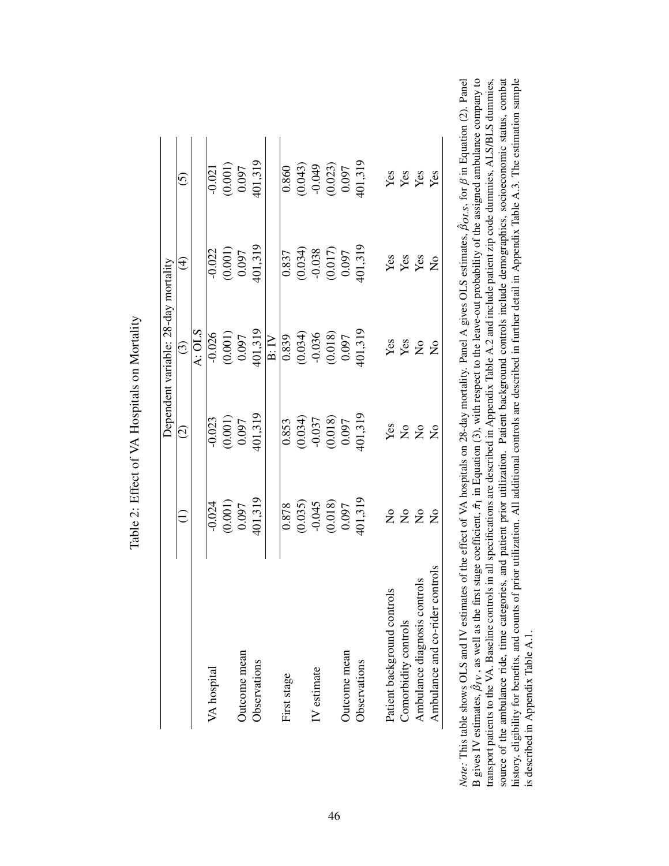|                                 |                                                                                |                                                                           | Dependent variable: 28-day mortality                                         |                                                                                    |                                                                      |
|---------------------------------|--------------------------------------------------------------------------------|---------------------------------------------------------------------------|------------------------------------------------------------------------------|------------------------------------------------------------------------------------|----------------------------------------------------------------------|
|                                 | Ξ                                                                              | $\widehat{\circ}$                                                         | $\odot$                                                                      | $\bigoplus$                                                                        | $\widehat{\odot}$                                                    |
|                                 |                                                                                |                                                                           | A: OLS                                                                       |                                                                                    |                                                                      |
| VA hospital                     | $-0.024$                                                                       | $-0.023$                                                                  | $-0.026$                                                                     | $-0.022$                                                                           | $-0.021$                                                             |
|                                 | $\begin{array}{c} (0.001) \\ 0.097 \end{array}$                                |                                                                           |                                                                              | $\begin{array}{c} (0.001) \\ 0.097 \end{array}$                                    |                                                                      |
| Outcome mean                    |                                                                                | $(0.001)$<br>0.097                                                        |                                                                              |                                                                                    | $\begin{array}{c} (0.001) \\ 0.097 \end{array}$                      |
| Observations                    | 401,319                                                                        | 401,319                                                                   | $(0.001)$<br>0.097<br>401,319                                                | 401,319                                                                            | 401,319                                                              |
|                                 |                                                                                |                                                                           | B:IV                                                                         |                                                                                    |                                                                      |
| First stage                     |                                                                                | 0.853                                                                     |                                                                              | 0.837                                                                              | 0.860                                                                |
|                                 |                                                                                |                                                                           |                                                                              |                                                                                    |                                                                      |
| IV estimate                     |                                                                                |                                                                           |                                                                              |                                                                                    |                                                                      |
|                                 | $\begin{array}{c} 0.878 \\ 0.035) \\ 0.045 \\ 0.018) \\ 0.018) \\ \end{array}$ | $\begin{array}{c} (0.034) \\ -0.037 \\ (0.018) \\ (0.018) \\ \end{array}$ | $\begin{array}{c} 0.839 \\ 0.034) \\ -0.036 \\ 0.018) \\ 0.018) \end{array}$ | $\begin{array}{c} (0.034) \\ (0.038) \\ (0.017) \\ (0.017) \\ (0.097) \end{array}$ | $\begin{array}{c} (0.043) \\ -0.049 \\ (0.023) \\ 0.097 \end{array}$ |
| Outcome mean                    |                                                                                |                                                                           |                                                                              |                                                                                    |                                                                      |
| Observations                    | 101,319                                                                        | 101,319                                                                   | $-01,319$                                                                    | $-01,319$                                                                          | 101,319                                                              |
| trols<br>Patient background con |                                                                                |                                                                           |                                                                              |                                                                                    |                                                                      |
| Comorbidity controls            |                                                                                |                                                                           |                                                                              |                                                                                    |                                                                      |
| Ambulance diagnosis control     | 2222                                                                           | <b>ESPER</b>                                                              | <b>Les</b><br>Les 22                                                         | <b>Yes</b><br>Yes<br>Yes                                                           | Yes<br>Yes<br>Yes                                                    |
| Ambulance and co-rider controls |                                                                                |                                                                           |                                                                              |                                                                                    |                                                                      |

| r<br>C               |
|----------------------|
| $\ddot{\Omega}$<br>ł |
|                      |
|                      |
|                      |
| Î<br>Š               |
|                      |
|                      |

source of the ambulance ride, time categories, and patient prior utilization. Patient background controls include demographics, socioeconomic status, combat history, eligibility for benefits, and counts of prior utilization. All additional controls are described in further detail in Appendix Table A.3. The estimation sample  $\beta_{OLS}$ , for  $\beta$  in Equation (2). Panel  $\beta_{IV}$ , as well as the first stage coefficient,  $\hat{\pi}_1$  in Equation (3), with respect to the leave-out probability of the assigned ambulance company to transport patients to the VA. Baseline controls in all specifications are described in Appendix Table A.2 and include patient zip code dummies, ALS/BLS dummies, source of the ambulance ride, time categories, and patient prior utilization. Patient background controls include demographics, socioeconomic status, combat history, eligibility for benefits, and counts of prior utilization. All additional controls are described in further detail in Appendix Table A.3. The estimation sample ˆ *Note:* This table shows OLS and IV estimates of the effect of VA hospitals on 28-day mortality. Panel A gives OLS estimates, is described in Appendix Table A.1. is described in Appendix Table A.1. ˆ B gives IV estimates,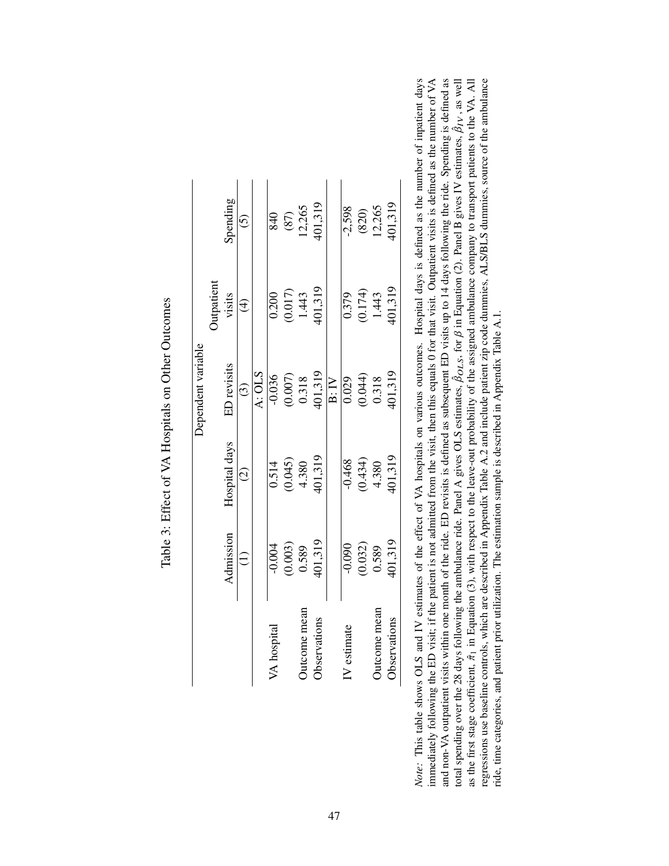|                     |                               |                                                          | Dependent variable            |                          |                             |
|---------------------|-------------------------------|----------------------------------------------------------|-------------------------------|--------------------------|-----------------------------|
|                     |                               |                                                          |                               | <b>Jutpatient</b>        |                             |
|                     | Admission                     | Hospital days                                            | ED revisits                   | visits                   | Spending                    |
|                     |                               | $\widehat{c}$                                            | $\odot$                       | $\widehat{\mathfrak{t}}$ | $\widehat{\odot}$           |
|                     |                               |                                                          | A: OLS                        |                          |                             |
| /A hospital         | $-0.004$                      |                                                          | $-0.036$                      | 0.200                    | 840                         |
|                     | $(0.003)$<br>0.589<br>401,319 | $\begin{array}{c} 0.514 \\ (0.045) \\ 4.380 \end{array}$ |                               |                          |                             |
| Jutcome mean        |                               |                                                          |                               | $(0.017)$<br>1.443       | $(87)$<br>12,265<br>401,319 |
| <b>Observations</b> |                               | 401,319                                                  | $(0.007)$<br>0.318<br>401,319 | 401,319                  |                             |
|                     |                               |                                                          | B:IV                          |                          |                             |
| IV estimate         | $-0.090$                      | $-0.468$                                                 | 0.029                         | 0.379                    | $-2,598$                    |
|                     | $(0.032)$<br>0.589            | $(0.434)$<br>4.380                                       | $(0.044)$<br>0.318            | $(0.174)$<br>1.443       |                             |
| <b>Outcome</b> mean |                               |                                                          |                               |                          | $(820)$<br>12,265           |
| Observations        | 401,319                       | 101,319                                                  | 01,319                        | 401,319                  | 401,319                     |

Table 3: Effect of VA Hospitals on Other Outcomes Table 3: Effect of VA Hospitals on Other Outcomes Note: This table shows OLS and IV estimates of the effect of VA hospitals on various outcomes. Hospital days is defined as the number of inpatient days regressions use baseline controls, which are described in Appendix Table A.2 and include patient zip code dummies, ALS/BLS dummies, source of the ambulance immediately following the ED visit; if the patient is not admitted from the visit, then this equals 0 for that visit. Outpatient visits is defined as the number of VA *Note:* This table shows OLS and IV estimates of the effect of VA hospitals on various outcomes. Hospital days is defined as the number of inpatient days immediately following the ED visit; if the patient is not admitted from the visit, then this equals 0 for that visit. Outpatient visits is defined as the number of VA and non-VA outpatient visits within one month of the ride. ED revisits is defined as subsequent ED visits up to 14 days following the ride. Spending is defined as  $\hat{\beta}_{IV}$ , as well as the first stage coefficient,  $\hat{\pi}_1$  in Equation (3), with respect to the leave-out probability of the assigned ambulance company to transport patients to the VA. All regressions use baseline controls, which are described in Appendix Table A.2 and include patient zip code dummies, ALS/BLS dummies, source of the ambulance  $\beta_{OLS}$ , for  $\beta$  in Equation (2). Panel B gives IV estimates, ride, time categories, and patient prior utilization. The estimation sample is described in Appendix Table A.1. ride, time categories, and patient prior utilization. The estimation sample is described in Appendix Table A.1. ˆ total spending over the 28 days following the ambulance ride. Panel A gives OLS estimates,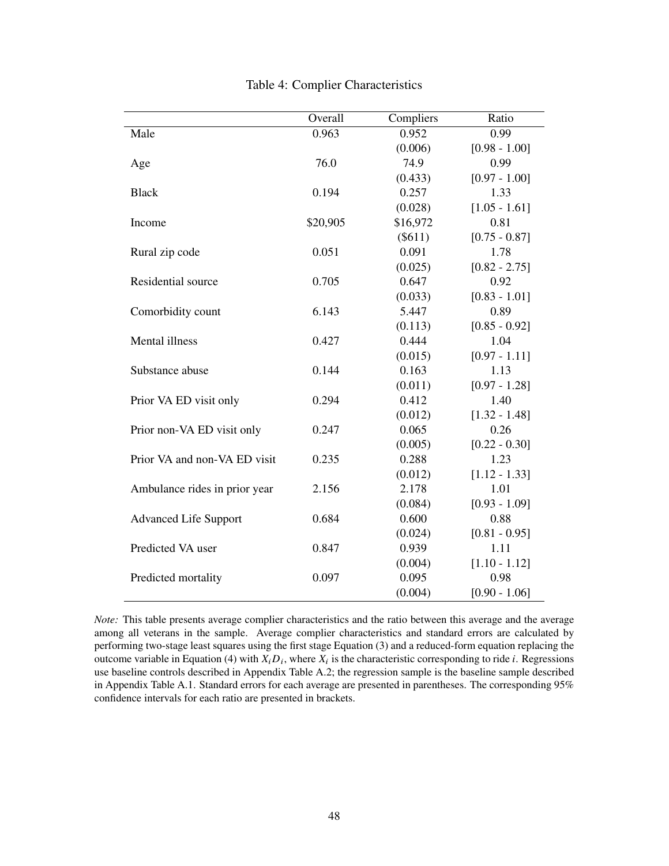|                               | Overall  | Compliers | Ratio           |
|-------------------------------|----------|-----------|-----------------|
| Male                          | 0.963    | 0.952     | 0.99            |
|                               |          | (0.006)   | $[0.98 - 1.00]$ |
| Age                           | 76.0     | 74.9      | 0.99            |
|                               |          | (0.433)   | $[0.97 - 1.00]$ |
| <b>Black</b>                  | 0.194    | 0.257     | 1.33            |
|                               |          | (0.028)   | $[1.05 - 1.61]$ |
| Income                        | \$20,905 | \$16,972  | 0.81            |
|                               |          | $(\$611)$ | $[0.75 - 0.87]$ |
| Rural zip code                | 0.051    | 0.091     | 1.78            |
|                               |          | (0.025)   | $[0.82 - 2.75]$ |
| Residential source            | 0.705    | 0.647     | 0.92            |
|                               |          | (0.033)   | $[0.83 - 1.01]$ |
| Comorbidity count             | 6.143    | 5.447     | 0.89            |
|                               |          | (0.113)   | $[0.85 - 0.92]$ |
| Mental illness                | 0.427    | 0.444     | 1.04            |
|                               |          | (0.015)   | $[0.97 - 1.11]$ |
| Substance abuse               | 0.144    | 0.163     | 1.13            |
|                               |          | (0.011)   | $[0.97 - 1.28]$ |
| Prior VA ED visit only        | 0.294    | 0.412     | 1.40            |
|                               |          | (0.012)   | $[1.32 - 1.48]$ |
| Prior non-VA ED visit only    | 0.247    | 0.065     | 0.26            |
|                               |          | (0.005)   | $[0.22 - 0.30]$ |
| Prior VA and non-VA ED visit  | 0.235    | 0.288     | 1.23            |
|                               |          | (0.012)   | $[1.12 - 1.33]$ |
| Ambulance rides in prior year | 2.156    | 2.178     | 1.01            |
|                               |          | (0.084)   | $[0.93 - 1.09]$ |
| <b>Advanced Life Support</b>  | 0.684    | 0.600     | 0.88            |
|                               |          | (0.024)   | $[0.81 - 0.95]$ |
| Predicted VA user             | 0.847    | 0.939     | 1.11            |
|                               |          | (0.004)   | $[1.10 - 1.12]$ |
| Predicted mortality           | 0.097    | 0.095     | 0.98            |
|                               |          | (0.004)   | $[0.90 - 1.06]$ |

Table 4: Complier Characteristics

*Note:* This table presents average complier characteristics and the ratio between this average and the average among all veterans in the sample. Average complier characteristics and standard errors are calculated by performing two-stage least squares using the first stage Equation (3) and a reduced-form equation replacing the outcome variable in Equation (4) with  $X_i D_i$ , where  $X_i$  is the characteristic corresponding to ride *i*. Regressions use baseline controls described in Appendix Table A.2; the regression sample is the baseline sample described in Appendix Table A.1. Standard errors for each average are presented in parentheses. The corresponding 95% confidence intervals for each ratio are presented in brackets.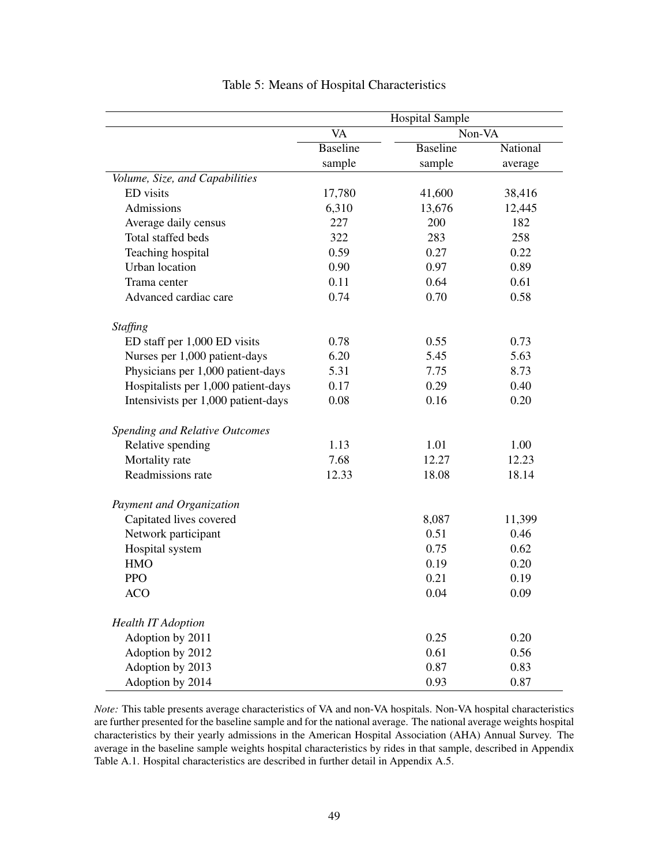|                                       |                 | <b>Hospital Sample</b> |          |
|---------------------------------------|-----------------|------------------------|----------|
|                                       | VA              | Non-VA                 |          |
|                                       | <b>Baseline</b> | <b>Baseline</b>        | National |
|                                       | sample          | sample                 | average  |
| Volume, Size, and Capabilities        |                 |                        |          |
| ED visits                             | 17,780          | 41,600                 | 38,416   |
| Admissions                            | 6,310           | 13,676                 | 12,445   |
| Average daily census                  | 227             | 200                    | 182      |
| Total staffed beds                    | 322             | 283                    | 258      |
| Teaching hospital                     | 0.59            | 0.27                   | 0.22     |
| <b>Urban</b> location                 | 0.90            | 0.97                   | 0.89     |
| Trama center                          | 0.11            | 0.64                   | 0.61     |
| Advanced cardiac care                 | 0.74            | 0.70                   | 0.58     |
| Staffing                              |                 |                        |          |
| ED staff per 1,000 ED visits          | 0.78            | 0.55                   | 0.73     |
| Nurses per 1,000 patient-days         | 6.20            | 5.45                   | 5.63     |
| Physicians per 1,000 patient-days     | 5.31            | 7.75                   | 8.73     |
| Hospitalists per 1,000 patient-days   | 0.17            | 0.29                   | 0.40     |
| Intensivists per 1,000 patient-days   | 0.08            | 0.16                   | 0.20     |
| <b>Spending and Relative Outcomes</b> |                 |                        |          |
| Relative spending                     | 1.13            | 1.01                   | 1.00     |
| Mortality rate                        | 7.68            | 12.27                  | 12.23    |
| Readmissions rate                     | 12.33           | 18.08                  | 18.14    |
| Payment and Organization              |                 |                        |          |
| Capitated lives covered               |                 | 8,087                  | 11,399   |
| Network participant                   |                 | 0.51                   | 0.46     |
| Hospital system                       |                 | 0.75                   | 0.62     |
| <b>HMO</b>                            |                 | 0.19                   | 0.20     |
| <b>PPO</b>                            |                 | 0.21                   | 0.19     |
| <b>ACO</b>                            |                 | 0.04                   | 0.09     |
| <b>Health IT Adoption</b>             |                 |                        |          |
| Adoption by 2011                      |                 | 0.25                   | 0.20     |
| Adoption by 2012                      |                 | 0.61                   | 0.56     |
| Adoption by 2013                      |                 | 0.87                   | 0.83     |
| Adoption by 2014                      |                 | 0.93                   | 0.87     |

| Table 5: Means of Hospital Characteristics |  |  |
|--------------------------------------------|--|--|
|--------------------------------------------|--|--|

*Note:* This table presents average characteristics of VA and non-VA hospitals. Non-VA hospital characteristics are further presented for the baseline sample and for the national average. The national average weights hospital characteristics by their yearly admissions in the American Hospital Association (AHA) Annual Survey. The average in the baseline sample weights hospital characteristics by rides in that sample, described in Appendix Table A.1. Hospital characteristics are described in further detail in Appendix A.5.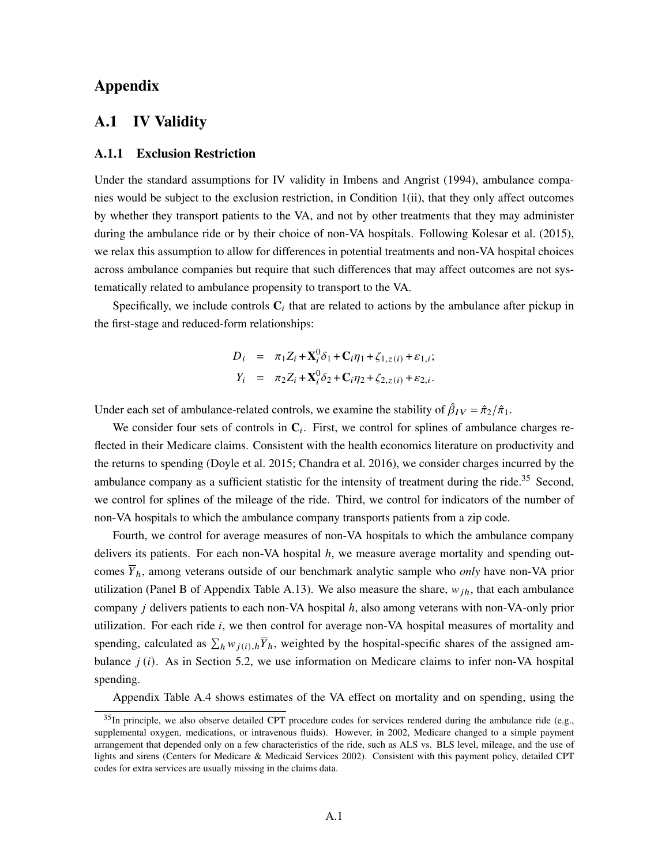## Appendix

# A.1 IV Validity

### A.1.1 Exclusion Restriction

Under the standard assumptions for IV validity in Imbens and Angrist (1994), ambulance companies would be subject to the exclusion restriction, in Condition 1(ii), that they only affect outcomes by whether they transport patients to the VA, and not by other treatments that they may administer during the ambulance ride or by their choice of non-VA hospitals. Following Kolesar et al. (2015), we relax this assumption to allow for differences in potential treatments and non-VA hospital choices across ambulance companies but require that such differences that may affect outcomes are not systematically related to ambulance propensity to transport to the VA.

Specifically, we include controls  $C_i$  that are related to actions by the ambulance after pickup in the first-stage and reduced-form relationships:

$$
D_i = \pi_1 Z_i + \mathbf{X}_i^0 \delta_1 + \mathbf{C}_i \eta_1 + \zeta_{1, z(i)} + \varepsilon_{1, i};
$$
  
\n
$$
Y_i = \pi_2 Z_i + \mathbf{X}_i^0 \delta_2 + \mathbf{C}_i \eta_2 + \zeta_{2, z(i)} + \varepsilon_{2, i}.
$$

Under each set of ambulance-related controls, we examine the stability of  $\hat{\beta}_{IV} = \hat{\pi}_2/\hat{\pi}_1$ .

We consider four sets of controls in  $C_i$ . First, we control for splines of ambulance charges reflected in their Medicare claims. Consistent with the health economics literature on productivity and the returns to spending (Doyle et al. 2015; Chandra et al. 2016), we consider charges incurred by the ambulance company as a sufficient statistic for the intensity of treatment during the ride.<sup>35</sup> Second, we control for splines of the mileage of the ride. Third, we control for indicators of the number of non-VA hospitals to which the ambulance company transports patients from a zip code.

Fourth, we control for average measures of non-VA hospitals to which the ambulance company delivers its patients. For each non-VA hospital  $h$ , we measure average mortality and spending outcomes  $\overline{Y}_h$ , among veterans outside of our benchmark analytic sample who *only* have non-VA prior utilization (Panel B of Appendix Table A.13). We also measure the share,  $w_{ih}$ , that each ambulance company  $j$  delivers patients to each non-VA hospital  $h$ , also among veterans with non-VA-only prior utilization. For each ride  $i$ , we then control for average non-VA hospital measures of mortality and spending, calculated as  $\sum_h w_{j(i),h} \overline{Y}_h$ , weighted by the hospital-specific shares of the assigned ambulance  $j(i)$ . As in Section 5.2, we use information on Medicare claims to infer non-VA hospital spending.

Appendix Table A.4 shows estimates of the VA effect on mortality and on spending, using the

 $35$ In principle, we also observe detailed CPT procedure codes for services rendered during the ambulance ride (e.g., supplemental oxygen, medications, or intravenous fluids). However, in 2002, Medicare changed to a simple payment arrangement that depended only on a few characteristics of the ride, such as ALS vs. BLS level, mileage, and the use of lights and sirens (Centers for Medicare & Medicaid Services 2002). Consistent with this payment policy, detailed CPT codes for extra services are usually missing in the claims data.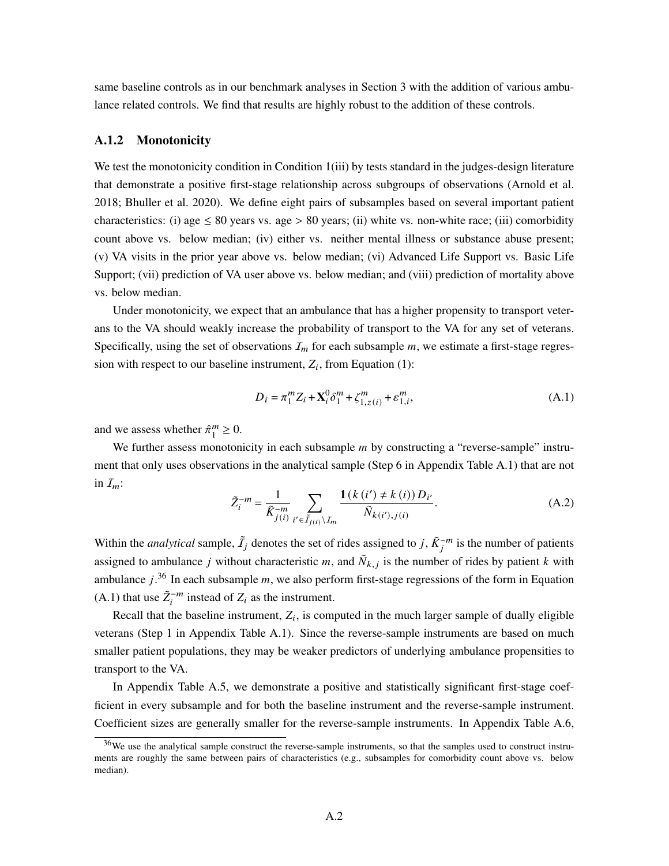same baseline controls as in our benchmark analyses in Section 3 with the addition of various ambulance related controls. We find that results are highly robust to the addition of these controls.

### A.1.2 Monotonicity

We test the monotonicity condition in Condition 1(iii) by tests standard in the judges-design literature that demonstrate a positive first-stage relationship across subgroups of observations (Arnold et al. 2018; Bhuller et al. 2020). We define eight pairs of subsamples based on several important patient characteristics: (i) age  $\leq 80$  years vs. age  $> 80$  years; (ii) white vs. non-white race; (iii) comorbidity count above vs. below median; (iv) either vs. neither mental illness or substance abuse present; (v) VA visits in the prior year above vs. below median; (vi) Advanced Life Support vs. Basic Life Support; (vii) prediction of VA user above vs. below median; and (viii) prediction of mortality above vs. below median.

Under monotonicity, we expect that an ambulance that has a higher propensity to transport veterans to the VA should weakly increase the probability of transport to the VA for any set of veterans. Specifically, using the set of observations  $I_m$  for each subsample  $m$ , we estimate a first-stage regression with respect to our baseline instrument,  $Z_i$ , from Equation (1):

$$
D_i = \pi_1^m Z_i + \mathbf{X}_i^0 \delta_1^m + \zeta_{1,z(i)}^m + \varepsilon_{1,i}^m,
$$
 (A.1)

and we assess whether  $\hat{\pi}^m_1$  $_{1}^{m} \geq 0.$ 

We further assess monotonicity in each subsample  $m$  by constructing a "reverse-sample" instrument that only uses observations in the analytical sample (Step 6 in Appendix Table A.1) that are not in  $I_m$ :

$$
\tilde{Z}_{i}^{-m} = \frac{1}{\tilde{K}_{j(i)}} \sum_{i' \in \tilde{I}_{j(i)} \setminus I_m} \frac{\mathbf{1}(k(i') \neq k(i)) D_{i'}}{\tilde{N}_{k(i'),j(i)}}.
$$
\n(A.2)

Within the *analytical* sample,  $\tilde{I}_j$  denotes the set of rides assigned to j,  $\tilde{K}_j^{-m}$  is the number of patients assigned to ambulance j without characteristic m, and  $\tilde{N}_{k,j}$  is the number of rides by patient k with ambulance  $j^{36}$  In each subsample m, we also perform first-stage regressions of the form in Equation (A.1) that use  $\tilde{Z}_i^{-m}$  instead of  $Z_i$  as the instrument.

Recall that the baseline instrument,  $Z_i$ , is computed in the much larger sample of dually eligible veterans (Step 1 in Appendix Table A.1). Since the reverse-sample instruments are based on much smaller patient populations, they may be weaker predictors of underlying ambulance propensities to transport to the VA.

In Appendix Table A.5, we demonstrate a positive and statistically significant first-stage coefficient in every subsample and for both the baseline instrument and the reverse-sample instrument. Coefficient sizes are generally smaller for the reverse-sample instruments. In Appendix Table A.6,

<sup>&</sup>lt;sup>36</sup>We use the analytical sample construct the reverse-sample instruments, so that the samples used to construct instruments are roughly the same between pairs of characteristics (e.g., subsamples for comorbidity count above vs. below median).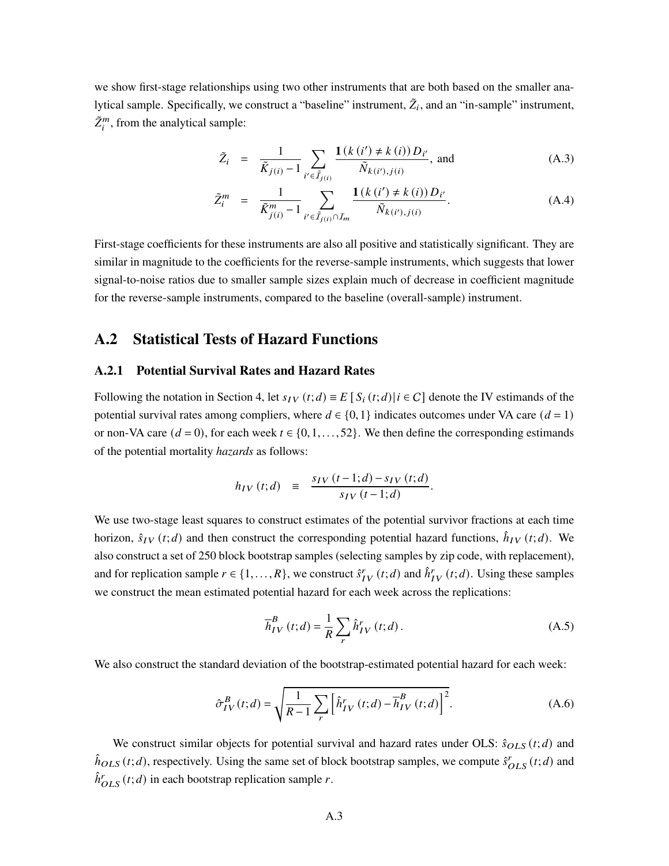we show first-stage relationships using two other instruments that are both based on the smaller analytical sample. Specifically, we construct a "baseline" instrument,  $\tilde{Z}_i$ , and an "in-sample" instrument,  $\tilde{Z}_i^m$ , from the analytical sample:

$$
\tilde{Z}_{i} = \frac{1}{\tilde{K}_{j(i)} - 1} \sum_{i' \in \tilde{I}_{j(i)}} \frac{\mathbf{1}(k(i') \neq k(i)) D_{i'}}{\tilde{N}_{k(i'),j(i)}}, \text{ and} \tag{A.3}
$$

$$
\tilde{Z}_i^m = \frac{1}{\tilde{K}_{j(i)}^m - 1} \sum_{i' \in \tilde{I}_{j(i)} \cap I_m} \frac{\mathbf{1}(k(i') \neq k(i)) D_{i'}}{\tilde{N}_{k(i'),j(i)}}.
$$
\n(A.4)

First-stage coefficients for these instruments are also all positive and statistically significant. They are similar in magnitude to the coefficients for the reverse-sample instruments, which suggests that lower signal-to-noise ratios due to smaller sample sizes explain much of decrease in coefficient magnitude for the reverse-sample instruments, compared to the baseline (overall-sample) instrument.

# A.2 Statistical Tests of Hazard Functions

### A.2.1 Potential Survival Rates and Hazard Rates

Following the notation in Section 4, let  $s_{IV}(t; d) \equiv E[S_i(t; d)]$   $i \in C$  denote the IV estimands of the potential survival rates among compliers, where  $d \in \{0, 1\}$  indicates outcomes under VA care  $(d = 1)$ or non-VA care  $(d = 0)$ , for each week  $t \in \{0, 1, \ldots, 52\}$ . We then define the corresponding estimands of the potential mortality *hazards* as follows:

$$
h_{IV}(t; d) \equiv \frac{s_{IV}(t-1; d) - s_{IV}(t; d)}{s_{IV}(t-1; d)}.
$$

We use two-stage least squares to construct estimates of the potential survivor fractions at each time horizon,  $\hat{s}_{IV}(t; d)$  and then construct the corresponding potential hazard functions,  $\hat{h}_{IV}(t; d)$ . We also construct a set of 250 block bootstrap samples (selecting samples by zip code, with replacement), and for replication sample  $r \in \{1, ..., R\}$ , we construct  $\hat{s}_{IV}^r(t; d)$  and  $\hat{h}_{IV}^r(t; d)$ . Using these samples we construct the mean estimated potential hazard for each week across the replications:

$$
\overline{h}_{IV}^{B}\left(t;d\right) = \frac{1}{R} \sum_{r} \hat{h}_{IV}^{r}\left(t;d\right). \tag{A.5}
$$

We also construct the standard deviation of the bootstrap-estimated potential hazard for each week:

$$
\hat{\sigma}_{IV}^{B}(t;d) = \sqrt{\frac{1}{R-1} \sum_{r} \left[ \hat{h}_{IV}^{r}(t;d) - \overline{h}_{IV}^{B}(t;d) \right]^2}.
$$
\n(A.6)

We construct similar objects for potential survival and hazard rates under OLS:  $\hat{s}_{OLS}(t; d)$  and  $\hat{h}_{OLS}(t; d)$ , respectively. Using the same set of block bootstrap samples, we compute  $\hat{s}_{OLS}^r(t; d)$  and  $\hat{h}_{OLS}^r(t; d)$  in each bootstrap replication sample r.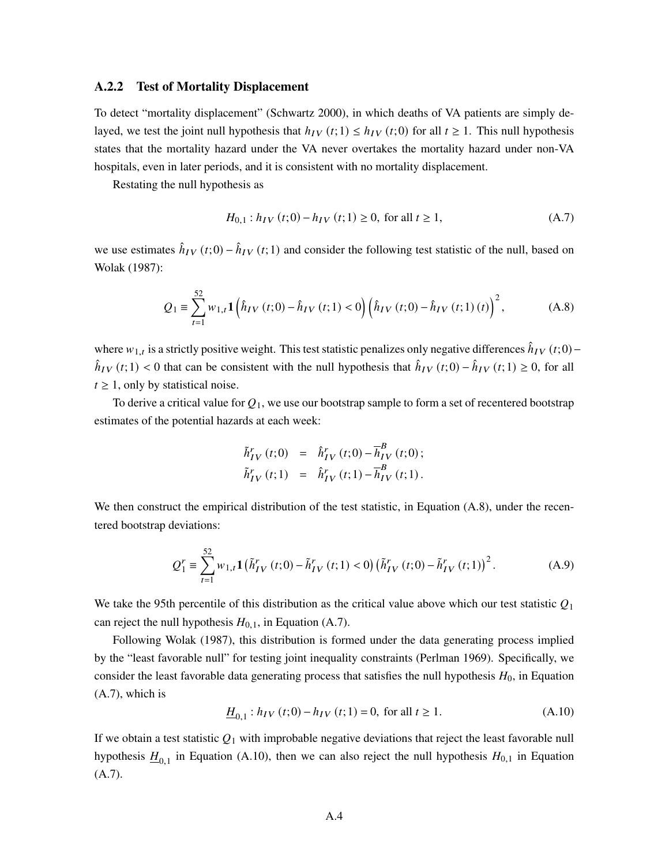### A.2.2 Test of Mortality Displacement

To detect "mortality displacement" (Schwartz 2000), in which deaths of VA patients are simply delayed, we test the joint null hypothesis that  $h_{IV}(t; 1) \le h_{IV}(t; 0)$  for all  $t \ge 1$ . This null hypothesis states that the mortality hazard under the VA never overtakes the mortality hazard under non-VA hospitals, even in later periods, and it is consistent with no mortality displacement.

Restating the null hypothesis as

$$
H_{0,1}: h_{IV}(t;0) - h_{IV}(t;1) \ge 0, \text{ for all } t \ge 1,
$$
 (A.7)

we use estimates  $\hat{h}_{IV}(t;0) - \hat{h}_{IV}(t;1)$  and consider the following test statistic of the null, based on Wolak (1987):

$$
Q_1 \equiv \sum_{t=1}^{52} w_{1,t} \mathbf{1} \left( \hat{h}_{IV}(t;0) - \hat{h}_{IV}(t;1) < 0 \right) \left( \hat{h}_{IV}(t;0) - \hat{h}_{IV}(t;1)(t) \right)^2, \tag{A.8}
$$

where  $w_{1,t}$  is a strictly positive weight. This test statistic penalizes only negative differences  $\hat{h}_{IV}(t;0)$  –  $\hat{h}_{IV}(t;1) < 0$  that can be consistent with the null hypothesis that  $\hat{h}_{IV}(t;0) - \hat{h}_{IV}(t;1) \ge 0$ , for all  $t \geq 1$ , only by statistical noise.

To derive a critical value for  $Q_1$ , we use our bootstrap sample to form a set of recentered bootstrap estimates of the potential hazards at each week:

$$
\tilde{h}_{IV}^{r}(t;0) = \hat{h}_{IV}^{r}(t;0) - \overline{h}_{IV}^{B}(t;0); \n\tilde{h}_{IV}^{r}(t;1) = \hat{h}_{IV}^{r}(t;1) - \overline{h}_{IV}^{B}(t;1).
$$

We then construct the empirical distribution of the test statistic, in Equation (A.8), under the recentered bootstrap deviations:

$$
Q_1^r \equiv \sum_{t=1}^{52} w_{1,t} \mathbf{1} \left( \tilde{h}_{IV}^r(t;0) - \tilde{h}_{IV}^r(t;1) < 0 \right) \left( \tilde{h}_{IV}^r(t;0) - \tilde{h}_{IV}^r(t;1) \right)^2. \tag{A.9}
$$

We take the 95th percentile of this distribution as the critical value above which our test statistic  $Q_1$ can reject the null hypothesis  $H_{0,1}$ , in Equation (A.7).

Following Wolak (1987), this distribution is formed under the data generating process implied by the "least favorable null" for testing joint inequality constraints (Perlman 1969). Specifically, we consider the least favorable data generating process that satisfies the null hypothesis  $H_0$ , in Equation (A.7), which is

$$
\underline{H}_{0,1}: h_{IV}(t;0) - h_{IV}(t;1) = 0, \text{ for all } t \ge 1.
$$
\n(A.10)

If we obtain a test statistic  $Q_1$  with improbable negative deviations that reject the least favorable null hypothesis  $\underline{H}_{0,1}$  in Equation (A.10), then we can also reject the null hypothesis  $H_{0,1}$  in Equation (A.7).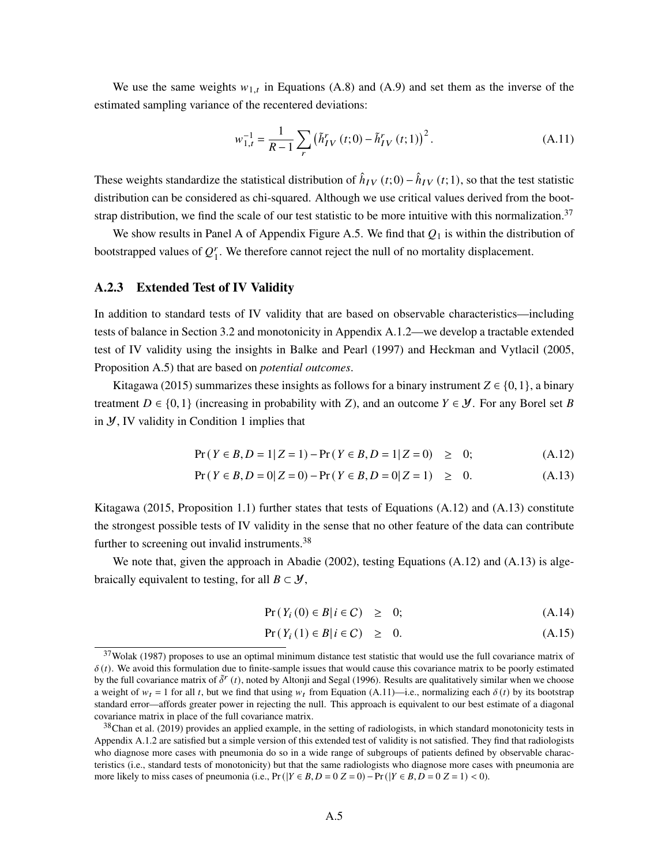We use the same weights  $w_{1,t}$  in Equations (A.8) and (A.9) and set them as the inverse of the estimated sampling variance of the recentered deviations:

$$
w_{1,t}^{-1} = \frac{1}{R-1} \sum_{r} (\tilde{h}_{IV}^{r}(t;0) - \tilde{h}_{IV}^{r}(t;1))^{2}.
$$
 (A.11)

These weights standardize the statistical distribution of  $\hat{h}_{IV}(t;0) - \hat{h}_{IV}(t;1)$ , so that the test statistic distribution can be considered as chi-squared. Although we use critical values derived from the bootstrap distribution, we find the scale of our test statistic to be more intuitive with this normalization.<sup>37</sup>

We show results in Panel A of Appendix Figure A.5. We find that  $Q_1$  is within the distribution of bootstrapped values of  $Q_1^r$  $I<sub>1</sub>$ . We therefore cannot reject the null of no mortality displacement.

### A.2.3 Extended Test of IV Validity

In addition to standard tests of IV validity that are based on observable characteristics—including tests of balance in Section 3.2 and monotonicity in Appendix A.1.2—we develop a tractable extended test of IV validity using the insights in Balke and Pearl (1997) and Heckman and Vytlacil (2005, Proposition A.5) that are based on *potential outcomes*.

Kitagawa (2015) summarizes these insights as follows for a binary instrument  $Z \in \{0, 1\}$ , a binary treatment  $D \in \{0,1\}$  (increasing in probability with Z), and an outcome  $Y \in \mathcal{Y}$ . For any Borel set B in  $\mathcal{Y}$ , IV validity in Condition 1 implies that

$$
Pr(Y \in B, D = 1 | Z = 1) - Pr(Y \in B, D = 1 | Z = 0) \ge 0;
$$
 (A.12)

$$
Pr(Y \in B, D = 0 | Z = 0) - Pr(Y \in B, D = 0 | Z = 1) \ge 0.
$$
 (A.13)

Kitagawa (2015, Proposition 1.1) further states that tests of Equations (A.12) and (A.13) constitute the strongest possible tests of IV validity in the sense that no other feature of the data can contribute further to screening out invalid instruments.<sup>38</sup>

We note that, given the approach in Abadie (2002), testing Equations (A.12) and (A.13) is algebraically equivalent to testing, for all  $B \subset \mathcal{Y}$ ,

$$
Pr(Y_i(0) \in B | i \in C) \geq 0; \tag{A.14}
$$

$$
Pr(Y_i(1) \in B | i \in C) \geq 0. \tag{A.15}
$$

 $37$ Wolak (1987) proposes to use an optimal minimum distance test statistic that would use the full covariance matrix of  $\delta(t)$ . We avoid this formulation due to finite-sample issues that would cause this covariance matrix to be poorly estimated by the full covariance matrix of  $\tilde{\delta}^r(t)$ , noted by Altonji and Segal (1996). Results are qualitatively similar when we choose a weight of  $w_t = 1$  for all t, but we find that using  $w_t$  from Equation (A.11)—i.e., normalizing each  $\delta(t)$  by its bootstrap standard error—affords greater power in rejecting the null. This approach is equivalent to our best estimate of a diagonal covariance matrix in place of the full covariance matrix.

 $38$ Chan et al. (2019) provides an applied example, in the setting of radiologists, in which standard monotonicity tests in Appendix A.1.2 are satisfied but a simple version of this extended test of validity is not satisfied. They find that radiologists who diagnose more cases with pneumonia do so in a wide range of subgroups of patients defined by observable characteristics (i.e., standard tests of monotonicity) but that the same radiologists who diagnose more cases with pneumonia are more likely to miss cases of pneumonia (i.e.,  $Pr(|Y \in B, D = 0 | Z = 0) - Pr(|Y \in B, D = 0 | Z = 1)$ ) < 0).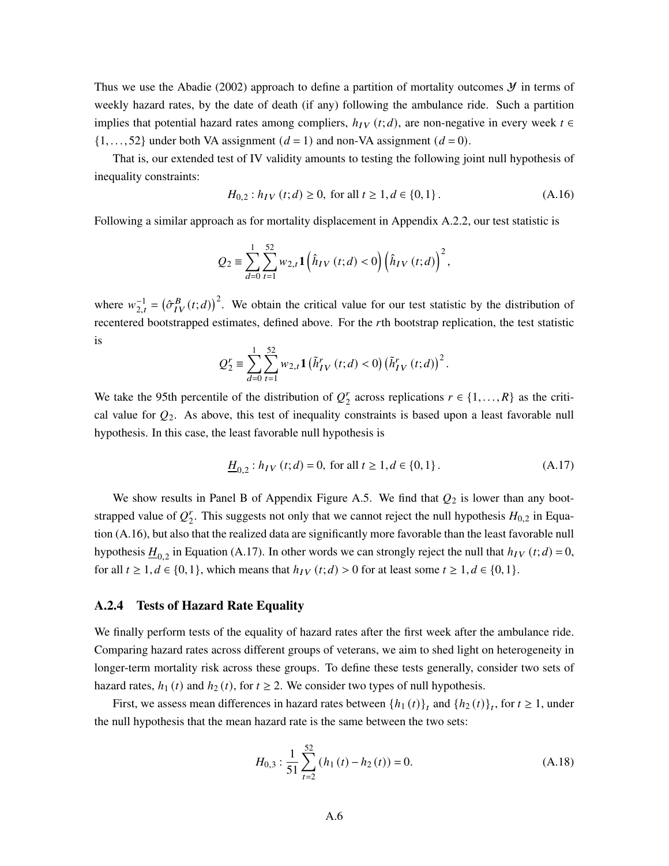Thus we use the Abadie (2002) approach to define a partition of mortality outcomes  $\mathcal Y$  in terms of weekly hazard rates, by the date of death (if any) following the ambulance ride. Such a partition implies that potential hazard rates among compliers,  $h_{IV}(t; d)$ , are non-negative in every week  $t \in$  $\{1, \ldots, 52\}$  under both VA assignment  $(d = 1)$  and non-VA assignment  $(d = 0)$ .

That is, our extended test of IV validity amounts to testing the following joint null hypothesis of inequality constraints:

$$
H_{0,2}: h_{IV}(t;d) \ge 0, \text{ for all } t \ge 1, d \in \{0,1\}.
$$
 (A.16)

Following a similar approach as for mortality displacement in Appendix A.2.2, our test statistic is

$$
Q_2\equiv \sum_{d=0}^1\sum_{t=1}^{52}w_{2,t}{\bf 1}\left(\hat{h}_{IV}\left(t;d\right)<0\right)\left(\hat{h}_{IV}\left(t;d\right)\right)^2,
$$

where  $w_{2,t}^{-1} = (\hat{\sigma}_{IV}^{B}(t;d))^{2}$ . We obtain the critical value for our test statistic by the distribution of recentered bootstrapped estimates, defined above. For the rth bootstrap replication, the test statistic is

$$
Q_2^r \equiv \sum_{d=0}^1 \sum_{t=1}^{52} w_{2,t} \mathbf{1} \left( \tilde{h}_{IV}^r(t;d) < 0 \right) \left( \tilde{h}_{IV}^r(t;d) \right)^2.
$$

We take the 95th percentile of the distribution of  $Q_2^r$  $x_2^r$  across replications  $r \in \{1, ..., R\}$  as the critical value for  $Q_2$ . As above, this test of inequality constraints is based upon a least favorable null hypothesis. In this case, the least favorable null hypothesis is

$$
\underline{H}_{0,2}: h_{IV}(t;d) = 0, \text{ for all } t \ge 1, d \in \{0,1\}. \tag{A.17}
$$

We show results in Panel B of Appendix Figure A.5. We find that  $Q_2$  is lower than any bootstrapped value of  $Q_2^r$  $T_2$ . This suggests not only that we cannot reject the null hypothesis  $H_{0,2}$  in Equation (A.16), but also that the realized data are significantly more favorable than the least favorable null hypothesis  $\underline{H}_{0,2}$  in Equation (A.17). In other words we can strongly reject the null that  $h_{IV}(t; d) = 0$ , for all  $t \geq 1, d \in \{0, 1\}$ , which means that  $h_{IV}(t; d) > 0$  for at least some  $t \geq 1, d \in \{0, 1\}$ .

### A.2.4 Tests of Hazard Rate Equality

We finally perform tests of the equality of hazard rates after the first week after the ambulance ride. Comparing hazard rates across different groups of veterans, we aim to shed light on heterogeneity in longer-term mortality risk across these groups. To define these tests generally, consider two sets of hazard rates,  $h_1(t)$  and  $h_2(t)$ , for  $t \ge 2$ . We consider two types of null hypothesis.

First, we assess mean differences in hazard rates between  $\{h_1(t)\}_t$  and  $\{h_2(t)\}_t$ , for  $t \ge 1$ , under the null hypothesis that the mean hazard rate is the same between the two sets:

$$
H_{0,3}: \frac{1}{51} \sum_{t=2}^{52} (h_1(t) - h_2(t)) = 0.
$$
 (A.18)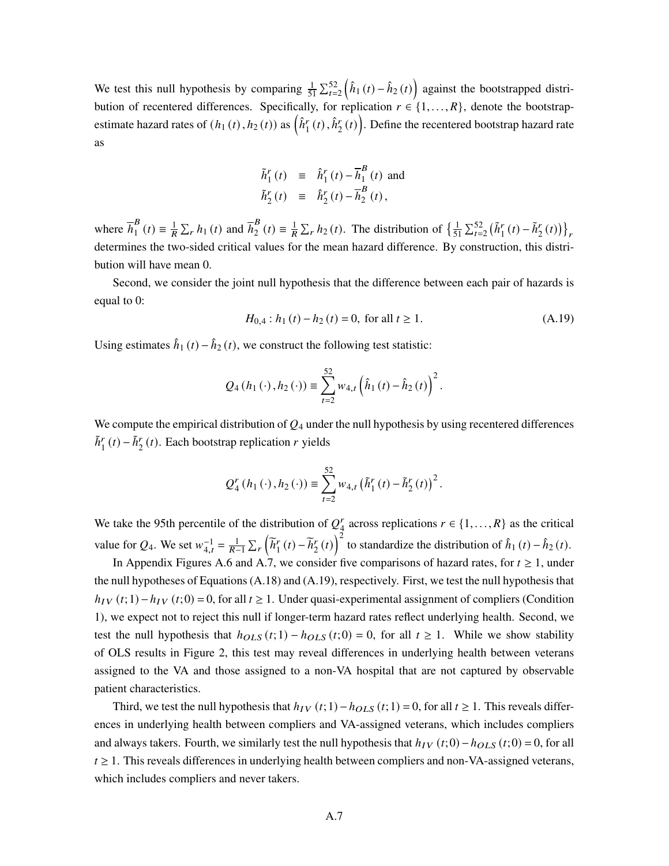We test this null hypothesis by comparing  $\frac{1}{51} \sum_{t=2}^{52} (\hat{h}_1(t) - \hat{h}_2(t))$  against the bootstrapped distribution of recentered differences. Specifically, for replication  $r \in \{1, ..., R\}$ , denote the bootstrapestimate hazard rates of  $(h_1(t), h_2(t))$  as  $\left(\hat{h}_1^r(t), \hat{h}_2^r(t)\right)$ . Define the recentered bootstrap hazard rate as

$$
\tilde{h}_1^r(t) \equiv \hat{h}_1^r(t) - \overline{h}_1^B(t) \text{ and}
$$
\n
$$
\tilde{h}_2^r(t) \equiv \hat{h}_2^r(t) - \overline{h}_2^B(t),
$$

where  $\overline{h}_1^B$  $\frac{B}{1}(t) \equiv \frac{1}{R} \sum_r h_1(t)$  and  $\overline{h}_2^B$  $\frac{B}{2}(t) \equiv \frac{1}{R} \sum_{r} h_2(t)$ . The distribution of  $\left\{ \frac{1}{5} \right\}$  $\frac{1}{51} \sum_{t=2}^{52} (\tilde{h}_1^r(t) - \tilde{h}_2^r(t))\big\}_r$ determines the two-sided critical values for the mean hazard difference. By construction, this distribution will have mean 0.

Second, we consider the joint null hypothesis that the difference between each pair of hazards is equal to 0:

$$
H_{0,4}: h_1(t) - h_2(t) = 0, \text{ for all } t \ge 1.
$$
 (A.19)

Using estimates  $\hat{h}_1(t) - \hat{h}_2(t)$ , we construct the following test statistic:

$$
Q_4(h_1(\cdot), h_2(\cdot)) \equiv \sum_{t=2}^{52} w_{4,t} \left(\hat{h}_1(t) - \hat{h}_2(t)\right)^2.
$$

We compute the empirical distribution of  $Q_4$  under the null hypothesis by using recentered differences  $\tilde{h}_1^r(t) - \tilde{h}_2^r(t)$ . Each bootstrap replication r yields

$$
Q_4^r(h_1(\cdot), h_2(\cdot)) \equiv \sum_{t=2}^{52} w_{4,t} (\tilde{h}_1^r(t) - \tilde{h}_2^r(t))^2.
$$

We take the 95th percentile of the distribution of  $Q^r_A$  $a_4^r$  across replications  $r \in \{1, ..., R\}$  as the critical value for  $Q_4$ . We set  $w_{4,t}^{-1} = \frac{1}{R-1} \sum_r \left( \tilde{h}_1^r \right)$  $\tilde{h}_1^r(t) - \tilde{h}_2^r$  $\left(\frac{r}{2}(t)\right)^2$  to standardize the distribution of  $\hat{h}_1(t) - \hat{h}_2(t)$ .

In Appendix Figures A.6 and A.7, we consider five comparisons of hazard rates, for  $t \geq 1$ , under the null hypotheses of Equations (A.18) and (A.19), respectively. First, we test the null hypothesis that  $h_{IV}(t; 1) - h_{IV}(t; 0) = 0$ , for all  $t \ge 1$ . Under quasi-experimental assignment of compliers (Condition 1), we expect not to reject this null if longer-term hazard rates reflect underlying health. Second, we test the null hypothesis that  $h_{OLS}(t; 1) - h_{OLS}(t; 0) = 0$ , for all  $t \ge 1$ . While we show stability of OLS results in Figure 2, this test may reveal differences in underlying health between veterans assigned to the VA and those assigned to a non-VA hospital that are not captured by observable patient characteristics.

Third, we test the null hypothesis that  $h_{IV}(t; 1) - h_{OLS}(t; 1) = 0$ , for all  $t \ge 1$ . This reveals differences in underlying health between compliers and VA-assigned veterans, which includes compliers and always takers. Fourth, we similarly test the null hypothesis that  $h_{IV}(t;0) - h_{OLS}(t;0) = 0$ , for all  $t \geq 1$ . This reveals differences in underlying health between compliers and non-VA-assigned veterans, which includes compliers and never takers.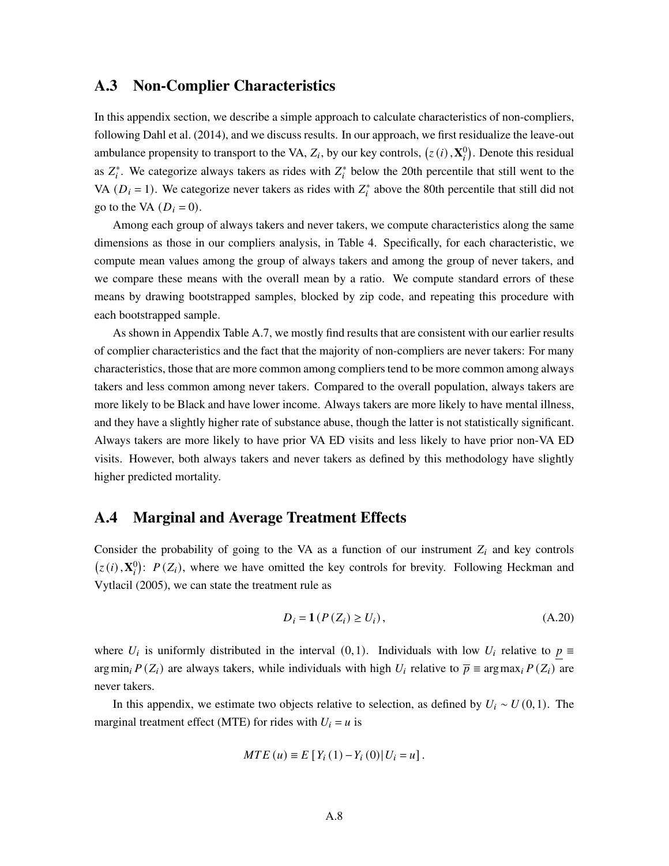# A.3 Non-Complier Characteristics

In this appendix section, we describe a simple approach to calculate characteristics of non-compliers, following Dahl et al. (2014), and we discuss results. In our approach, we first residualize the leave-out ambulance propensity to transport to the VA,  $Z_i$ , by our key controls,  $(z(i), \mathbf{X}_i^0)$ . Denote this residual as  $Z_i^*$ . We categorize always takers as rides with  $Z_i^*$  below the 20th percentile that still went to the VA ( $D_i = 1$ ). We categorize never takers as rides with  $Z_i^*$  above the 80th percentile that still did not go to the VA  $(D_i = 0)$ .

Among each group of always takers and never takers, we compute characteristics along the same dimensions as those in our compliers analysis, in Table 4. Specifically, for each characteristic, we compute mean values among the group of always takers and among the group of never takers, and we compare these means with the overall mean by a ratio. We compute standard errors of these means by drawing bootstrapped samples, blocked by zip code, and repeating this procedure with each bootstrapped sample.

As shown in Appendix Table A.7, we mostly find results that are consistent with our earlier results of complier characteristics and the fact that the majority of non-compliers are never takers: For many characteristics, those that are more common among compliers tend to be more common among always takers and less common among never takers. Compared to the overall population, always takers are more likely to be Black and have lower income. Always takers are more likely to have mental illness, and they have a slightly higher rate of substance abuse, though the latter is not statistically significant. Always takers are more likely to have prior VA ED visits and less likely to have prior non-VA ED visits. However, both always takers and never takers as defined by this methodology have slightly higher predicted mortality.

# A.4 Marginal and Average Treatment Effects

Consider the probability of going to the VA as a function of our instrument  $Z_i$  and key controls  $(z(i), \mathbf{X}_i^0)$ :  $P(Z_i)$ , where we have omitted the key controls for brevity. Following Heckman and Vytlacil (2005), we can state the treatment rule as

$$
D_i = \mathbf{1}(P(Z_i) \ge U_i), \tag{A.20}
$$

where  $U_i$  is uniformly distributed in the interval (0,1). Individuals with low  $U_i$  relative to  $p \equiv$ argmin<sub>i</sub>  $P(Z_i)$  are always takers, while individuals with high  $U_i$  relative to  $\overline{p} \equiv \arg \max_i P(Z_i)$  are never takers.

In this appendix, we estimate two objects relative to selection, as defined by  $U_i \sim U(0,1)$ . The marginal treatment effect (MTE) for rides with  $U_i = u$  is

$$
MTE (u) \equiv E [Y_i (1) - Y_i (0) | U_i = u].
$$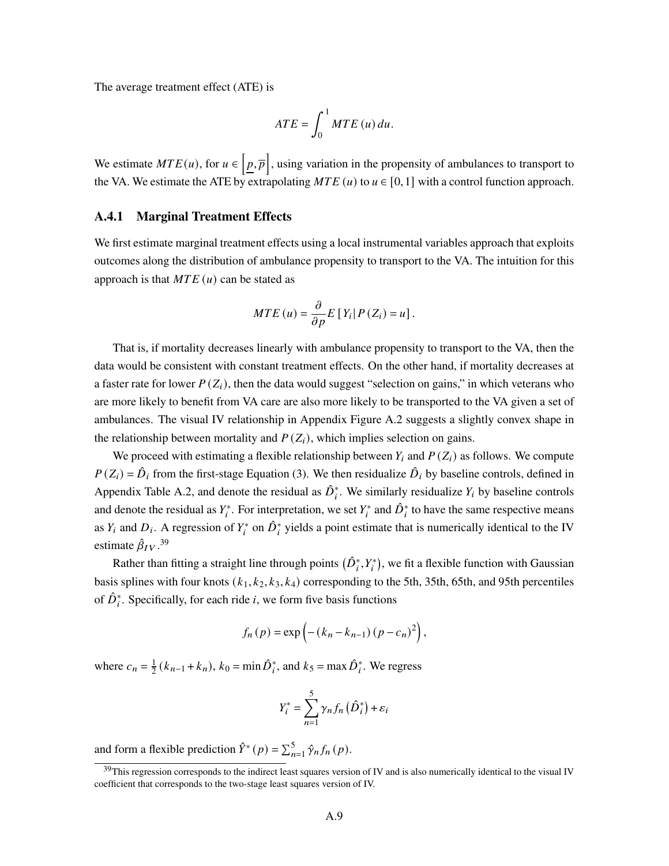The average treatment effect (ATE) is

$$
ATE = \int_0^1 MTE\left(u\right) du.
$$

We estimate  $MTE(u)$ , for  $u \in [p, \overline{p}]$ , using variation in the propensity of ambulances to transport to the VA. We estimate the ATE by extrapolating  $MTE(u)$  to  $u \in [0,1]$  with a control function approach.

### A.4.1 Marginal Treatment Effects

We first estimate marginal treatment effects using a local instrumental variables approach that exploits outcomes along the distribution of ambulance propensity to transport to the VA. The intuition for this approach is that  $MTE(u)$  can be stated as

$$
MTE\left(u\right) = \frac{\partial}{\partial p}E\left[Y_i\right|P\left(Z_i\right) = u\right].
$$

That is, if mortality decreases linearly with ambulance propensity to transport to the VA, then the data would be consistent with constant treatment effects. On the other hand, if mortality decreases at a faster rate for lower  $P(Z_i)$ , then the data would suggest "selection on gains," in which veterans who are more likely to benefit from VA care are also more likely to be transported to the VA given a set of ambulances. The visual IV relationship in Appendix Figure A.2 suggests a slightly convex shape in the relationship between mortality and  $P(Z_i)$ , which implies selection on gains.

We proceed with estimating a flexible relationship between  $Y_i$  and  $P(Z_i)$  as follows. We compute  $P(Z_i) = \hat{D}_i$  from the first-stage Equation (3). We then residualize  $\hat{D}_i$  by baseline controls, defined in Appendix Table A.2, and denote the residual as  $\hat{D}_i^*$ . We similarly residualize  $Y_i$  by baseline controls and denote the residual as  $Y_i^*$ . For interpretation, we set  $Y_i^*$  and  $\hat{D}_i^*$  to have the same respective means as  $Y_i$  and  $D_i$ . A regression of  $Y_i^*$  on  $\hat{D}_i^*$  yields a point estimate that is numerically identical to the IV estimate  $\hat{\beta}_{IV}.^{39}$ 

Rather than fitting a straight line through points  $(\hat{D}_i^*, Y_i^*)$ , we fit a flexible function with Gaussian basis splines with four knots  $(k_1, k_2, k_3, k_4)$  corresponding to the 5th, 35th, 65th, and 95th percentiles of  $\hat{D}_i^*$ . Specifically, for each ride *i*, we form five basis functions

$$
f_n(p) = \exp(-(k_n - k_{n-1})(p - c_n)^2),
$$

where  $c_n = \frac{1}{2}$  $\frac{1}{2}(k_{n-1}+k_n)$ ,  $k_0 = \min \hat{D}_i^*$ , and  $k_5 = \max \hat{D}_i^*$ . We regress

$$
Y_i^* = \sum_{n=1}^5 \gamma_n f_n\left(\hat{D}_i^*\right) + \varepsilon_i
$$

and form a flexible prediction  $\hat{Y}^*(p) = \sum_{n=1}^5 \hat{\gamma}_n f_n(p)$ .

 $39$ This regression corresponds to the indirect least squares version of IV and is also numerically identical to the visual IV coefficient that corresponds to the two-stage least squares version of IV.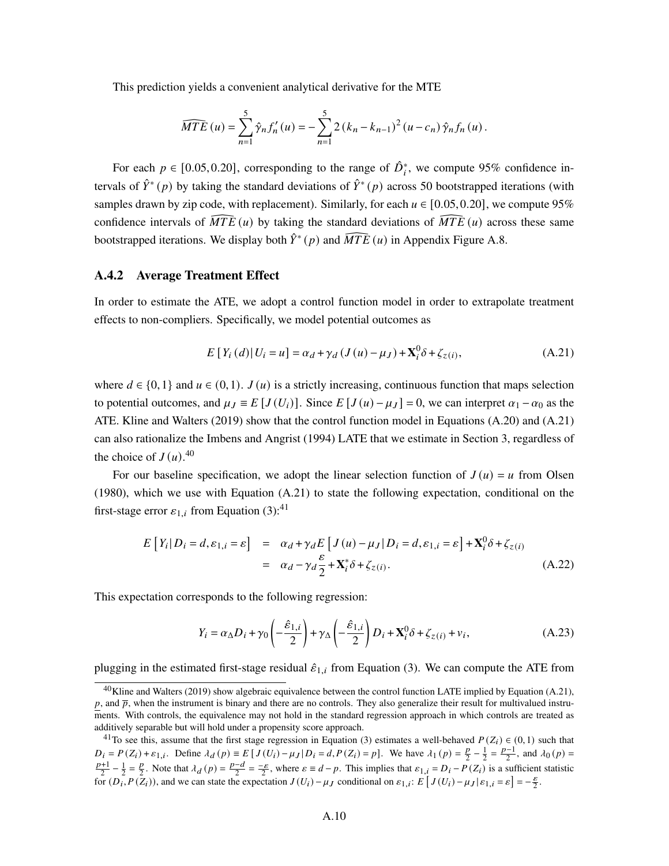This prediction yields a convenient analytical derivative for the MTE

$$
\widehat{MTE}(u) = \sum_{n=1}^{5} \hat{\gamma}_n f'_n(u) = -\sum_{n=1}^{5} 2 (k_n - k_{n-1})^2 (u - c_n) \hat{\gamma}_n f_n(u).
$$

For each  $p \in [0.05, 0.20]$ , corresponding to the range of  $\hat{D}_i^*$ , we compute 95% confidence intervals of  $\hat{Y}^*(p)$  by taking the standard deviations of  $\hat{Y}^*(p)$  across 50 bootstrapped iterations (with samples drawn by zip code, with replacement). Similarly, for each  $u \in [0.05, 0.20]$ , we compute 95% confidence intervals of  $\overline{MTE}(u)$  by taking the standard deviations of  $\overline{MTE}(u)$  across these same bootstrapped iterations. We display both  $\hat{Y}^*(p)$  and  $\widehat{MTE}(u)$  in Appendix Figure A.8.

### A.4.2 Average Treatment Effect

In order to estimate the ATE, we adopt a control function model in order to extrapolate treatment effects to non-compliers. Specifically, we model potential outcomes as

$$
E[Y_i(d)|U_i = u] = \alpha_d + \gamma_d (J(u) - \mu_J) + \mathbf{X}_i^0 \delta + \zeta_{z(i)},
$$
\n(A.21)

where  $d \in \{0,1\}$  and  $u \in (0,1)$ .  $J(u)$  is a strictly increasing, continuous function that maps selection to potential outcomes, and  $\mu_I \equiv E[J(U_i)]$ . Since  $E[J(u) - \mu_I] = 0$ , we can interpret  $\alpha_1 - \alpha_0$  as the ATE. Kline and Walters (2019) show that the control function model in Equations (A.20) and (A.21) can also rationalize the Imbens and Angrist (1994) LATE that we estimate in Section 3, regardless of the choice of  $J(u)$ .<sup>40</sup>

For our baseline specification, we adopt the linear selection function of  $J(u) = u$  from Olsen (1980), which we use with Equation (A.21) to state the following expectation, conditional on the first-stage error  $\varepsilon_{1,i}$  from Equation (3):<sup>41</sup>

$$
E[Y_i|D_i = d, \varepsilon_{1,i} = \varepsilon] = \alpha_d + \gamma_d E[J(u) - \mu_J|D_i = d, \varepsilon_{1,i} = \varepsilon] + \mathbf{X}_i^0 \delta + \zeta_{z(i)}
$$
  

$$
= \alpha_d - \gamma_d \frac{\varepsilon}{2} + \mathbf{X}_i^* \delta + \zeta_{z(i)}.
$$
 (A.22)

This expectation corresponds to the following regression:

$$
Y_i = \alpha_{\Delta} D_i + \gamma_0 \left( -\frac{\hat{\varepsilon}_{1,i}}{2} \right) + \gamma_{\Delta} \left( -\frac{\hat{\varepsilon}_{1,i}}{2} \right) D_i + \mathbf{X}_i^0 \delta + \zeta_{z(i)} + v_i,
$$
 (A.23)

plugging in the estimated first-stage residual  $\hat{\epsilon}_{1,i}$  from Equation (3). We can compute the ATE from

 $^{40}$ Kline and Walters (2019) show algebraic equivalence between the control function LATE implied by Equation (A.21),  $p$ , and  $\bar{p}$ , when the instrument is binary and there are no controls. They also generalize their result for multivalued instruments. With controls, the equivalence may not hold in the standard regression approach in which controls are treated as additively separable but will hold under a propensity score approach.

<sup>&</sup>lt;sup>41</sup>To see this, assume that the first stage regression in Equation (3) estimates a well-behaved  $P(Z_i) \in (0,1)$  such that  $D_i = P(Z_i) + \varepsilon_{1,i}$ . Define  $\lambda_d(p) \equiv E \left[ J(U_i) - \mu_J | D_i = d, P(Z_i) = p \right]$ . We have  $\lambda_1(p) = \frac{p}{2}$  $\frac{p}{2} - \frac{1}{2} = \frac{p-1}{2}$ , and  $\lambda_0(p) =$  $\frac{p+1}{2} - \frac{1}{2} = \frac{p}{2}$  $\frac{p}{2}$ . Note that  $\lambda_d(p) = \frac{p-d}{2}$  $\frac{-d}{2} = \frac{-\varepsilon}{2}$ , where  $\varepsilon \equiv d - p$ . This implies that  $\varepsilon_{1,i} = D_i - P(Z_i)$  is a sufficient statistic for  $(D_i, P(Z_i))$ , and we can state the expectation  $J(U_i) - \mu J$  conditional on  $\varepsilon_{1,i}$ :  $E\left[J(U_i) - \mu J \left|\varepsilon_{1,i} = \varepsilon\right|\right] = -\frac{\varepsilon}{2}$  $\frac{\varepsilon}{2}$ .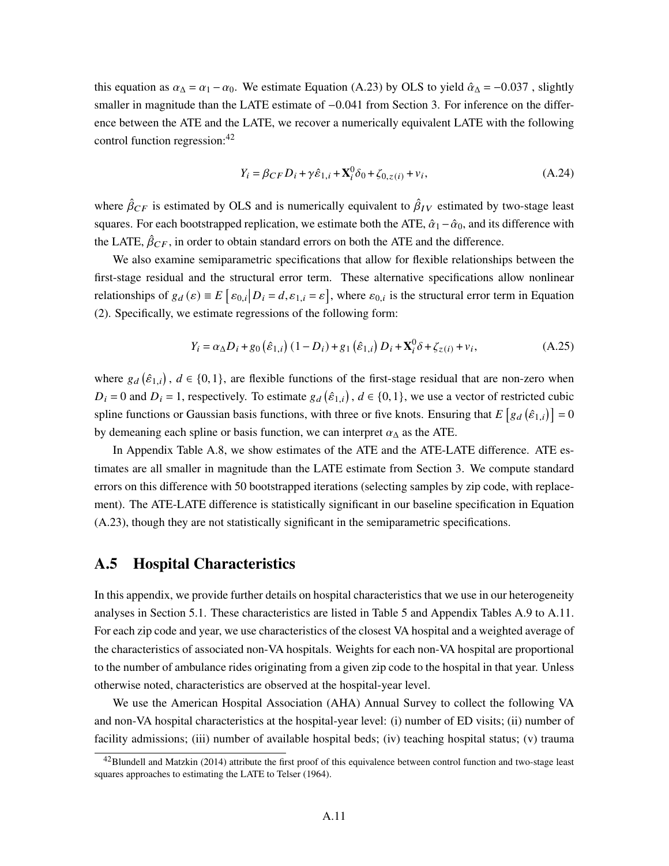this equation as  $\alpha_{\Delta} = \alpha_1 - \alpha_0$ . We estimate Equation (A.23) by OLS to yield  $\hat{\alpha}_{\Delta} = -0.037$ , slightly smaller in magnitude than the LATE estimate of  $-0.041$  from Section 3. For inference on the difference between the ATE and the LATE, we recover a numerically equivalent LATE with the following control function regression:<sup>42</sup>

$$
Y_i = \beta_{CF} D_i + \gamma \hat{\varepsilon}_{1,i} + \mathbf{X}_i^0 \delta_0 + \zeta_{0,z(i)} + v_i,
$$
 (A.24)

where  $\hat{\beta}_{CF}$  is estimated by OLS and is numerically equivalent to  $\hat{\beta}_{IV}$  estimated by two-stage least squares. For each bootstrapped replication, we estimate both the ATE,  $\hat{\alpha}_1 - \hat{\alpha}_0$ , and its difference with the LATE,  $\hat{\beta}_{CF}$ , in order to obtain standard errors on both the ATE and the difference.

We also examine semiparametric specifications that allow for flexible relationships between the first-stage residual and the structural error term. These alternative specifications allow nonlinear relationships of  $g_d(\varepsilon) \equiv E \left[ \varepsilon_{0,i} \middle| D_i = d, \varepsilon_{1,i} = \varepsilon \right]$ , where  $\varepsilon_{0,i}$  is the structural error term in Equation (2). Specifically, we estimate regressions of the following form:

$$
Y_i = \alpha_{\Delta} D_i + g_0 \left( \hat{\varepsilon}_{1,i} \right) (1 - D_i) + g_1 \left( \hat{\varepsilon}_{1,i} \right) D_i + \mathbf{X}_i^0 \delta + \zeta_{z(i)} + v_i, \tag{A.25}
$$

where  $g_d(\hat{\varepsilon}_{1,i})$ ,  $d \in \{0,1\}$ , are flexible functions of the first-stage residual that are non-zero when  $D_i = 0$  and  $D_i = 1$ , respectively. To estimate  $g_d(\hat{\varepsilon}_{1,i})$ ,  $d \in \{0,1\}$ , we use a vector of restricted cubic spline functions or Gaussian basis functions, with three or five knots. Ensuring that  $E[g_d(\hat{\varepsilon}_{1,i})]=0$ by demeaning each spline or basis function, we can interpret  $\alpha_{\Delta}$  as the ATE.

In Appendix Table A.8, we show estimates of the ATE and the ATE-LATE difference. ATE estimates are all smaller in magnitude than the LATE estimate from Section 3. We compute standard errors on this difference with 50 bootstrapped iterations (selecting samples by zip code, with replacement). The ATE-LATE difference is statistically significant in our baseline specification in Equation (A.23), though they are not statistically significant in the semiparametric specifications.

## A.5 Hospital Characteristics

In this appendix, we provide further details on hospital characteristics that we use in our heterogeneity analyses in Section 5.1. These characteristics are listed in Table 5 and Appendix Tables A.9 to A.11. For each zip code and year, we use characteristics of the closest VA hospital and a weighted average of the characteristics of associated non-VA hospitals. Weights for each non-VA hospital are proportional to the number of ambulance rides originating from a given zip code to the hospital in that year. Unless otherwise noted, characteristics are observed at the hospital-year level.

We use the American Hospital Association (AHA) Annual Survey to collect the following VA and non-VA hospital characteristics at the hospital-year level: (i) number of ED visits; (ii) number of facility admissions; (iii) number of available hospital beds; (iv) teaching hospital status; (v) trauma

 $^{42}$ Blundell and Matzkin (2014) attribute the first proof of this equivalence between control function and two-stage least squares approaches to estimating the LATE to Telser (1964).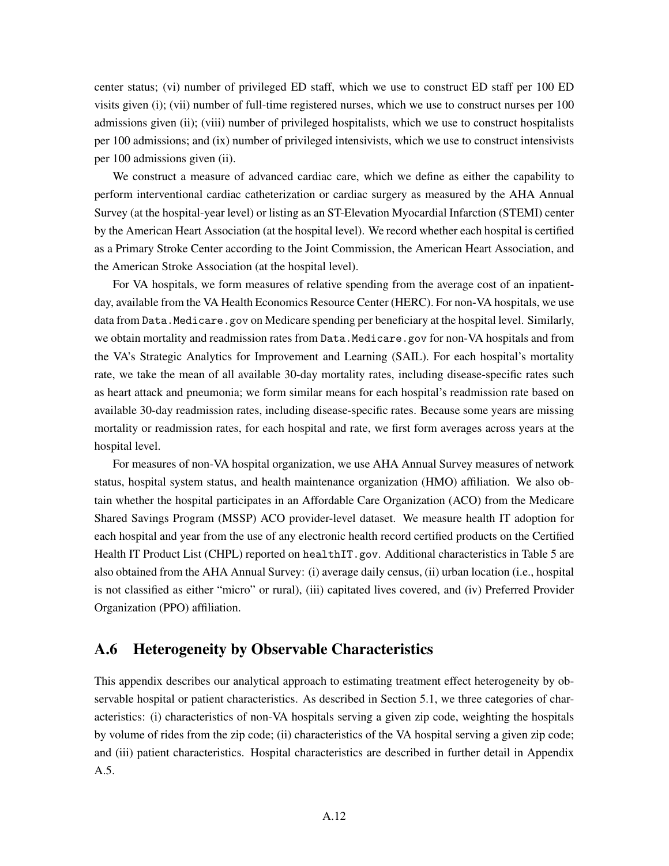center status; (vi) number of privileged ED staff, which we use to construct ED staff per 100 ED visits given (i); (vii) number of full-time registered nurses, which we use to construct nurses per 100 admissions given (ii); (viii) number of privileged hospitalists, which we use to construct hospitalists per 100 admissions; and (ix) number of privileged intensivists, which we use to construct intensivists per 100 admissions given (ii).

We construct a measure of advanced cardiac care, which we define as either the capability to perform interventional cardiac catheterization or cardiac surgery as measured by the AHA Annual Survey (at the hospital-year level) or listing as an ST-Elevation Myocardial Infarction (STEMI) center by the American Heart Association (at the hospital level). We record whether each hospital is certified as a Primary Stroke Center according to the Joint Commission, the American Heart Association, and the American Stroke Association (at the hospital level).

For VA hospitals, we form measures of relative spending from the average cost of an inpatientday, available from the VA Health Economics Resource Center (HERC). For non-VA hospitals, we use data from Data. Medicare.gov on Medicare spending per beneficiary at the hospital level. Similarly, we obtain mortality and readmission rates from Data.Medicare.gov for non-VA hospitals and from the VA's Strategic Analytics for Improvement and Learning (SAIL). For each hospital's mortality rate, we take the mean of all available 30-day mortality rates, including disease-specific rates such as heart attack and pneumonia; we form similar means for each hospital's readmission rate based on available 30-day readmission rates, including disease-specific rates. Because some years are missing mortality or readmission rates, for each hospital and rate, we first form averages across years at the hospital level.

For measures of non-VA hospital organization, we use AHA Annual Survey measures of network status, hospital system status, and health maintenance organization (HMO) affiliation. We also obtain whether the hospital participates in an Affordable Care Organization (ACO) from the Medicare Shared Savings Program (MSSP) ACO provider-level dataset. We measure health IT adoption for each hospital and year from the use of any electronic health record certified products on the Certified Health IT Product List (CHPL) reported on healthIT.gov. Additional characteristics in Table 5 are also obtained from the AHA Annual Survey: (i) average daily census, (ii) urban location (i.e., hospital is not classified as either "micro" or rural), (iii) capitated lives covered, and (iv) Preferred Provider Organization (PPO) affiliation.

# A.6 Heterogeneity by Observable Characteristics

This appendix describes our analytical approach to estimating treatment effect heterogeneity by observable hospital or patient characteristics. As described in Section 5.1, we three categories of characteristics: (i) characteristics of non-VA hospitals serving a given zip code, weighting the hospitals by volume of rides from the zip code; (ii) characteristics of the VA hospital serving a given zip code; and (iii) patient characteristics. Hospital characteristics are described in further detail in Appendix A.5.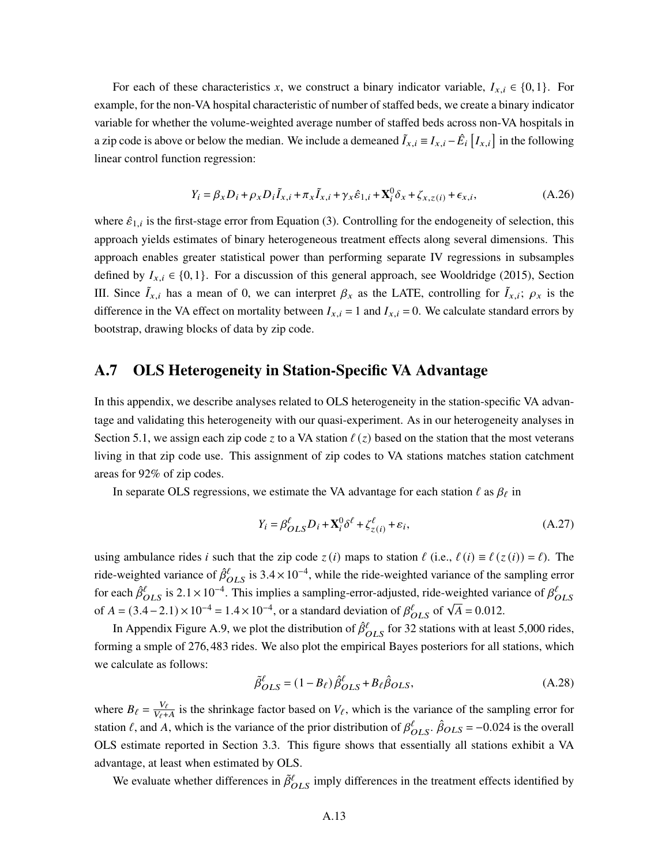For each of these characteristics x, we construct a binary indicator variable,  $I_{x,i} \in \{0,1\}$ . For example, for the non-VA hospital characteristic of number of staffed beds, we create a binary indicator variable for whether the volume-weighted average number of staffed beds across non-VA hospitals in a zip code is above or below the median. We include a demeaned  $\tilde{I}_{x,i} \equiv I_{x,i} - \hat{E}_i \left[ I_{x,i} \right]$  in the following linear control function regression:

$$
Y_i = \beta_x D_i + \rho_x D_i \tilde{I}_{x,i} + \pi_x \tilde{I}_{x,i} + \gamma_x \hat{\varepsilon}_{1,i} + \mathbf{X}_i^0 \delta_x + \zeta_{x,z}(i) + \epsilon_{x,i},
$$
(A.26)

where  $\hat{\varepsilon}_{1,i}$  is the first-stage error from Equation (3). Controlling for the endogeneity of selection, this approach yields estimates of binary heterogeneous treatment effects along several dimensions. This approach enables greater statistical power than performing separate IV regressions in subsamples defined by  $I_{x,i} \in \{0,1\}$ . For a discussion of this general approach, see Wooldridge (2015), Section III. Since  $\tilde{I}_{x,i}$  has a mean of 0, we can interpret  $\beta_x$  as the LATE, controlling for  $\tilde{I}_{x,i}$ ;  $\rho_x$  is the difference in the VA effect on mortality between  $I_{x,i} = 1$  and  $I_{x,i} = 0$ . We calculate standard errors by bootstrap, drawing blocks of data by zip code.

## A.7 OLS Heterogeneity in Station-Specific VA Advantage

In this appendix, we describe analyses related to OLS heterogeneity in the station-specific VA advantage and validating this heterogeneity with our quasi-experiment. As in our heterogeneity analyses in Section 5.1, we assign each zip code z to a VA station  $\ell(z)$  based on the station that the most veterans living in that zip code use. This assignment of zip codes to VA stations matches station catchment areas for 92% of zip codes.

In separate OLS regressions, we estimate the VA advantage for each station  $\ell$  as  $\beta_{\ell}$  in

$$
Y_i = \beta_{OLS}^{\ell} D_i + \mathbf{X}_i^0 \delta^{\ell} + \zeta_{z(i)}^{\ell} + \varepsilon_i,
$$
 (A.27)

using ambulance rides *i* such that the zip code  $z(i)$  maps to station  $\ell$  (i.e.,  $\ell(i) \equiv \ell(z(i)) = \ell$ ). The ride-weighted variance of  $\hat{\beta}^{\ell}_{OLS}$  is 3.4 × 10<sup>-4</sup>, while the ride-weighted variance of the sampling error for each  $\hat{\beta}^{\ell}_{OLS}$  is 2.1 × 10<sup>-4</sup>. This implies a sampling-error-adjusted, ride-weighted variance of  $\beta^{\ell}_{OLS}$ of  $A = (3.4 - 2.1) \times 10^{-4} = 1.4 \times 10^{-4}$ , or a standard deviation of  $\beta_{OLS}^{\ell}$  of  $\sqrt{A} = 0.012$ .

In Appendix Figure A.9, we plot the distribution of  $\hat{\beta}^{\ell}_{OLS}$  for 32 stations with at least 5,000 rides, forming a smple of 276,483 rides. We also plot the empirical Bayes posteriors for all stations, which we calculate as follows:

$$
\tilde{\beta}^{\ell}_{OLS} = (1 - B_{\ell}) \hat{\beta}^{\ell}_{OLS} + B_{\ell} \hat{\beta}_{OLS},
$$
\n(A.28)

where  $B_{\ell} = \frac{V_{\ell}}{V_{\ell+1}}$  $\frac{V_{\ell}}{V_{\ell}+A}$  is the shrinkage factor based on  $V_{\ell}$ , which is the variance of the sampling error for station  $\ell$ , and A, which is the variance of the prior distribution of  $\beta_{OLS}^{\ell}$ .  $\hat{\beta}_{OLS} = -0.024$  is the overall OLS estimate reported in Section 3.3. This figure shows that essentially all stations exhibit a VA advantage, at least when estimated by OLS.

We evaluate whether differences in  $\tilde{\beta}^{\ell}_{OLS}$  imply differences in the treatment effects identified by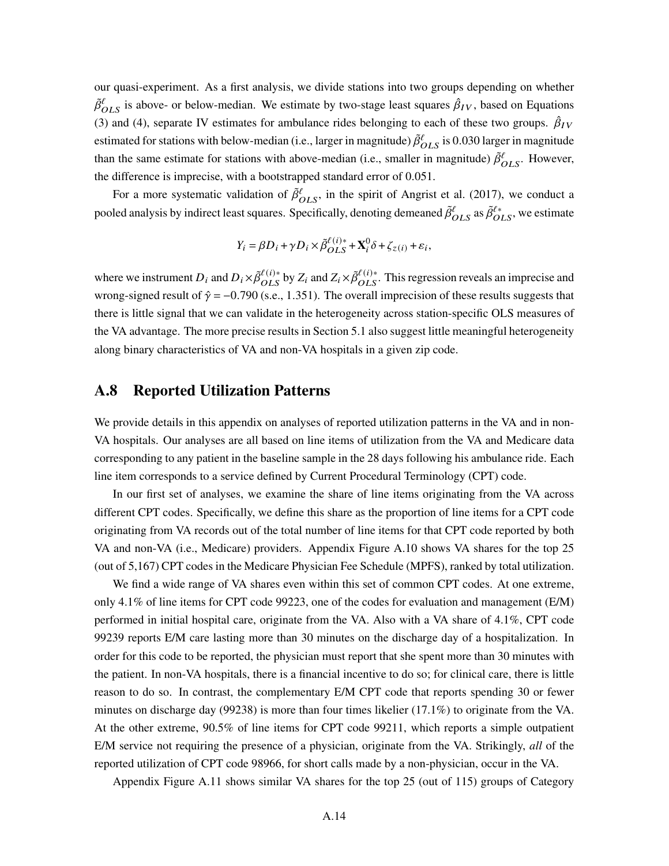our quasi-experiment. As a first analysis, we divide stations into two groups depending on whether  $\tilde{\beta}^{\ell}_{OLS}$  is above- or below-median. We estimate by two-stage least squares  $\hat{\beta}_{IV}$ , based on Equations (3) and (4), separate IV estimates for ambulance rides belonging to each of these two groups.  $\hat{\beta}_{IV}$ estimated for stations with below-median (i.e., larger in magnitude)  $\tilde{\beta}^{\ell}_{OLS}$  is 0.030 larger in magnitude than the same estimate for stations with above-median (i.e., smaller in magnitude)  $\tilde{\beta}^{\ell}_{OLS}$ . However, the difference is imprecise, with a bootstrapped standard error of 0.051.

For a more systematic validation of  $\tilde{\beta}^{\ell}_{OLS}$ , in the spirit of Angrist et al. (2017), we conduct a pooled analysis by indirect least squares. Specifically, denoting demeaned  $\tilde{\beta}^{\ell}_{OLS}$  as  $\tilde{\beta}^{\ell*}_{OLS}$ , we estimate

$$
Y_i = \beta D_i + \gamma D_i \times \tilde{\beta}_{OLS}^{\ell(i)*} + \mathbf{X}_i^0 \delta + \zeta_{z(i)} + \varepsilon_i,
$$

where we instrument  $D_i$  and  $D_i \times \tilde{\beta}_{OLS}^{(\ell)}$  by  $Z_i$  and  $Z_i \times \tilde{\beta}_{OLS}^{(\ell)}$ . This regression reveals an imprecise and wrong-signed result of  $\hat{\gamma} = -0.790$  (s.e., 1.351). The overall imprecision of these results suggests that there is little signal that we can validate in the heterogeneity across station-specific OLS measures of the VA advantage. The more precise results in Section 5.1 also suggest little meaningful heterogeneity along binary characteristics of VA and non-VA hospitals in a given zip code.

### A.8 Reported Utilization Patterns

We provide details in this appendix on analyses of reported utilization patterns in the VA and in non-VA hospitals. Our analyses are all based on line items of utilization from the VA and Medicare data corresponding to any patient in the baseline sample in the 28 days following his ambulance ride. Each line item corresponds to a service defined by Current Procedural Terminology (CPT) code.

In our first set of analyses, we examine the share of line items originating from the VA across different CPT codes. Specifically, we define this share as the proportion of line items for a CPT code originating from VA records out of the total number of line items for that CPT code reported by both VA and non-VA (i.e., Medicare) providers. Appendix Figure A.10 shows VA shares for the top 25 (out of 5,167) CPT codes in the Medicare Physician Fee Schedule (MPFS), ranked by total utilization.

We find a wide range of VA shares even within this set of common CPT codes. At one extreme, only 4.1% of line items for CPT code 99223, one of the codes for evaluation and management (E/M) performed in initial hospital care, originate from the VA. Also with a VA share of 4.1%, CPT code 99239 reports E/M care lasting more than 30 minutes on the discharge day of a hospitalization. In order for this code to be reported, the physician must report that she spent more than 30 minutes with the patient. In non-VA hospitals, there is a financial incentive to do so; for clinical care, there is little reason to do so. In contrast, the complementary E/M CPT code that reports spending 30 or fewer minutes on discharge day (99238) is more than four times likelier (17.1%) to originate from the VA. At the other extreme, 90.5% of line items for CPT code 99211, which reports a simple outpatient E/M service not requiring the presence of a physician, originate from the VA. Strikingly, *all* of the reported utilization of CPT code 98966, for short calls made by a non-physician, occur in the VA.

Appendix Figure A.11 shows similar VA shares for the top 25 (out of 115) groups of Category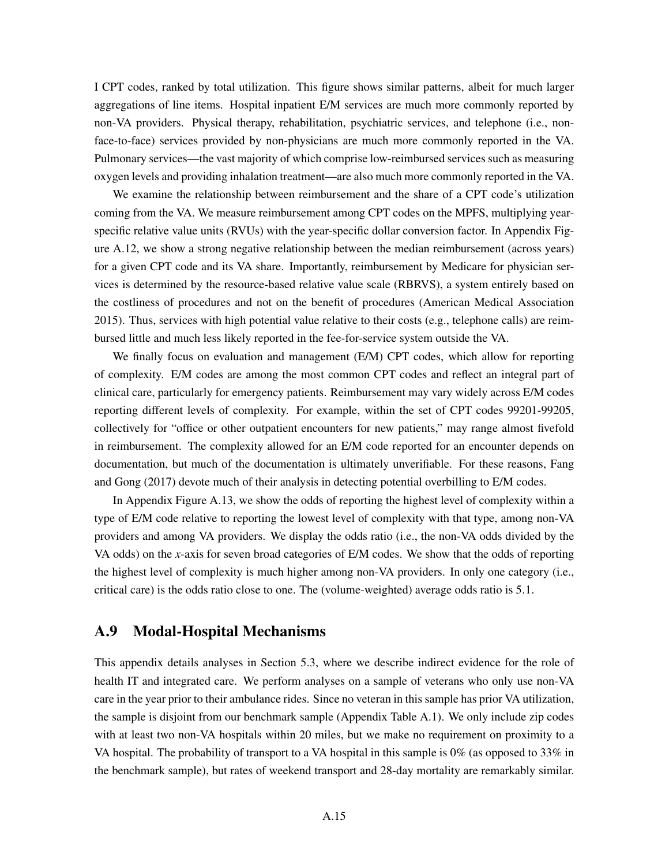I CPT codes, ranked by total utilization. This figure shows similar patterns, albeit for much larger aggregations of line items. Hospital inpatient E/M services are much more commonly reported by non-VA providers. Physical therapy, rehabilitation, psychiatric services, and telephone (i.e., nonface-to-face) services provided by non-physicians are much more commonly reported in the VA. Pulmonary services—the vast majority of which comprise low-reimbursed services such as measuring oxygen levels and providing inhalation treatment—are also much more commonly reported in the VA.

We examine the relationship between reimbursement and the share of a CPT code's utilization coming from the VA. We measure reimbursement among CPT codes on the MPFS, multiplying yearspecific relative value units (RVUs) with the year-specific dollar conversion factor. In Appendix Figure A.12, we show a strong negative relationship between the median reimbursement (across years) for a given CPT code and its VA share. Importantly, reimbursement by Medicare for physician services is determined by the resource-based relative value scale (RBRVS), a system entirely based on the costliness of procedures and not on the benefit of procedures (American Medical Association 2015). Thus, services with high potential value relative to their costs (e.g., telephone calls) are reimbursed little and much less likely reported in the fee-for-service system outside the VA.

We finally focus on evaluation and management (E/M) CPT codes, which allow for reporting of complexity. E/M codes are among the most common CPT codes and reflect an integral part of clinical care, particularly for emergency patients. Reimbursement may vary widely across E/M codes reporting different levels of complexity. For example, within the set of CPT codes 99201-99205, collectively for "office or other outpatient encounters for new patients," may range almost fivefold in reimbursement. The complexity allowed for an E/M code reported for an encounter depends on documentation, but much of the documentation is ultimately unverifiable. For these reasons, Fang and Gong (2017) devote much of their analysis in detecting potential overbilling to E/M codes.

In Appendix Figure A.13, we show the odds of reporting the highest level of complexity within a type of E/M code relative to reporting the lowest level of complexity with that type, among non-VA providers and among VA providers. We display the odds ratio (i.e., the non-VA odds divided by the VA odds) on the *x*-axis for seven broad categories of E/M codes. We show that the odds of reporting the highest level of complexity is much higher among non-VA providers. In only one category (i.e., critical care) is the odds ratio close to one. The (volume-weighted) average odds ratio is 5.1.

# A.9 Modal-Hospital Mechanisms

This appendix details analyses in Section 5.3, where we describe indirect evidence for the role of health IT and integrated care. We perform analyses on a sample of veterans who only use non-VA care in the year prior to their ambulance rides. Since no veteran in this sample has prior VA utilization, the sample is disjoint from our benchmark sample (Appendix Table A.1). We only include zip codes with at least two non-VA hospitals within 20 miles, but we make no requirement on proximity to a VA hospital. The probability of transport to a VA hospital in this sample is 0% (as opposed to 33% in the benchmark sample), but rates of weekend transport and 28-day mortality are remarkably similar.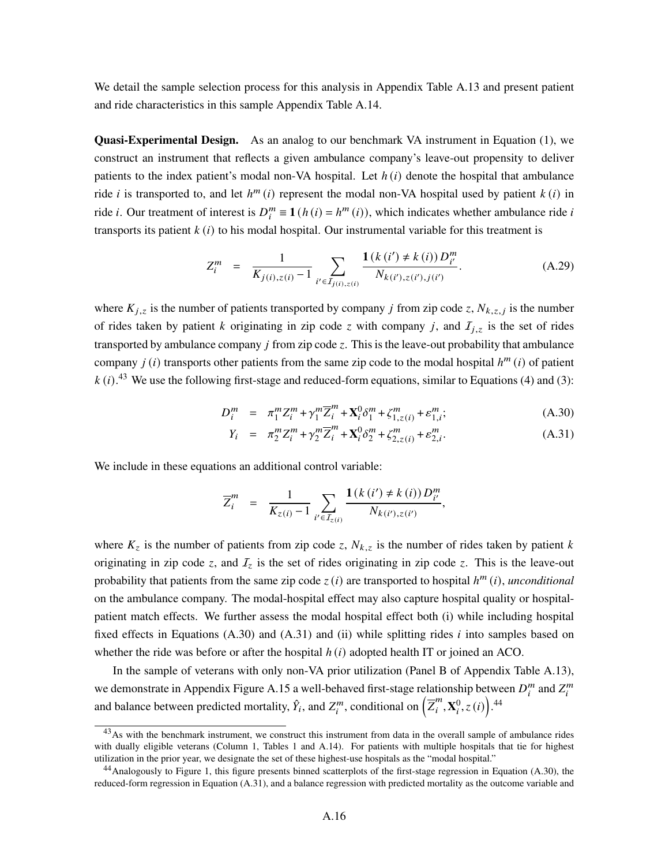We detail the sample selection process for this analysis in Appendix Table A.13 and present patient and ride characteristics in this sample Appendix Table A.14.

Quasi-Experimental Design. As an analog to our benchmark VA instrument in Equation (1), we construct an instrument that reflects a given ambulance company's leave-out propensity to deliver patients to the index patient's modal non-VA hospital. Let  $h(i)$  denote the hospital that ambulance ride *i* is transported to, and let  $h^m(i)$  represent the modal non-VA hospital used by patient  $k(i)$  in ride *i*. Our treatment of interest is  $D_i^m \equiv \mathbf{1}(h(i) = h^m(i))$ , which indicates whether ambulance ride *i* transports its patient  $k(i)$  to his modal hospital. Our instrumental variable for this treatment is

$$
Z_i^m = \frac{1}{K_{j(i),z(i)} - 1} \sum_{i' \in I_{j(i),z(i)}} \frac{\mathbf{1}(k(i') \neq k(i)) D_{i'}^m}{N_{k(i'),z(i'),j(i')}}.
$$
 (A.29)

where  $K_{i,z}$  is the number of patients transported by company j from zip code z,  $N_{k,z,j}$  is the number of rides taken by patient k originating in zip code z with company j, and  $I_{i,z}$  is the set of rides transported by ambulance company  $\dot{I}$  from zip code  $\dot{\zeta}$ . This is the leave-out probability that ambulance company  $j(i)$  transports other patients from the same zip code to the modal hospital  $h^m(i)$  of patient  $k(i)$ .<sup>43</sup> We use the following first-stage and reduced-form equations, similar to Equations (4) and (3):

$$
D_i^m = \pi_1^m Z_i^m + \gamma_1^m \overline{Z}_i^m + \mathbf{X}_i^0 \delta_1^m + \zeta_{1,z(i)}^m + \varepsilon_{1,i}^m; \tag{A.30}
$$

$$
Y_i = \pi_2^m Z_i^m + \gamma_2^m \overline{Z}_i^m + \mathbf{X}_i^0 \delta_2^m + \zeta_{2,z(i)}^m + \varepsilon_{2,i}^m. \tag{A.31}
$$

,

We include in these equations an additional control variable:

$$
\overline{Z}_{i}^{m} = \frac{1}{K_{z(i)} - 1} \sum_{i' \in I_{z(i)}} \frac{\mathbf{1}(k(i') \neq k(i)) D_{i'}^{m}}{N_{k(i'), z(i')}}
$$

where  $K_z$  is the number of patients from zip code z,  $N_{k,z}$  is the number of rides taken by patient k originating in zip code z, and  $I_z$  is the set of rides originating in zip code z. This is the leave-out probability that patients from the same zip code  $z(i)$  are transported to hospital  $h^m(i)$ , *unconditional* on the ambulance company. The modal-hospital effect may also capture hospital quality or hospitalpatient match effects. We further assess the modal hospital effect both (i) while including hospital fixed effects in Equations (A.30) and (A.31) and (ii) while splitting rides  $i$  into samples based on whether the ride was before or after the hospital  $h(i)$  adopted health IT or joined an ACO.

In the sample of veterans with only non-VA prior utilization (Panel B of Appendix Table A.13), we demonstrate in Appendix Figure A.15 a well-behaved first-stage relationship between  $D_i^m$  and  $Z_i^m$ and balance between predicted mortality,  $\hat{Y}_i$ , and  $Z_i^m$ , conditional on  $\left(\overline{Z}_i^m\right)$  $_{i}^{m}$ ,  $\mathbf{X}_{i}^{0}$ ,  $z(i)$ ).<sup>44</sup>

<sup>&</sup>lt;sup>43</sup>As with the benchmark instrument, we construct this instrument from data in the overall sample of ambulance rides with dually eligible veterans (Column 1, Tables 1 and A.14). For patients with multiple hospitals that tie for highest utilization in the prior year, we designate the set of these highest-use hospitals as the "modal hospital."

 $^{44}$ Analogously to Figure 1, this figure presents binned scatterplots of the first-stage regression in Equation (A.30), the reduced-form regression in Equation (A.31), and a balance regression with predicted mortality as the outcome variable and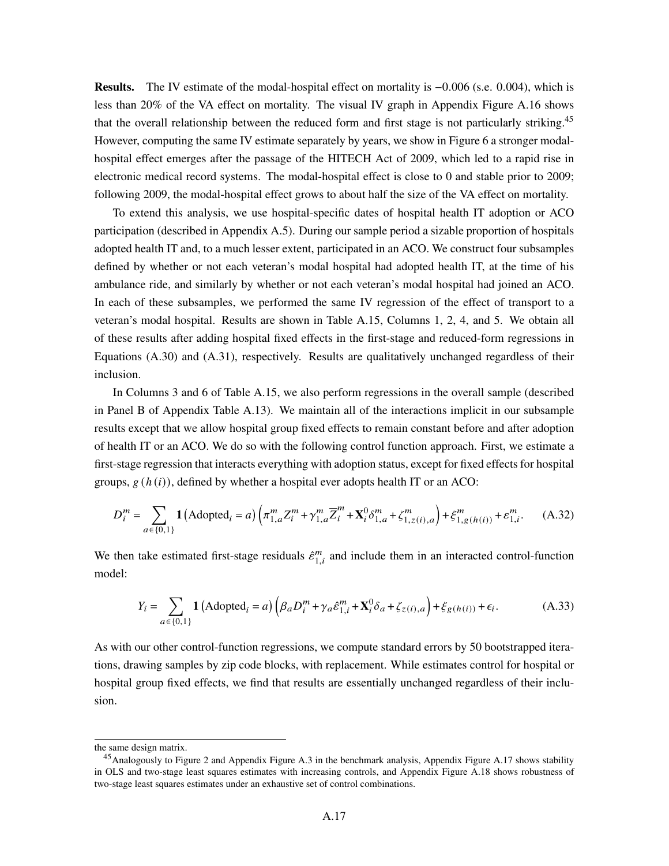Results. The IV estimate of the modal-hospital effect on mortality is −0.006 (s.e. 0.004), which is less than 20% of the VA effect on mortality. The visual IV graph in Appendix Figure A.16 shows that the overall relationship between the reduced form and first stage is not particularly striking.<sup>45</sup> However, computing the same IV estimate separately by years, we show in Figure 6 a stronger modalhospital effect emerges after the passage of the HITECH Act of 2009, which led to a rapid rise in electronic medical record systems. The modal-hospital effect is close to 0 and stable prior to 2009; following 2009, the modal-hospital effect grows to about half the size of the VA effect on mortality.

To extend this analysis, we use hospital-specific dates of hospital health IT adoption or ACO participation (described in Appendix A.5). During our sample period a sizable proportion of hospitals adopted health IT and, to a much lesser extent, participated in an ACO. We construct four subsamples defined by whether or not each veteran's modal hospital had adopted health IT, at the time of his ambulance ride, and similarly by whether or not each veteran's modal hospital had joined an ACO. In each of these subsamples, we performed the same IV regression of the effect of transport to a veteran's modal hospital. Results are shown in Table A.15, Columns 1, 2, 4, and 5. We obtain all of these results after adding hospital fixed effects in the first-stage and reduced-form regressions in Equations (A.30) and (A.31), respectively. Results are qualitatively unchanged regardless of their inclusion.

In Columns 3 and 6 of Table A.15, we also perform regressions in the overall sample (described in Panel B of Appendix Table A.13). We maintain all of the interactions implicit in our subsample results except that we allow hospital group fixed effects to remain constant before and after adoption of health IT or an ACO. We do so with the following control function approach. First, we estimate a first-stage regression that interacts everything with adoption status, except for fixed effects for hospital groups,  $g(h(i))$ , defined by whether a hospital ever adopts health IT or an ACO:

$$
D_i^m = \sum_{a \in \{0,1\}} \mathbf{1} \left( \text{Adopted}_i = a \right) \left( \pi_{1,a}^m Z_i^m + \gamma_{1,a}^m \overline{Z}_i^m + \mathbf{X}_i^0 \delta_{1,a}^m + \zeta_{1,z(i),a}^m \right) + \xi_{1,g(h(i))}^m + \varepsilon_{1,i}^m. \tag{A.32}
$$

We then take estimated first-stage residuals  $\hat{\epsilon}^m_{1,i}$  and include them in an interacted control-function model:

$$
Y_i = \sum_{a \in \{0,1\}} \mathbf{1} \left( \text{Adopted}_i = a \right) \left( \beta_a D_i^m + \gamma_a \hat{\varepsilon}_{1,i}^m + \mathbf{X}_i^0 \delta_a + \zeta_{z(i),a} \right) + \xi_{g(h(i))} + \epsilon_i. \tag{A.33}
$$

As with our other control-function regressions, we compute standard errors by 50 bootstrapped iterations, drawing samples by zip code blocks, with replacement. While estimates control for hospital or hospital group fixed effects, we find that results are essentially unchanged regardless of their inclusion.

the same design matrix.

<sup>&</sup>lt;sup>45</sup> Analogously to Figure 2 and Appendix Figure A.3 in the benchmark analysis, Appendix Figure A.17 shows stability in OLS and two-stage least squares estimates with increasing controls, and Appendix Figure A.18 shows robustness of two-stage least squares estimates under an exhaustive set of control combinations.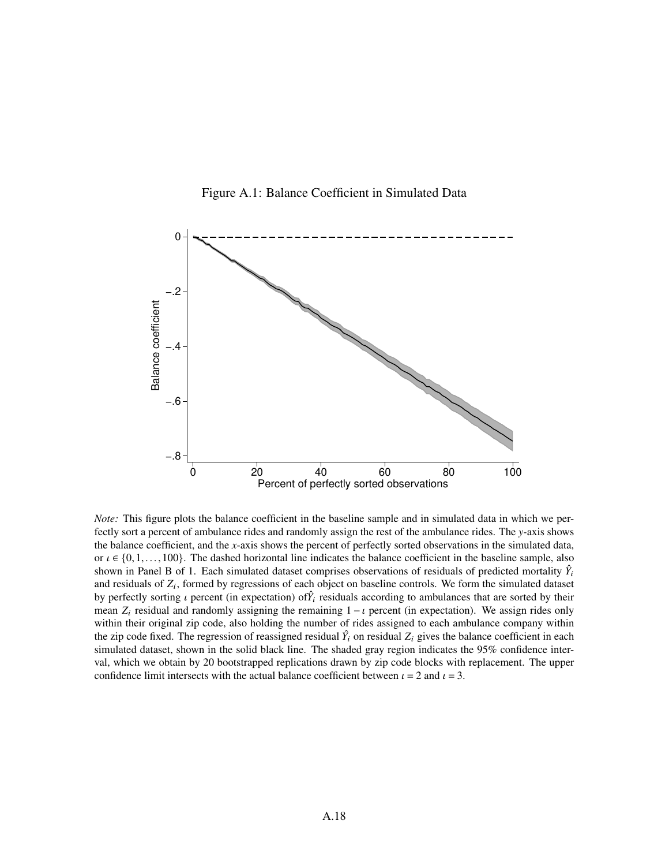



*Note:* This figure plots the balance coefficient in the baseline sample and in simulated data in which we perfectly sort a percent of ambulance rides and randomly assign the rest of the ambulance rides. The *y-*axis shows the balance coefficient, and the *x*-axis shows the percent of perfectly sorted observations in the simulated data, or  $\iota \in \{0,1,\ldots,100\}$ . The dashed horizontal line indicates the balance coefficient in the baseline sample, also shown in Panel B of 1. Each simulated dataset comprises observations of residuals of predicted mortality  $\hat{Y}_i$ and residuals of  $Z_i$ , formed by regressions of each object on baseline controls. We form the simulated dataset by perfectly sorting  $\iota$  percent (in expectation) of  $\hat{Y}_i$  residuals according to ambulances that are sorted by their mean  $Z_i$  residual and randomly assigning the remaining  $1 - i$  percent (in expectation). We assign rides only within their original zip code, also holding the number of rides assigned to each ambulance company within the zip code fixed. The regression of reassigned residual  $\hat{Y}_i$  on residual  $Z_i$  gives the balance coefficient in each simulated dataset, shown in the solid black line. The shaded gray region indicates the 95% confidence interval, which we obtain by 20 bootstrapped replications drawn by zip code blocks with replacement. The upper confidence limit intersects with the actual balance coefficient between  $\iota = 2$  and  $\iota = 3$ .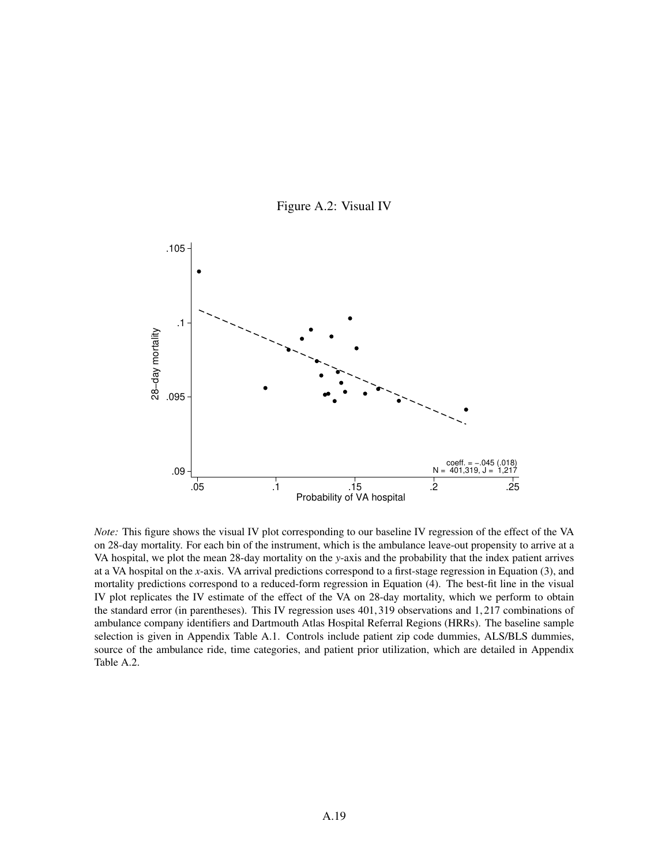



*Note:* This figure shows the visual IV plot corresponding to our baseline IV regression of the effect of the VA on 28-day mortality. For each bin of the instrument, which is the ambulance leave-out propensity to arrive at a VA hospital, we plot the mean 28-day mortality on the *y*-axis and the probability that the index patient arrives at a VA hospital on the *x*-axis. VA arrival predictions correspond to a first-stage regression in Equation (3), and mortality predictions correspond to a reduced-form regression in Equation (4). The best-fit line in the visual IV plot replicates the IV estimate of the effect of the VA on 28-day mortality, which we perform to obtain the standard error (in parentheses). This IV regression uses 401,319 observations and 1,217 combinations of ambulance company identifiers and Dartmouth Atlas Hospital Referral Regions (HRRs). The baseline sample selection is given in Appendix Table A.1. Controls include patient zip code dummies, ALS/BLS dummies, source of the ambulance ride, time categories, and patient prior utilization, which are detailed in Appendix Table A.2.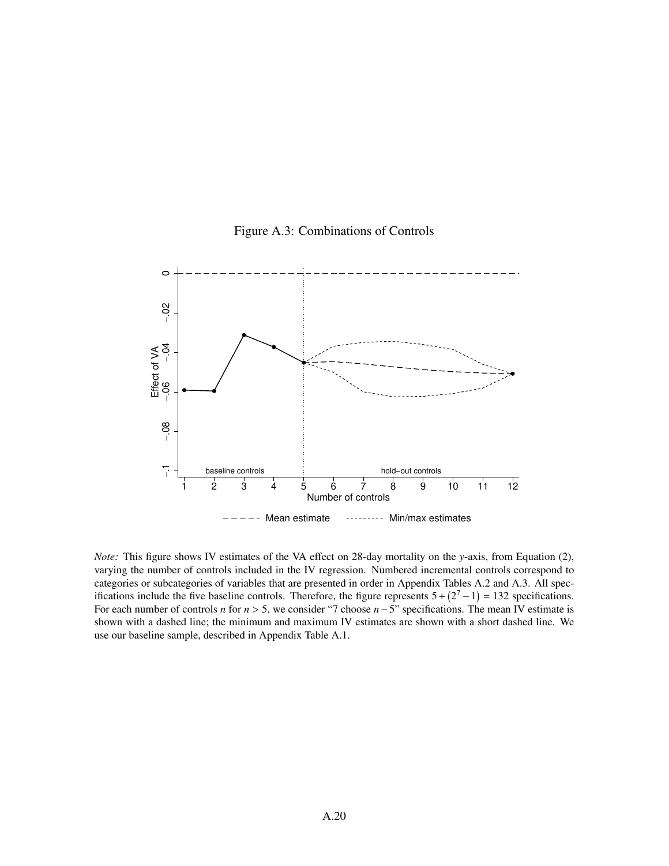



*Note:* This figure shows IV estimates of the VA effect on 28-day mortality on the *y*-axis, from Equation (2), varying the number of controls included in the IV regression. Numbered incremental controls correspond to categories or subcategories of variables that are presented in order in Appendix Tables A.2 and A.3. All specifications include the five baseline controls. Therefore, the figure represents  $5 + (2<sup>7</sup> – 1) = 132$  specifications. For each number of controls *n* for  $n > 5$ , we consider "7 choose  $n - 5$ " specifications. The mean IV estimate is shown with a dashed line; the minimum and maximum IV estimates are shown with a short dashed line. We use our baseline sample, described in Appendix Table A.1.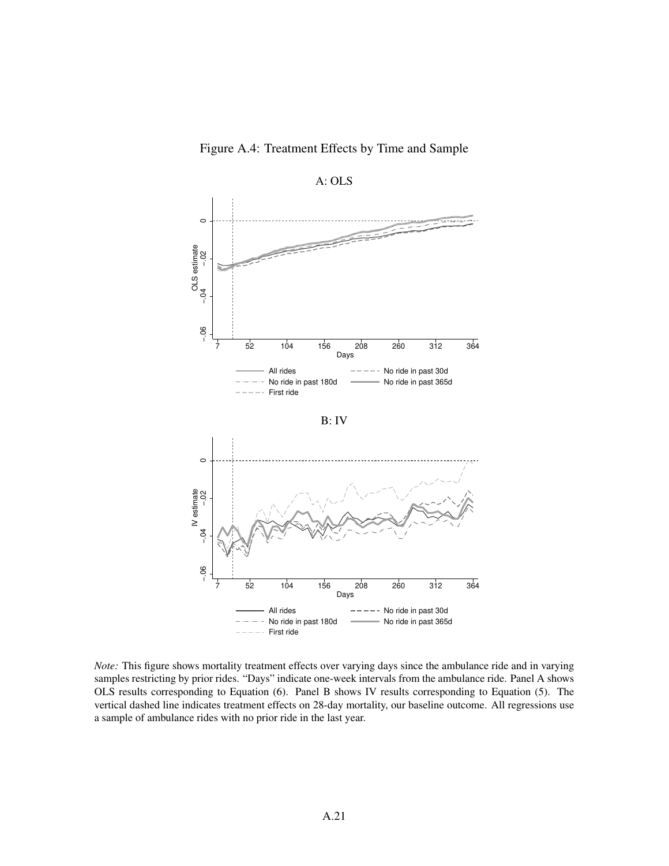

Figure A.4: Treatment Effects by Time and Sample

*Note:* This figure shows mortality treatment effects over varying days since the ambulance ride and in varying samples restricting by prior rides. "Days" indicate one-week intervals from the ambulance ride. Panel A shows OLS results corresponding to Equation (6). Panel B shows IV results corresponding to Equation (5). The vertical dashed line indicates treatment effects on 28-day mortality, our baseline outcome. All regressions use a sample of ambulance rides with no prior ride in the last year.

First ride

7 52 104 156 208 260 312 364 Days All rides  $---$  No ride in past 30d No ride in past 180d 
No ride in past 365d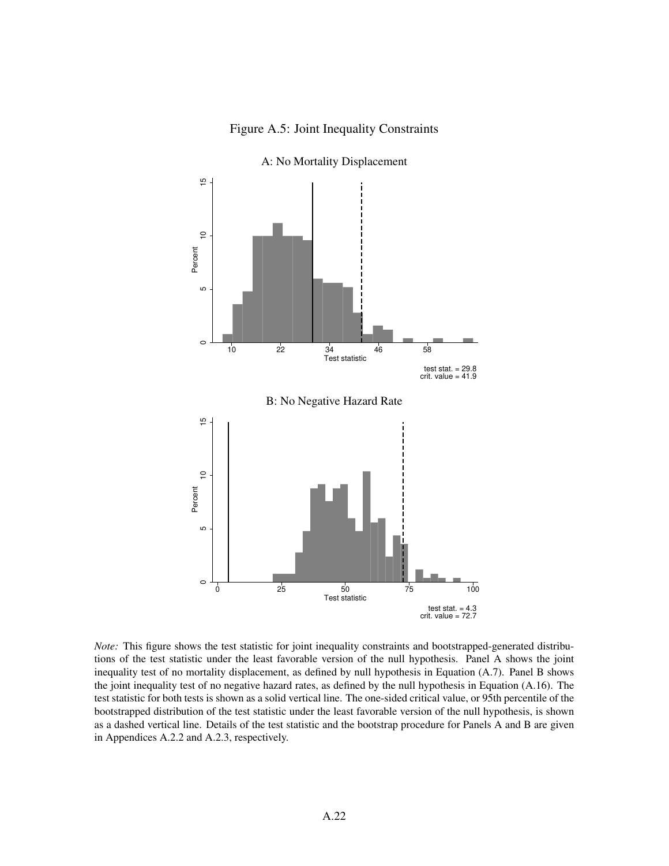



A: No Mortality Displacement

*Note:* This figure shows the test statistic for joint inequality constraints and bootstrapped-generated distributions of the test statistic under the least favorable version of the null hypothesis. Panel A shows the joint inequality test of no mortality displacement, as defined by null hypothesis in Equation (A.7). Panel B shows the joint inequality test of no negative hazard rates, as defined by the null hypothesis in Equation (A.16). The test statistic for both tests is shown as a solid vertical line. The one-sided critical value, or 95th percentile of the bootstrapped distribution of the test statistic under the least favorable version of the null hypothesis, is shown as a dashed vertical line. Details of the test statistic and the bootstrap procedure for Panels A and B are given in Appendices A.2.2 and A.2.3, respectively.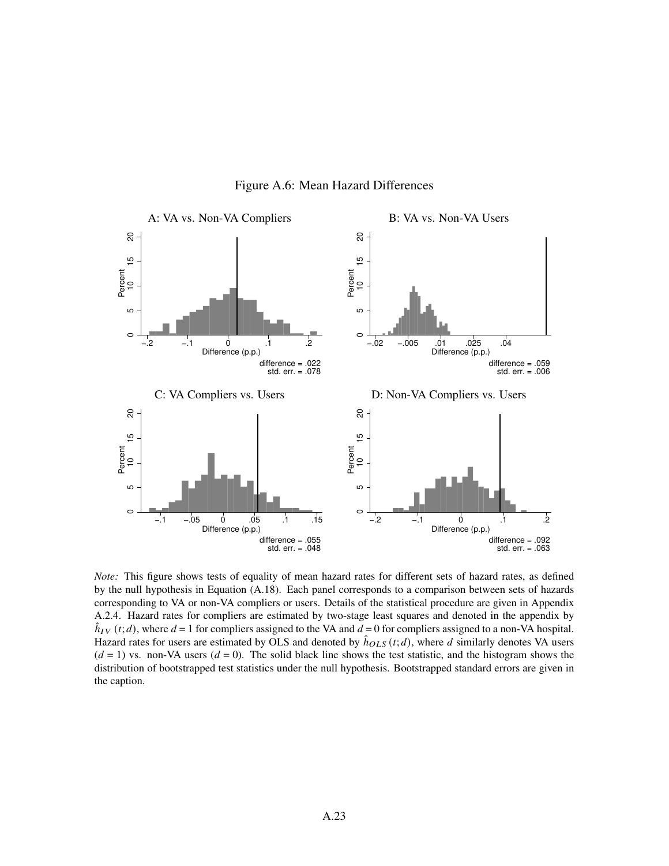

Figure A.6: Mean Hazard Differences

*Note:* This figure shows tests of equality of mean hazard rates for different sets of hazard rates, as defined by the null hypothesis in Equation (A.18). Each panel corresponds to a comparison between sets of hazards corresponding to VA or non-VA compliers or users. Details of the statistical procedure are given in Appendix A.2.4. Hazard rates for compliers are estimated by two-stage least squares and denoted in the appendix by  $\hat{h}_{IV}(t; d)$ , where  $d = 1$  for compliers assigned to the VA and  $d = 0$  for compliers assigned to a non-VA hospital. Hazard rates for users are estimated by OLS and denoted by  $\hat{h}_{OLS}(t; d)$ , where d similarly denotes VA users  $(d = 1)$  vs. non-VA users  $(d = 0)$ . The solid black line shows the test statistic, and the histogram shows the distribution of bootstrapped test statistics under the null hypothesis. Bootstrapped standard errors are given in the caption.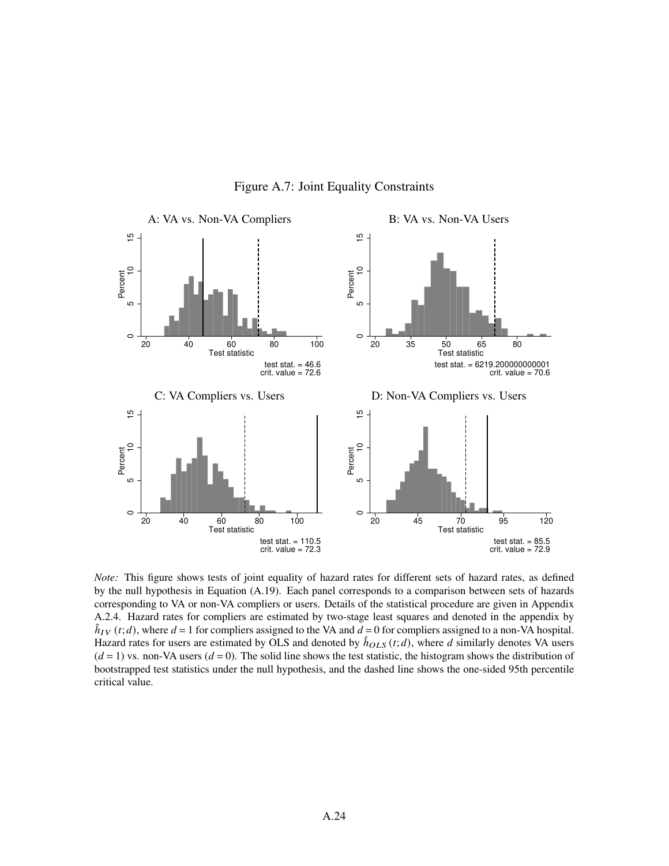

Figure A.7: Joint Equality Constraints

*Note:* This figure shows tests of joint equality of hazard rates for different sets of hazard rates, as defined by the null hypothesis in Equation (A.19). Each panel corresponds to a comparison between sets of hazards corresponding to VA or non-VA compliers or users. Details of the statistical procedure are given in Appendix A.2.4. Hazard rates for compliers are estimated by two-stage least squares and denoted in the appendix by  $\hat{h}_{IV}(t; d)$ , where  $d = 1$  for compliers assigned to the VA and  $d = 0$  for compliers assigned to a non-VA hospital. Hazard rates for users are estimated by OLS and denoted by  $\hat{h}_{OLS}(t; d)$ , where d similarly denotes VA users  $(d = 1)$  vs. non-VA users  $(d = 0)$ . The solid line shows the test statistic, the histogram shows the distribution of bootstrapped test statistics under the null hypothesis, and the dashed line shows the one-sided 95th percentile critical value.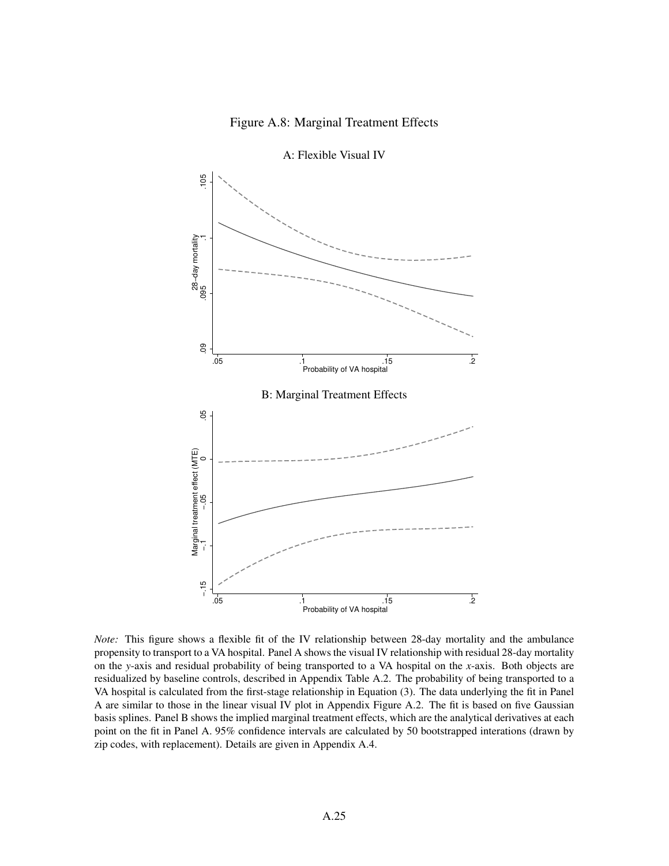## Figure A.8: Marginal Treatment Effects



A: Flexible Visual IV

*Note:* This figure shows a flexible fit of the IV relationship between 28-day mortality and the ambulance propensity to transport to a VA hospital. Panel A shows the visual IV relationship with residual 28-day mortality on the *y*-axis and residual probability of being transported to a VA hospital on the *x*-axis. Both objects are residualized by baseline controls, described in Appendix Table A.2. The probability of being transported to a VA hospital is calculated from the first-stage relationship in Equation (3). The data underlying the fit in Panel A are similar to those in the linear visual IV plot in Appendix Figure A.2. The fit is based on five Gaussian basis splines. Panel B shows the implied marginal treatment effects, which are the analytical derivatives at each point on the fit in Panel A. 95% confidence intervals are calculated by 50 bootstrapped interations (drawn by zip codes, with replacement). Details are given in Appendix A.4.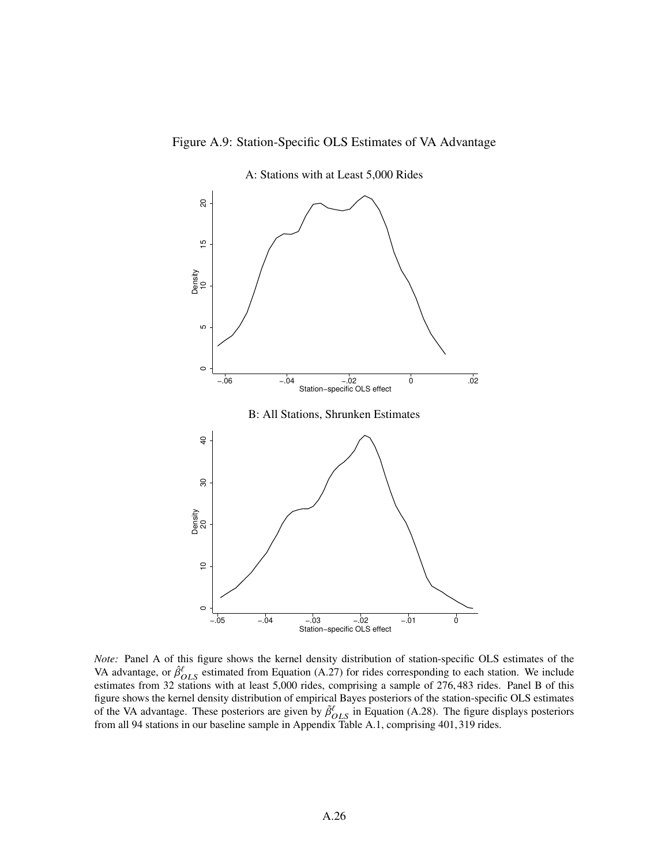



A: Stations with at Least 5,000 Rides

*Note:* Panel A of this figure shows the kernel density distribution of station-specific OLS estimates of the VA advantage, or  $\hat{\beta}^{\ell}_{OLS}$  estimated from Equation (A.27) for rides corresponding to each station. We include estimates from 32 stations with at least 5,000 rides, comprising a sample of 276,483 rides. Panel B of this figure shows the kernel density distribution of empirical Bayes posteriors of the station-specific OLS estimates of the VA advantage. These posteriors are given by  $\tilde{\beta}^{\ell}_{OLS}$  in Equation (A.28). The figure displays posteriors from all 94 stations in our baseline sample in Appendix Table A.1, comprising 401,319 rides.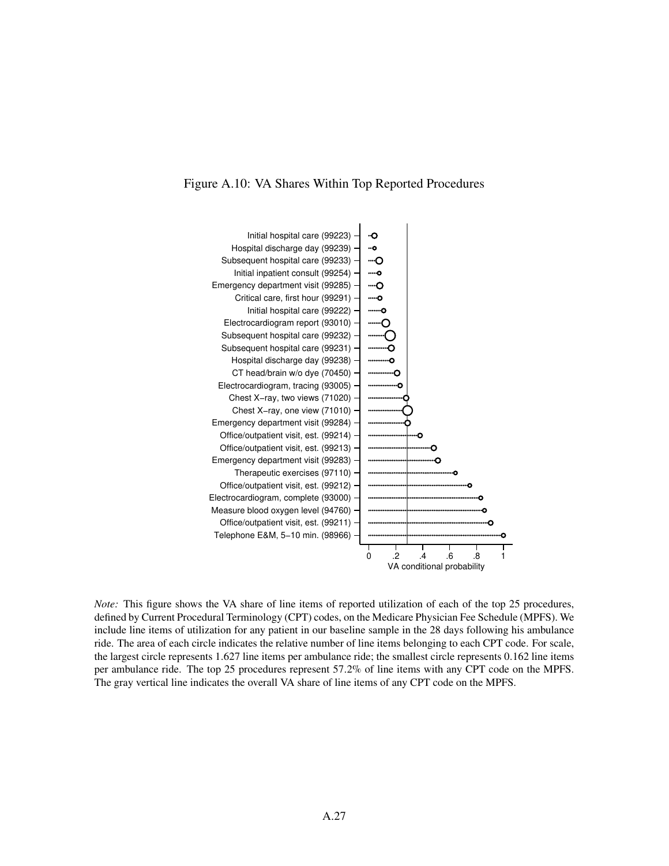



*Note:* This figure shows the VA share of line items of reported utilization of each of the top 25 procedures, defined by Current Procedural Terminology (CPT) codes, on the Medicare Physician Fee Schedule (MPFS). We include line items of utilization for any patient in our baseline sample in the 28 days following his ambulance ride. The area of each circle indicates the relative number of line items belonging to each CPT code. For scale, the largest circle represents 1.627 line items per ambulance ride; the smallest circle represents 0.162 line items per ambulance ride. The top 25 procedures represent 57.2% of line items with any CPT code on the MPFS. The gray vertical line indicates the overall VA share of line items of any CPT code on the MPFS.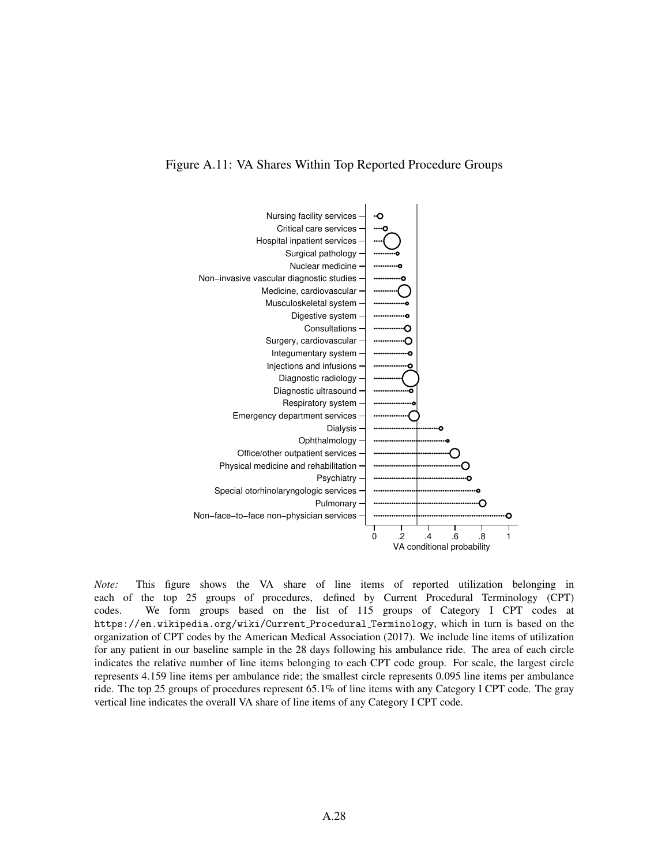

*Note:* This figure shows the VA share of line items of reported utilization belonging in each of the top 25 groups of procedures, defined by Current Procedural Terminology (CPT) codes. We form groups based on the list of 115 groups of Category I CPT codes at https://en.wikipedia.org/wiki/Current Procedural Terminology, which in turn is based on the organization of CPT codes by the American Medical Association (2017). We include line items of utilization for any patient in our baseline sample in the 28 days following his ambulance ride. The area of each circle indicates the relative number of line items belonging to each CPT code group. For scale, the largest circle represents 4.159 line items per ambulance ride; the smallest circle represents 0.095 line items per ambulance ride. The top 25 groups of procedures represent 65.1% of line items with any Category I CPT code. The gray vertical line indicates the overall VA share of line items of any Category I CPT code.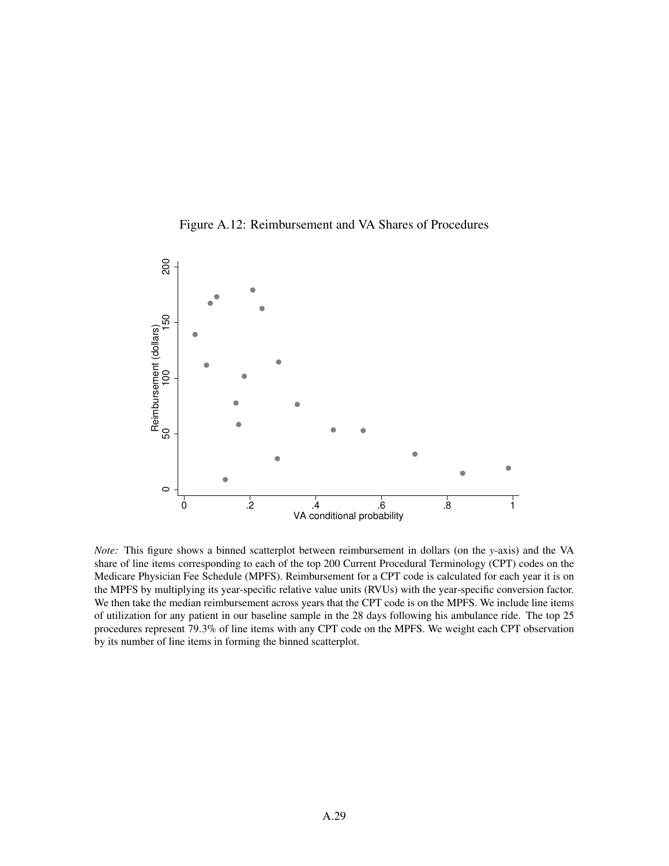



*Note:* This figure shows a binned scatterplot between reimbursement in dollars (on the *y*-axis) and the VA share of line items corresponding to each of the top 200 Current Procedural Terminology (CPT) codes on the Medicare Physician Fee Schedule (MPFS). Reimbursement for a CPT code is calculated for each year it is on the MPFS by multiplying its year-specific relative value units (RVUs) with the year-specific conversion factor. We then take the median reimbursement across years that the CPT code is on the MPFS. We include line items of utilization for any patient in our baseline sample in the 28 days following his ambulance ride. The top 25 procedures represent 79.3% of line items with any CPT code on the MPFS. We weight each CPT observation by its number of line items in forming the binned scatterplot.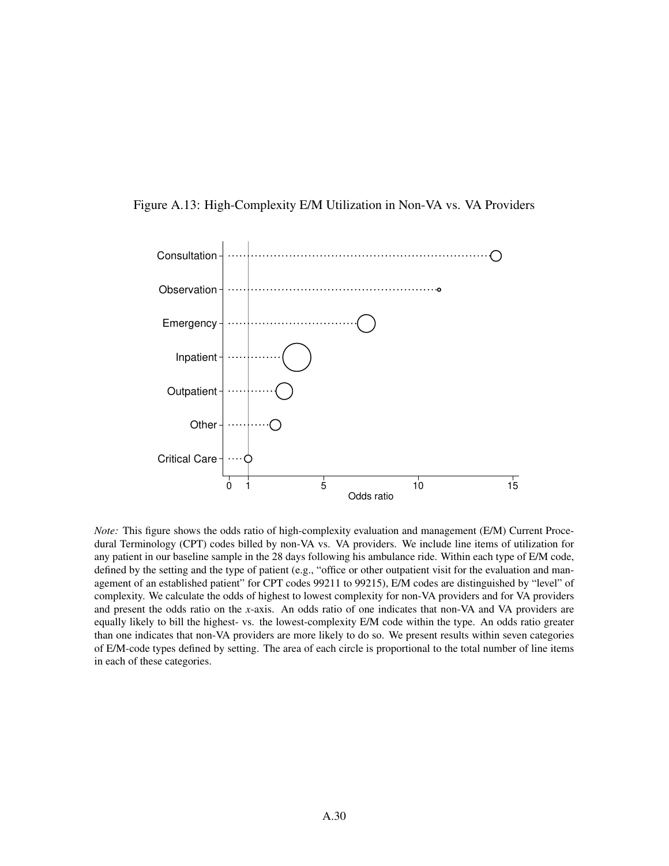



*Note:* This figure shows the odds ratio of high-complexity evaluation and management (E/M) Current Procedural Terminology (CPT) codes billed by non-VA vs. VA providers. We include line items of utilization for any patient in our baseline sample in the 28 days following his ambulance ride. Within each type of E/M code, defined by the setting and the type of patient (e.g., "office or other outpatient visit for the evaluation and management of an established patient" for CPT codes 99211 to 99215), E/M codes are distinguished by "level" of complexity. We calculate the odds of highest to lowest complexity for non-VA providers and for VA providers and present the odds ratio on the *x*-axis. An odds ratio of one indicates that non-VA and VA providers are equally likely to bill the highest- vs. the lowest-complexity E/M code within the type. An odds ratio greater than one indicates that non-VA providers are more likely to do so. We present results within seven categories of E/M-code types defined by setting. The area of each circle is proportional to the total number of line items in each of these categories.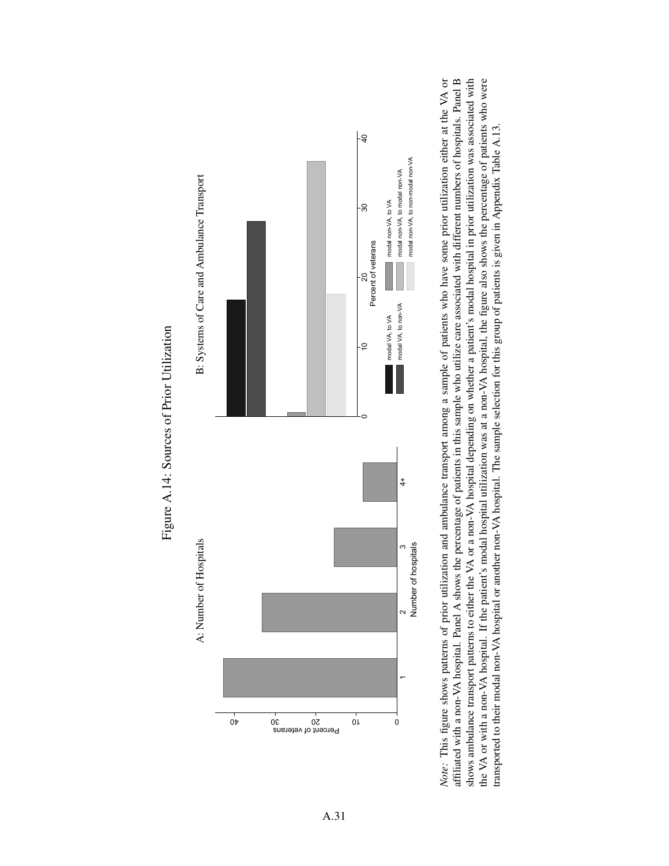



## Figure A.14: Sources of Prior Utilization Figure A.14: Sources of Prior Utilization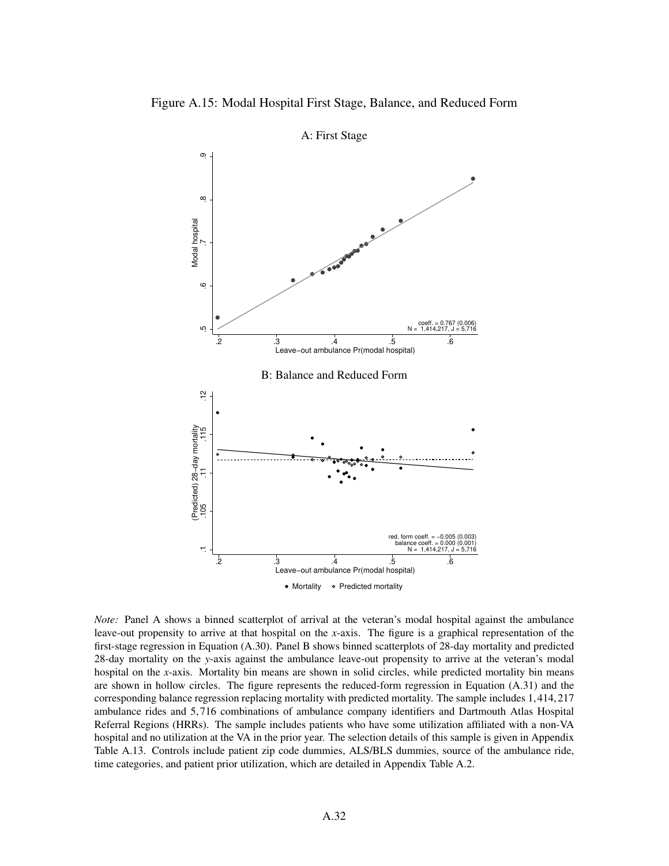

A: First Stage

*Note:* Panel A shows a binned scatterplot of arrival at the veteran's modal hospital against the ambulance leave-out propensity to arrive at that hospital on the *x*-axis. The figure is a graphical representation of the first-stage regression in Equation (A.30). Panel B shows binned scatterplots of 28-day mortality and predicted 28-day mortality on the *y*-axis against the ambulance leave-out propensity to arrive at the veteran's modal hospital on the *x*-axis. Mortality bin means are shown in solid circles, while predicted mortality bin means are shown in hollow circles. The figure represents the reduced-form regression in Equation (A.31) and the corresponding balance regression replacing mortality with predicted mortality. The sample includes 1,414,217 ambulance rides and 5,716 combinations of ambulance company identifiers and Dartmouth Atlas Hospital Referral Regions (HRRs). The sample includes patients who have some utilization affiliated with a non-VA hospital and no utilization at the VA in the prior year. The selection details of this sample is given in Appendix Table A.13. Controls include patient zip code dummies, ALS/BLS dummies, source of the ambulance ride, time categories, and patient prior utilization, which are detailed in Appendix Table A.2.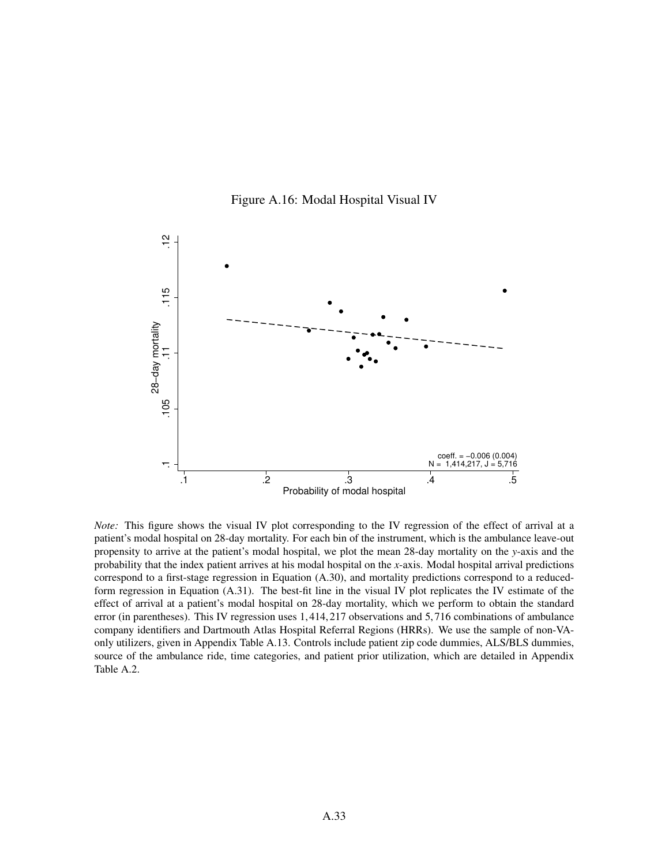



*Note:* This figure shows the visual IV plot corresponding to the IV regression of the effect of arrival at a patient's modal hospital on 28-day mortality. For each bin of the instrument, which is the ambulance leave-out propensity to arrive at the patient's modal hospital, we plot the mean 28-day mortality on the *y*-axis and the probability that the index patient arrives at his modal hospital on the *x*-axis. Modal hospital arrival predictions correspond to a first-stage regression in Equation (A.30), and mortality predictions correspond to a reducedform regression in Equation (A.31). The best-fit line in the visual IV plot replicates the IV estimate of the effect of arrival at a patient's modal hospital on 28-day mortality, which we perform to obtain the standard error (in parentheses). This IV regression uses 1,414,217 observations and 5,716 combinations of ambulance company identifiers and Dartmouth Atlas Hospital Referral Regions (HRRs). We use the sample of non-VAonly utilizers, given in Appendix Table A.13. Controls include patient zip code dummies, ALS/BLS dummies, source of the ambulance ride, time categories, and patient prior utilization, which are detailed in Appendix Table A.2.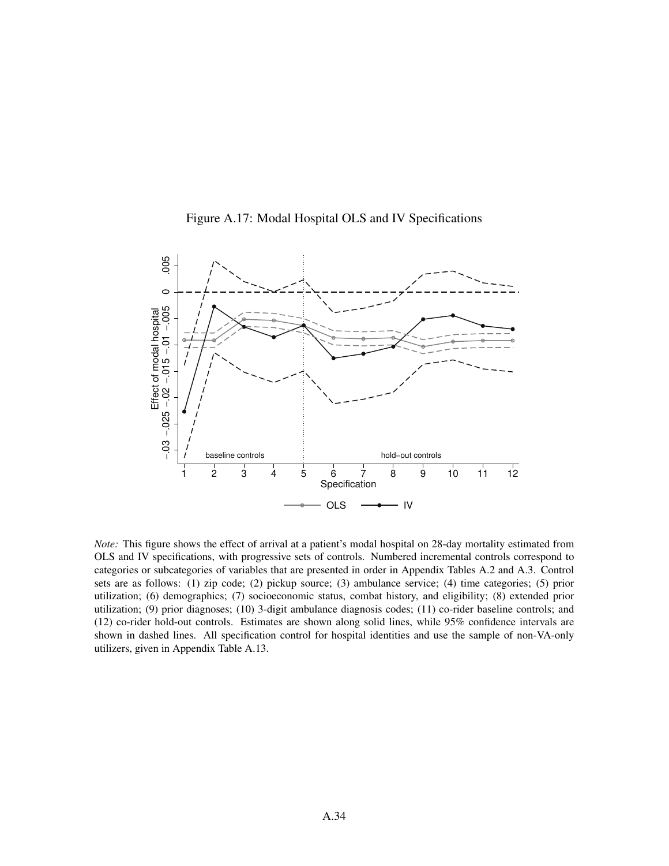

Figure A.17: Modal Hospital OLS and IV Specifications

*Note:* This figure shows the effect of arrival at a patient's modal hospital on 28-day mortality estimated from OLS and IV specifications, with progressive sets of controls. Numbered incremental controls correspond to categories or subcategories of variables that are presented in order in Appendix Tables A.2 and A.3. Control sets are as follows: (1) zip code; (2) pickup source; (3) ambulance service; (4) time categories; (5) prior utilization; (6) demographics; (7) socioeconomic status, combat history, and eligibility; (8) extended prior utilization; (9) prior diagnoses; (10) 3-digit ambulance diagnosis codes; (11) co-rider baseline controls; and (12) co-rider hold-out controls. Estimates are shown along solid lines, while 95% confidence intervals are shown in dashed lines. All specification control for hospital identities and use the sample of non-VA-only utilizers, given in Appendix Table A.13.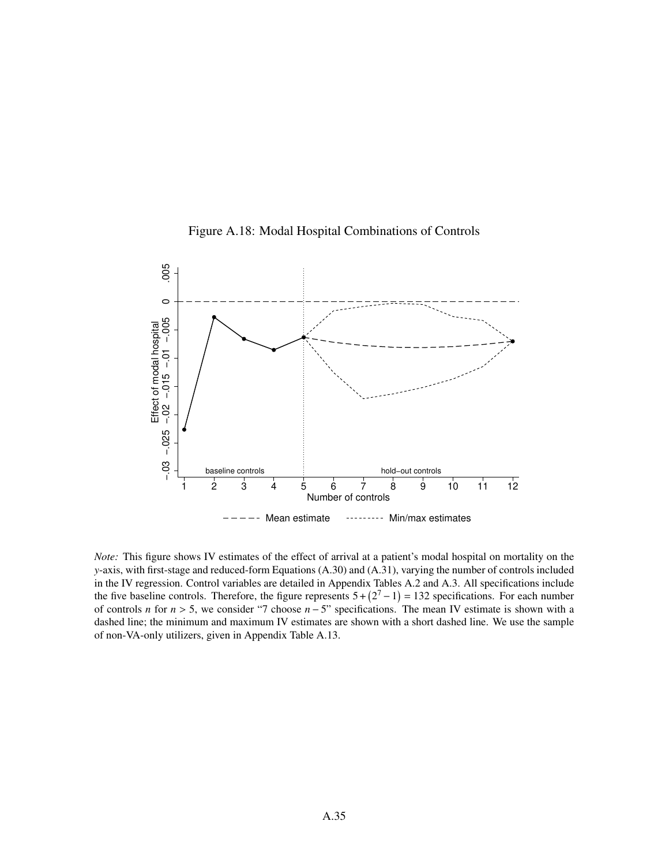

Figure A.18: Modal Hospital Combinations of Controls

*Note:* This figure shows IV estimates of the effect of arrival at a patient's modal hospital on mortality on the *y*-axis, with first-stage and reduced-form Equations (A.30) and (A.31), varying the number of controls included in the IV regression. Control variables are detailed in Appendix Tables A.2 and A.3. All specifications include the five baseline controls. Therefore, the figure represents  $5 + (2<sup>7</sup> - 1) = 132$  specifications. For each number of controls *n* for  $n > 5$ , we consider "7 choose  $n - 5$ " specifications. The mean IV estimate is shown with a dashed line; the minimum and maximum IV estimates are shown with a short dashed line. We use the sample of non-VA-only utilizers, given in Appendix Table A.13.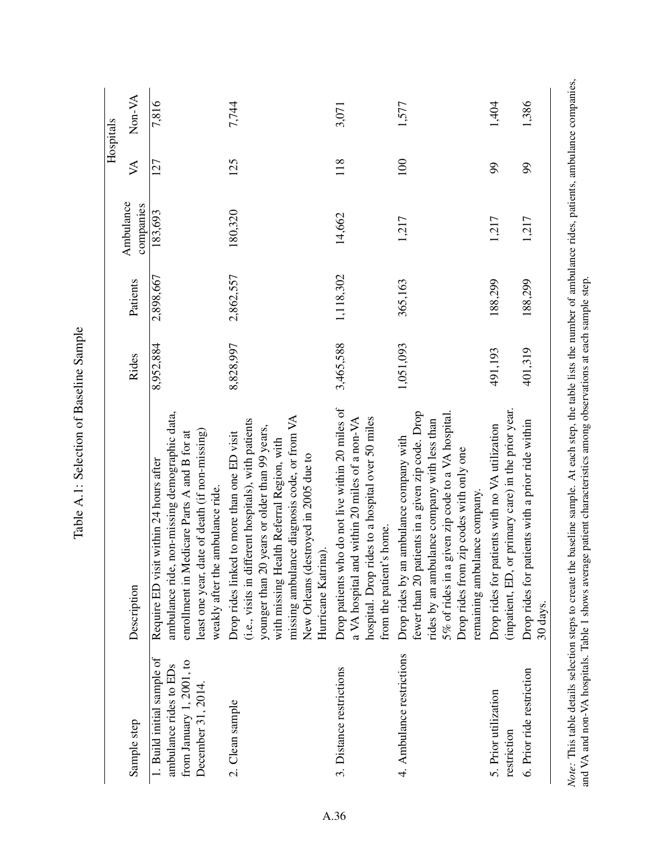|                                                                                                        |                                                                                                                                                                                                                                                                                                                   |           |           |                        |                             | Hospitals |
|--------------------------------------------------------------------------------------------------------|-------------------------------------------------------------------------------------------------------------------------------------------------------------------------------------------------------------------------------------------------------------------------------------------------------------------|-----------|-----------|------------------------|-----------------------------|-----------|
| Sample step                                                                                            | Description                                                                                                                                                                                                                                                                                                       | Rides     | Patients  | Ambulance<br>companies | $\aleph$                    | Non-VA    |
| 1. Build initial sample of<br>from January 1, 2001, to<br>ambulance rides to EDs<br>December 31, 2014. | ambulance ride, non-missing demographic data,<br>least one year, date of death (if non-missing)<br>enrollment in Medicare Parts A and B for at<br>Require ED visit within 24 hours after<br>weakly after the ambulance ride.                                                                                      | 8,952,884 | 2,898,667 | 183,693                | 127                         | 7,816     |
| 2. Clean sample                                                                                        | missing ambulance diagnosis code, or from VA<br>(i.e., visits in different hospitals), with patients<br>younger than 20 years or older than 99 years,<br>Drop rides linked to more than one ED visit<br>with missing Health Referral Region, with<br>New Orleans (destroyed in 2005 due to<br>Hurricane Katrina). | 8,828,997 | 2,862,557 | 180,320                | 125                         | 7,744     |
| 3. Distance restrictions                                                                               | Drop patients who do not live within 20 miles of<br>hospital. Drop rides to a hospital over 50 miles<br>a VA hospital and within 20 miles of a non-VA<br>from the patient's home.                                                                                                                                 | 3,465,588 | 1,118,302 | 14,662                 | 118                         | 3,071     |
| 4. Ambulance restrictions                                                                              | patients in a given zip code. Drop<br>5% of rides in a given zip code to a VA hospital.<br>rides by an ambulance company with less than<br>an ambulance company with<br>Drop rides from zip codes with only one<br>remaining ambulance company<br>fewer than 20<br>Drop rides by                                  | 1,051,093 | 365,163   | 1,217                  | $\approx$                   | 1,577     |
| 5. Prior utilization<br>restriction                                                                    | or primary care) in the prior year.<br>patients with no VA utilization<br>Drop rides for<br>(inpatient, ED,                                                                                                                                                                                                       | 491,193   | 188,299   | 1,217                  | 99                          | 1,404     |
| 6. Prior ride restriction                                                                              | patients with a prior ride within<br>Drop rides for<br>30 days.                                                                                                                                                                                                                                                   | 401,319   | 188,299   | 1,217                  | $\mathcal{S}^{\mathcal{O}}$ | 1,386     |

Table A.1: Selection of Baseline Sample Table A.1: Selection of Baseline Sample Note: This table details selection steps to create the baseline sample. At each step, the table lists the number of ambulance rides, patients, ambulance companies, and VA and non-VA hospitals. Table 1 shows average patient *Note:* This table details selection steps to create the baseline sample. At each step, the table lists the number of ambulance rides, patients, ambulance companies, and VA and non-VA hospitals. Table 1 shows average patient characteristics among observations at each sample step.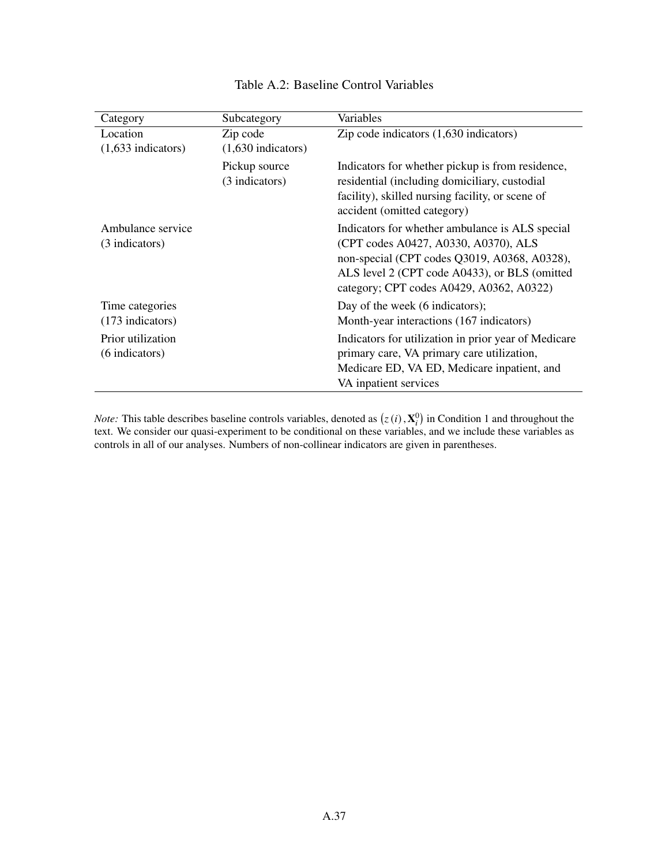| Category                            | Subcategory                     | Variables                                                                                                                                                                                                                            |
|-------------------------------------|---------------------------------|--------------------------------------------------------------------------------------------------------------------------------------------------------------------------------------------------------------------------------------|
| Location                            | Zip code                        | Zip code indicators $(1,630)$ indicators)                                                                                                                                                                                            |
| $(1,633$ indicators)                | $(1,630$ indicators)            |                                                                                                                                                                                                                                      |
|                                     | Pickup source<br>(3 indicators) | Indicators for whether pickup is from residence,<br>residential (including domiciliary, custodial<br>facility), skilled nursing facility, or scene of<br>accident (omitted category)                                                 |
| Ambulance service<br>(3 indicators) |                                 | Indicators for whether ambulance is ALS special<br>(CPT codes A0427, A0330, A0370), ALS<br>non-special (CPT codes Q3019, A0368, A0328),<br>ALS level 2 (CPT code A0433), or BLS (omitted<br>category; CPT codes A0429, A0362, A0322) |
| Time categories                     |                                 | Day of the week (6 indicators);                                                                                                                                                                                                      |
| $(173$ indicators)                  |                                 | Month-year interactions (167 indicators)                                                                                                                                                                                             |
| Prior utilization<br>(6 indicators) |                                 | Indicators for utilization in prior year of Medicare<br>primary care, VA primary care utilization,<br>Medicare ED, VA ED, Medicare inpatient, and<br>VA inpatient services                                                           |

## Table A.2: Baseline Control Variables

*Note:* This table describes baseline controls variables, denoted as  $(z(i), \mathbf{X}_i^0)$  in Condition 1 and throughout the text. We consider our quasi-experiment to be conditional on these variables, and we include these variables as controls in all of our analyses. Numbers of non-collinear indicators are given in parentheses.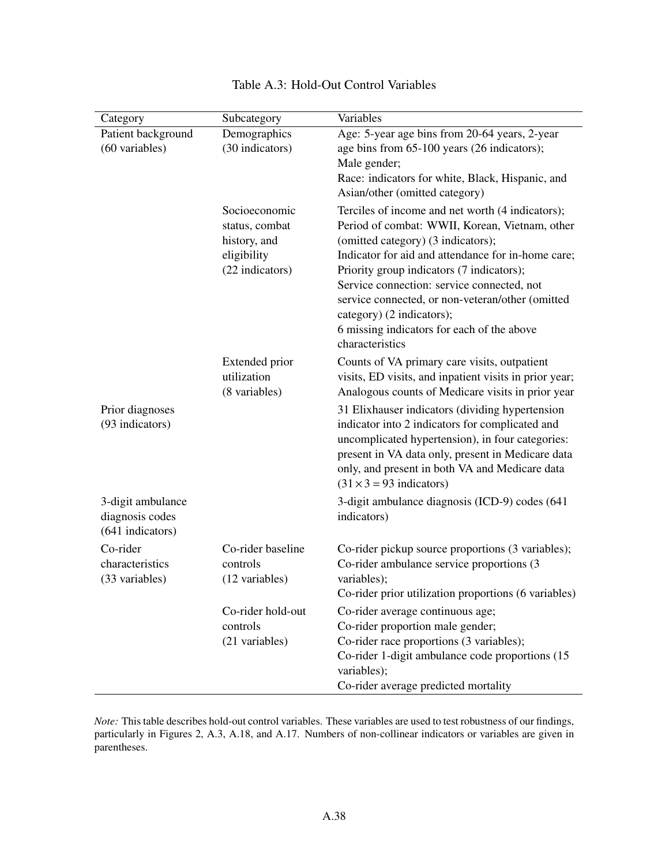| Category           | Subcategory       | Variables                                                                     |
|--------------------|-------------------|-------------------------------------------------------------------------------|
| Patient background | Demographics      | Age: 5-year age bins from 20-64 years, 2-year                                 |
| (60 variables)     | (30 indicators)   | age bins from 65-100 years (26 indicators);                                   |
|                    |                   | Male gender;                                                                  |
|                    |                   | Race: indicators for white, Black, Hispanic, and                              |
|                    |                   | Asian/other (omitted category)                                                |
|                    | Socioeconomic     | Terciles of income and net worth (4 indicators);                              |
|                    | status, combat    | Period of combat: WWII, Korean, Vietnam, other                                |
|                    | history, and      | (omitted category) (3 indicators);                                            |
|                    | eligibility       | Indicator for aid and attendance for in-home care;                            |
|                    | (22 indicators)   | Priority group indicators (7 indicators);                                     |
|                    |                   | Service connection: service connected, not                                    |
|                    |                   | service connected, or non-veteran/other (omitted<br>category) (2 indicators); |
|                    |                   | 6 missing indicators for each of the above                                    |
|                    |                   | characteristics                                                               |
|                    | Extended prior    | Counts of VA primary care visits, outpatient                                  |
|                    | utilization       | visits, ED visits, and inpatient visits in prior year;                        |
|                    | (8 variables)     | Analogous counts of Medicare visits in prior year                             |
| Prior diagnoses    |                   | 31 Elixhauser indicators (dividing hypertension                               |
| (93 indicators)    |                   | indicator into 2 indicators for complicated and                               |
|                    |                   | uncomplicated hypertension), in four categories:                              |
|                    |                   | present in VA data only, present in Medicare data                             |
|                    |                   | only, and present in both VA and Medicare data                                |
|                    |                   | $(31 \times 3 = 93$ indicators)                                               |
| 3-digit ambulance  |                   | 3-digit ambulance diagnosis (ICD-9) codes (641                                |
| diagnosis codes    |                   | indicators)                                                                   |
| (641 indicators)   |                   |                                                                               |
| Co-rider           | Co-rider baseline | Co-rider pickup source proportions (3 variables);                             |
| characteristics    | controls          | Co-rider ambulance service proportions (3                                     |
| (33 variables)     | (12 variables)    | variables);                                                                   |
|                    |                   | Co-rider prior utilization proportions (6 variables)                          |
|                    | Co-rider hold-out | Co-rider average continuous age;                                              |
|                    | controls          | Co-rider proportion male gender;                                              |
|                    | (21 variables)    | Co-rider race proportions (3 variables);                                      |
|                    |                   | Co-rider 1-digit ambulance code proportions (15                               |
|                    |                   | variables);<br>Co-rider average predicted mortality                           |
|                    |                   |                                                                               |

## Table A.3: Hold-Out Control Variables

*Note:* This table describes hold-out control variables. These variables are used to test robustness of our findings, particularly in Figures 2, A.3, A.18, and A.17. Numbers of non-collinear indicators or variables are given in parentheses.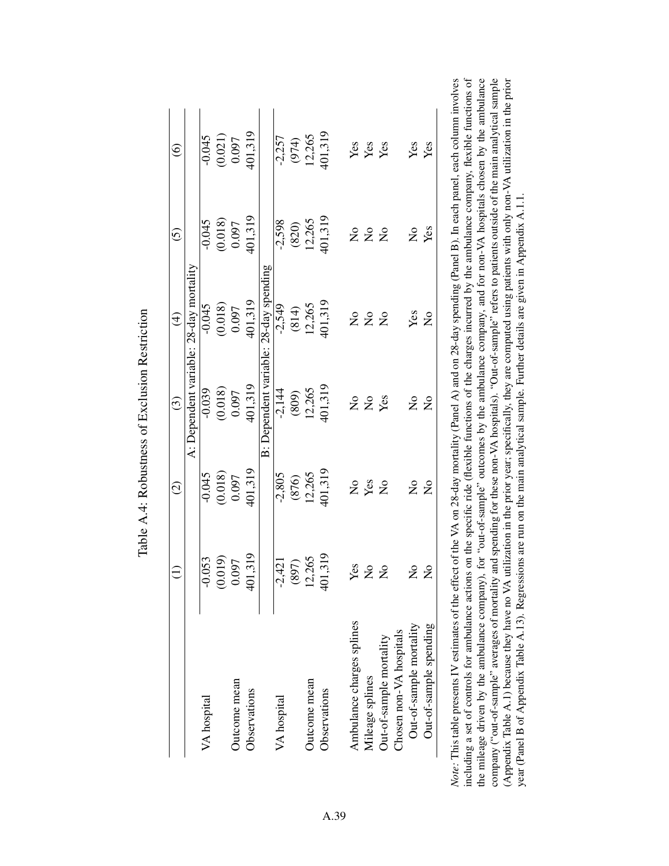|                           | $\widehat{\Xi}$           | $\widehat{c}$             | $\widehat{c}$                           | $\widehat{E}$           | $\widehat{c}$        | $\widehat{\odot}$ |
|---------------------------|---------------------------|---------------------------|-----------------------------------------|-------------------------|----------------------|-------------------|
|                           |                           |                           | A: Dependent variable: 28-day mortality |                         |                      |                   |
| VA hospital               | 0.053<br>ī                | $-0.045$                  | $-0.039$                                | $-0.045$                | $-0.045$             | $-0.045$          |
|                           | (0.019)                   | (0.018)                   | (0.018)                                 | (0.018)                 | (0.018)              | (0.021)           |
| Outcome mean              | 0.097                     | 0.097                     | 0.097                                   | 0.097                   | 0.097                | 0.097             |
| Observations              | 401,319                   | 401,319                   | 401,319                                 | 401,319                 | 401,319              | 401,319           |
|                           |                           |                           | B: Dependent variable:                  | 28-day spending         |                      |                   |
| VA hospital               | $-2,421$                  | $-2,805$                  | $-2,144$                                | $-2,549$                | $-2,598$             | $-2,257$          |
|                           | (897)                     | (876)                     | (809)                                   | (814)                   | (820)                | (974)             |
| Outcome mean              | 12,265                    | 12,265                    | 12,265                                  | 12,265                  | 12,265               | 12,265            |
| Observations              | 401,319                   | 401,319                   | 401,319                                 | 401,319                 | 401,319              | 101,319           |
| Ambulance charges splines | Yes                       | $\mathsf{S}^{\mathsf{O}}$ | $\mathsf{S}^{\mathsf{O}}$               | $\overline{a}$          |                      |                   |
| Mileage splines           | $\mathsf{S}^{\mathsf{O}}$ | Yes                       | $\mathsf{S}^{\mathsf{o}}$               | $\mathcal{L}^{\circ}$   | 2 ž                  | Yes<br>Yes        |
| Out-of-sample mortality   | $\mathsf{S}^{\mathsf{O}}$ | $\overline{S}$            | Yes                                     | $\overline{\mathsf{z}}$ | $\overline{a}$       | Yes               |
| Chosen non-VA hospitals   |                           |                           |                                         |                         |                      |                   |
| Out-of-sample mortality   | $\mathsf{z}^{\circ}$      | $\frac{1}{2}$             | $\mathsf{S}^{\mathsf{o}}$               | Yes                     | $\tilde{\mathsf{z}}$ | Yes               |
| Out-of-sample spending    | $\mathsf{S}^{\mathsf{O}}$ | $\overline{S}$            | $\overline{S}$                          | $\overline{\mathsf{z}}$ | Yes                  | Yes               |

Table A.4: Robustness of Exclusion Restriction Table A.4: Robustness of Exclusion Restriction

/es including a set of controls for ambulance actions on the specific ride (flexible functions of the charges incurred by the ambulance company, flexible functions of the mileage driven by the ambulance company), for "out-of-sample" outcomes by the ambulance company, and for non-VA hospitals chosen by the ambulance company ("out-of-sample" averages of mortality and spending for these non-VA hospitals). "Out-of-sample" refers to patients outside of the main analytical sample (Appendix Table A.1) because they have no VA utilization in the prior year; specifically, they are computed using patients with only non-VA utilization in the prior including a set of controls for ambulance actions on the specific ride (flexible functions of the charges incurred by the ambulance company, flexible functions of *Note:* This table presents IV estimates of the effect of the VA on 28-day mortality (Panel A) and on 28-day spending (Panel B). In each panel, each column involves the mileage driven by the ambulance company), for "out-of-sample" outcomes by the ambulance company, and for non-VA hospitals chosen by the ambulance company ("out-of-sample" averages of mortality and spending for these non-VA hospitals). "Out-of-sample" refers to patients outside of the main analytical sample (Appendix Table A.1) because they have no VA utilization in the prior year; specifically, they are computed using patients with only non-VA utilization in the prior year (Panel B of Appendix Table A.13). Regressions are run on the main analytical sample. Further details are given in Appendix A.1.1. year (Panel B of Appendix Table A.13). Regressions are run on the main analytical sample. Further details are given in Appendix A.1.1. Note: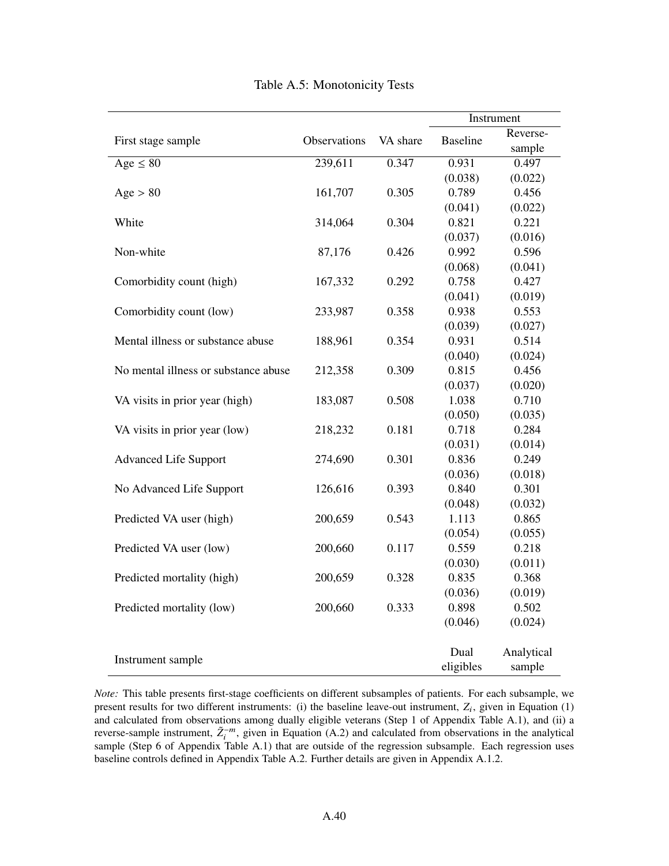|                                      |              |          |                 | Instrument |
|--------------------------------------|--------------|----------|-----------------|------------|
| First stage sample                   | Observations | VA share | <b>Baseline</b> | Reverse-   |
|                                      |              |          |                 | sample     |
| Age $\leq 80$                        | 239,611      | 0.347    | 0.931           | 0.497      |
|                                      |              |          | (0.038)         | (0.022)    |
| Age > 80                             | 161,707      | 0.305    | 0.789           | 0.456      |
|                                      |              |          | (0.041)         | (0.022)    |
| White                                | 314,064      | 0.304    | 0.821           | 0.221      |
|                                      |              |          | (0.037)         | (0.016)    |
| Non-white                            | 87,176       | 0.426    | 0.992           | 0.596      |
|                                      |              |          | (0.068)         | (0.041)    |
| Comorbidity count (high)             | 167,332      | 0.292    | 0.758           | 0.427      |
|                                      |              |          | (0.041)         | (0.019)    |
| Comorbidity count (low)              | 233,987      | 0.358    | 0.938           | 0.553      |
|                                      |              |          | (0.039)         | (0.027)    |
| Mental illness or substance abuse    | 188,961      | 0.354    | 0.931           | 0.514      |
|                                      |              |          | (0.040)         | (0.024)    |
| No mental illness or substance abuse | 212,358      | 0.309    | 0.815           | 0.456      |
|                                      |              |          | (0.037)         | (0.020)    |
| VA visits in prior year (high)       | 183,087      | 0.508    | 1.038           | 0.710      |
|                                      |              |          | (0.050)         | (0.035)    |
| VA visits in prior year (low)        | 218,232      | 0.181    | 0.718           | 0.284      |
|                                      |              |          | (0.031)         | (0.014)    |
| <b>Advanced Life Support</b>         | 274,690      | 0.301    | 0.836           | 0.249      |
|                                      |              |          | (0.036)         | (0.018)    |
| No Advanced Life Support             | 126,616      | 0.393    | 0.840           | 0.301      |
|                                      |              |          | (0.048)         | (0.032)    |
| Predicted VA user (high)             | 200,659      | 0.543    | 1.113           | 0.865      |
|                                      |              |          | (0.054)         | (0.055)    |
| Predicted VA user (low)              | 200,660      | 0.117    | 0.559           | 0.218      |
|                                      |              |          | (0.030)         | (0.011)    |
| Predicted mortality (high)           | 200,659      | 0.328    | 0.835           | 0.368      |
|                                      |              |          | (0.036)         | (0.019)    |
| Predicted mortality (low)            | 200,660      | 0.333    | 0.898           | 0.502      |
|                                      |              |          | (0.046)         | (0.024)    |
|                                      |              |          | Dual            | Analytical |
| Instrument sample                    |              |          | eligibles       | sample     |

Table A.5: Monotonicity Tests

*Note:* This table presents first-stage coefficients on different subsamples of patients. For each subsample, we present results for two different instruments: (i) the baseline leave-out instrument,  $Z_i$ , given in Equation (1) and calculated from observations among dually eligible veterans (Step 1 of Appendix Table A.1), and (ii) a reverse-sample instrument,  $\tilde{Z}_i^{-m}$ , given in Equation (A.2) and calculated from observations in the analytical sample (Step 6 of Appendix Table A.1) that are outside of the regression subsample. Each regression uses baseline controls defined in Appendix Table A.2. Further details are given in Appendix A.1.2.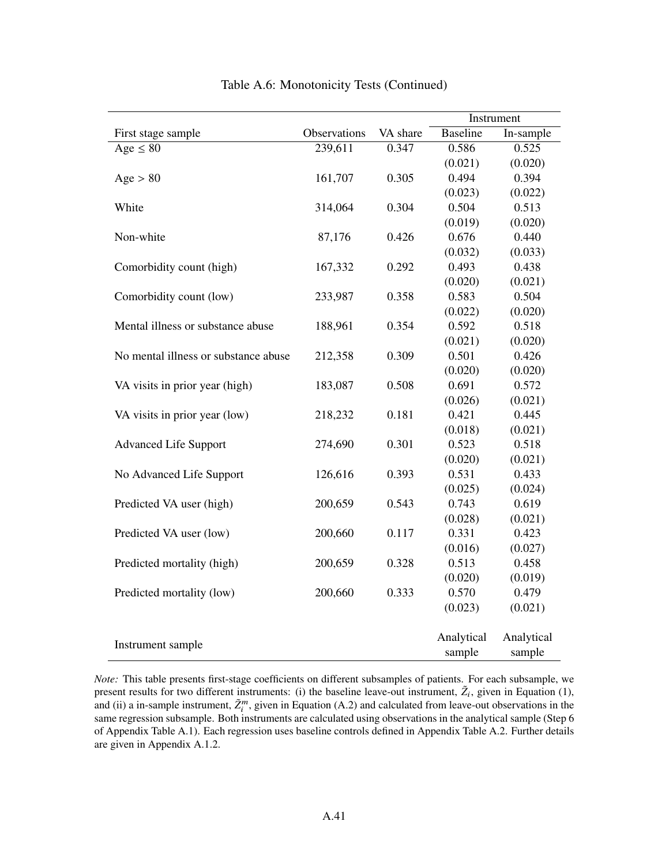|                                      |              |          |                 | Instrument |
|--------------------------------------|--------------|----------|-----------------|------------|
| First stage sample                   | Observations | VA share | <b>Baseline</b> | In-sample  |
| Age $\leq 80$                        | 239,611      | 0.347    | 0.586           | 0.525      |
|                                      |              |          | (0.021)         | (0.020)    |
| Age > 80                             | 161,707      | 0.305    | 0.494           | 0.394      |
|                                      |              |          | (0.023)         | (0.022)    |
| White                                | 314,064      | 0.304    | 0.504           | 0.513      |
|                                      |              |          | (0.019)         | (0.020)    |
| Non-white                            | 87,176       | 0.426    | 0.676           | 0.440      |
|                                      |              |          | (0.032)         | (0.033)    |
| Comorbidity count (high)             | 167,332      | 0.292    | 0.493           | 0.438      |
|                                      |              |          | (0.020)         | (0.021)    |
| Comorbidity count (low)              | 233,987      | 0.358    | 0.583           | 0.504      |
|                                      |              |          | (0.022)         | (0.020)    |
| Mental illness or substance abuse    | 188,961      | 0.354    | 0.592           | 0.518      |
|                                      |              |          | (0.021)         | (0.020)    |
| No mental illness or substance abuse | 212,358      | 0.309    | 0.501           | 0.426      |
|                                      |              |          | (0.020)         | (0.020)    |
| VA visits in prior year (high)       | 183,087      | 0.508    | 0.691           | 0.572      |
|                                      |              |          | (0.026)         | (0.021)    |
| VA visits in prior year (low)        | 218,232      | 0.181    | 0.421           | 0.445      |
|                                      |              |          | (0.018)         | (0.021)    |
| <b>Advanced Life Support</b>         | 274,690      | 0.301    | 0.523           | 0.518      |
|                                      |              |          | (0.020)         | (0.021)    |
| No Advanced Life Support             | 126,616      | 0.393    | 0.531           | 0.433      |
|                                      |              |          | (0.025)         | (0.024)    |
| Predicted VA user (high)             | 200,659      | 0.543    | 0.743           | 0.619      |
|                                      |              |          | (0.028)         | (0.021)    |
| Predicted VA user (low)              | 200,660      | 0.117    | 0.331           | 0.423      |
|                                      |              |          | (0.016)         | (0.027)    |
| Predicted mortality (high)           | 200,659      | 0.328    | 0.513           | 0.458      |
|                                      |              |          | (0.020)         | (0.019)    |
| Predicted mortality (low)            | 200,660      | 0.333    | 0.570           | 0.479      |
|                                      |              |          | (0.023)         | (0.021)    |
| Instrument sample                    |              |          | Analytical      | Analytical |
|                                      |              |          | sample          | sample     |

Table A.6: Monotonicity Tests (Continued)

*Note:* This table presents first-stage coefficients on different subsamples of patients. For each subsample, we present results for two different instruments: (i) the baseline leave-out instrument,  $\tilde{Z}_i$ , given in Equation (1), and (ii) a in-sample instrument,  $\tilde{Z}_i^m$ , given in Equation (A.2) and calculated from leave-out observations in the same regression subsample. Both instruments are calculated using observations in the analytical sample (Step 6 of Appendix Table A.1). Each regression uses baseline controls defined in Appendix Table A.2. Further details are given in Appendix A.1.2.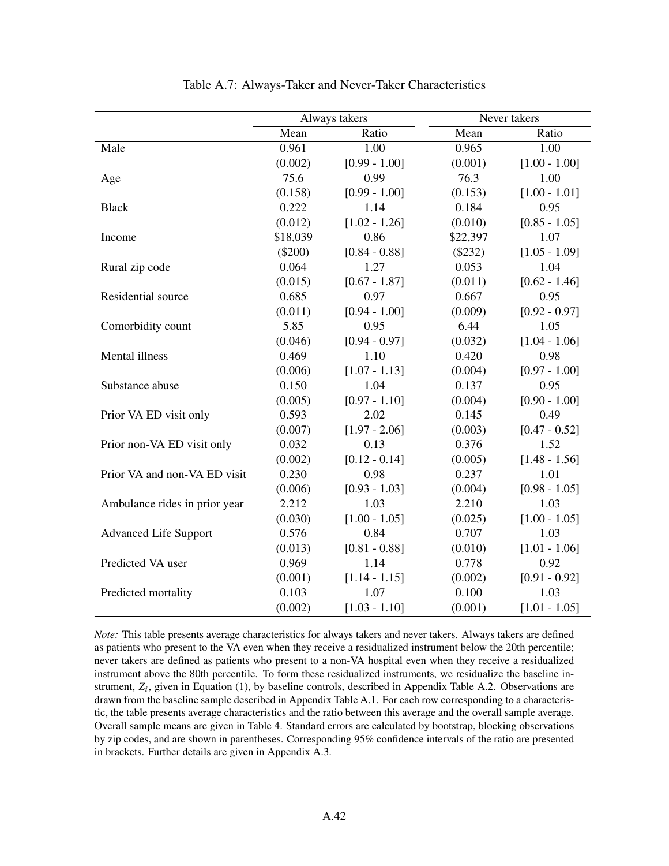|                               |           | Always takers   |          | Never takers    |
|-------------------------------|-----------|-----------------|----------|-----------------|
|                               | Mean      | Ratio           | Mean     | Ratio           |
| Male                          | 0.961     | 1.00            | 0.965    | 1.00            |
|                               | (0.002)   | $[0.99 - 1.00]$ | (0.001)  | $[1.00 - 1.00]$ |
| Age                           | 75.6      | 0.99            | 76.3     | 1.00            |
|                               | (0.158)   | $[0.99 - 1.00]$ | (0.153)  | $[1.00 - 1.01]$ |
| <b>Black</b>                  | 0.222     | 1.14            | 0.184    | 0.95            |
|                               | (0.012)   | $[1.02 - 1.26]$ | (0.010)  | $[0.85 - 1.05]$ |
| Income                        | \$18,039  | 0.86            | \$22,397 | 1.07            |
|                               | $(\$200)$ | $[0.84 - 0.88]$ | (\$232)  | $[1.05 - 1.09]$ |
| Rural zip code                | 0.064     | 1.27            | 0.053    | 1.04            |
|                               | (0.015)   | $[0.67 - 1.87]$ | (0.011)  | $[0.62 - 1.46]$ |
| Residential source            | 0.685     | 0.97            | 0.667    | 0.95            |
|                               | (0.011)   | $[0.94 - 1.00]$ | (0.009)  | $[0.92 - 0.97]$ |
| Comorbidity count             | 5.85      | 0.95            | 6.44     | 1.05            |
|                               | (0.046)   | $[0.94 - 0.97]$ | (0.032)  | $[1.04 - 1.06]$ |
| Mental illness                | 0.469     | 1.10            | 0.420    | 0.98            |
|                               | (0.006)   | $[1.07 - 1.13]$ | (0.004)  | $[0.97 - 1.00]$ |
| Substance abuse               | 0.150     | 1.04            | 0.137    | 0.95            |
|                               | (0.005)   | $[0.97 - 1.10]$ | (0.004)  | $[0.90 - 1.00]$ |
| Prior VA ED visit only        | 0.593     | 2.02            | 0.145    | 0.49            |
|                               | (0.007)   | $[1.97 - 2.06]$ | (0.003)  | $[0.47 - 0.52]$ |
| Prior non-VA ED visit only    | 0.032     | 0.13            | 0.376    | 1.52            |
|                               | (0.002)   | $[0.12 - 0.14]$ | (0.005)  | $[1.48 - 1.56]$ |
| Prior VA and non-VA ED visit  | 0.230     | 0.98            | 0.237    | 1.01            |
|                               | (0.006)   | $[0.93 - 1.03]$ | (0.004)  | $[0.98 - 1.05]$ |
| Ambulance rides in prior year | 2.212     | 1.03            | 2.210    | 1.03            |
|                               | (0.030)   | $[1.00 - 1.05]$ | (0.025)  | $[1.00 - 1.05]$ |
| <b>Advanced Life Support</b>  | 0.576     | 0.84            | 0.707    | 1.03            |
|                               | (0.013)   | $[0.81 - 0.88]$ | (0.010)  | $[1.01 - 1.06]$ |
| Predicted VA user             | 0.969     | 1.14            | 0.778    | 0.92            |
|                               | (0.001)   | $[1.14 - 1.15]$ | (0.002)  | $[0.91 - 0.92]$ |
| Predicted mortality           | 0.103     | 1.07            | 0.100    | 1.03            |
|                               | (0.002)   | $[1.03 - 1.10]$ | (0.001)  | $[1.01 - 1.05]$ |

| Table A.7: Always-Taker and Never-Taker Characteristics |  |
|---------------------------------------------------------|--|
|---------------------------------------------------------|--|

*Note:* This table presents average characteristics for always takers and never takers. Always takers are defined as patients who present to the VA even when they receive a residualized instrument below the 20th percentile; never takers are defined as patients who present to a non-VA hospital even when they receive a residualized instrument above the 80th percentile. To form these residualized instruments, we residualize the baseline instrument,  $Z_i$ , given in Equation (1), by baseline controls, described in Appendix Table A.2. Observations are drawn from the baseline sample described in Appendix Table A.1. For each row corresponding to a characteristic, the table presents average characteristics and the ratio between this average and the overall sample average. Overall sample means are given in Table 4. Standard errors are calculated by bootstrap, blocking observations by zip codes, and are shown in parentheses. Corresponding 95% confidence intervals of the ratio are presented in brackets. Further details are given in Appendix A.3.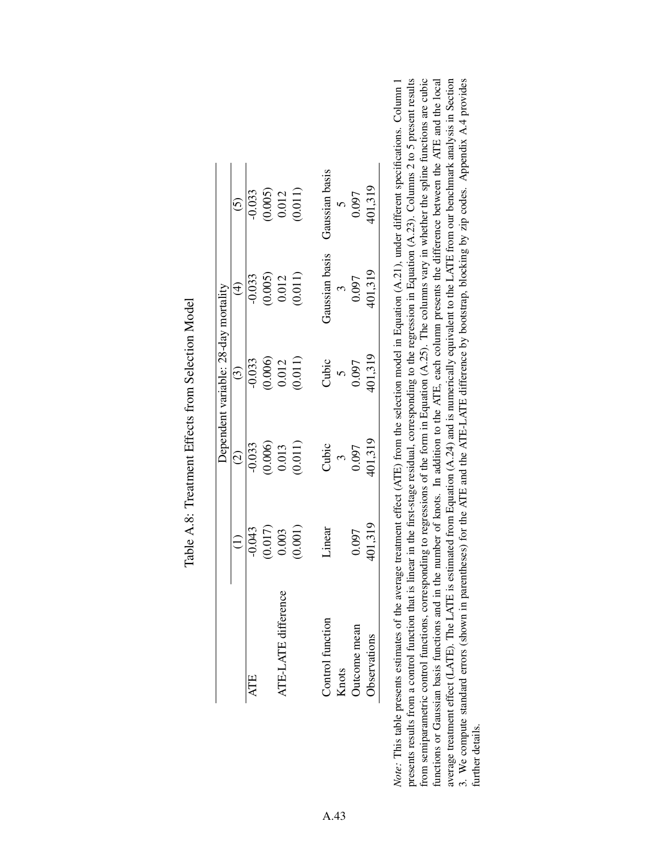|                         |                                               | Dependent                                     | t variable: 28-day mortality                                      |                                                                      |                                                                         |
|-------------------------|-----------------------------------------------|-----------------------------------------------|-------------------------------------------------------------------|----------------------------------------------------------------------|-------------------------------------------------------------------------|
|                         | $\widehat{\ominus}$                           | $\widehat{c}$                                 | $\bigodot$                                                        | $\bigoplus$                                                          | $\widehat{c}$                                                           |
| ATE                     |                                               |                                               |                                                                   |                                                                      |                                                                         |
|                         |                                               |                                               |                                                                   |                                                                      |                                                                         |
| .fference<br>ATE-LATE d |                                               |                                               |                                                                   |                                                                      |                                                                         |
|                         | $-0.043$<br>$(0.017)$<br>$0.003$<br>$(0.001)$ | $-0.033$<br>$(0.006)$<br>$0.013$<br>$(0.011)$ | $\begin{array}{c} 0.033 \\ (0.006) \\ 0.012 \\ 0.011 \end{array}$ | $\begin{array}{c} -0.033 \\ (0.005) \\ 0.012 \\ (0.011) \end{array}$ | $\frac{1}{0.033}$<br>$\frac{(0.005)}{0.012}$<br>$\frac{(0.011)}{0.011}$ |
| Control function        | Linear                                        |                                               |                                                                   | faussian basis                                                       | Taussian basis                                                          |
| Knots                   |                                               |                                               |                                                                   |                                                                      |                                                                         |
| Jutcome mean            | 0.097                                         | Cubic<br>$\frac{3}{0.097}$                    | Cubic<br>5<br>0.097                                               | $\frac{3}{0.097}$                                                    | $\begin{array}{c} 5 \\ 0.097 \end{array}$                               |
| Observations            | 101,319                                       | 101,319                                       | 401,319                                                           | 401,319                                                              | 101,319                                                                 |

Table A.8: Treatment Effects from Selection Model Table A.8: Treatment Effects from Selection Model

*Note:* This table presents estimates of the average treatment effect (ATE) from the selection model in Equation (A.21), under different specifications. Column 1 presents results from a control function that is linear in the first-stage residual, corresponding to the regression in Equation (A.23). Columns 2 to 5 present results from semiparametric control functions, corresponding to regressions of the form in Equation (A.25). The columns vary in whether the spline functions are cubic average treatment effect (LATE). The LATE is estimated from Equation (A.24) and is numerically equivalent to the LATE from our benchmark analysis in Section 3. We compute standard errors (shown in parentheses) for the ATE and the ATE-LATE difference by bootstrap, blocking by zip codes. Appendix A.4 provides Note: This table presents estimates of the average treatment effect (ATE) from the selection model in Equation (A.21), under different specifications. Column 1 functions or Gaussian basis functions and in the number of knots. In addition to the ATE, each column presents the difference between the ATE and the local presents results from a control function that is linear in the first-stage residual, corresponding to the regression in Equation (A.23). Columns 2 to 5 present results from semiparametric control functions, corresponding to regressions of the form in Equation (A.25). The columns vary in whether the spline functions are cubic functions or Gaussian basis functions and in the number of knots. In addition to the ATE, each column presents the difference between the ATE and the local average treatment effect (LATE). The LATE is estimated from Equation (A.24) and is numerically equivalent to the LATE from our benchmark analysis in Section 3. We compute standard errors (shown in parentheses) for the ATE and the ATE-LATE difference by bootstrap, blocking by zip codes. Appendix A.4 provides further details. further details.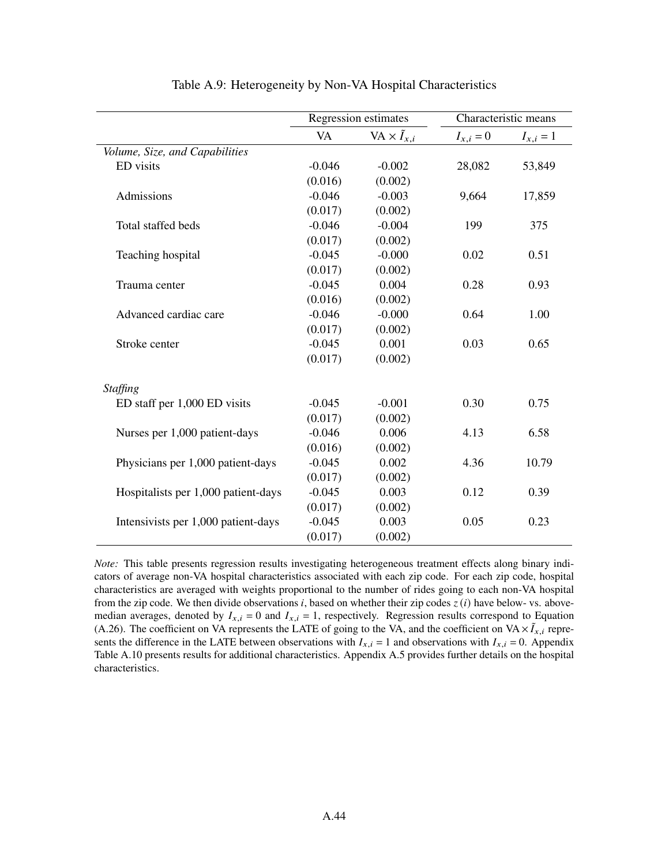|                                     |          | Regression estimates        |             | Characteristic means |
|-------------------------------------|----------|-----------------------------|-------------|----------------------|
|                                     | VA       | VA $\times \tilde{I}_{x,i}$ | $I_{x,i}=0$ | $I_{x,i} = 1$        |
| Volume, Size, and Capabilities      |          |                             |             |                      |
| ED visits                           | $-0.046$ | $-0.002$                    | 28,082      | 53,849               |
|                                     | (0.016)  | (0.002)                     |             |                      |
| Admissions                          | $-0.046$ | $-0.003$                    | 9,664       | 17,859               |
|                                     | (0.017)  | (0.002)                     |             |                      |
| Total staffed beds                  | $-0.046$ | $-0.004$                    | 199         | 375                  |
|                                     | (0.017)  | (0.002)                     |             |                      |
| Teaching hospital                   | $-0.045$ | $-0.000$                    | 0.02        | 0.51                 |
|                                     | (0.017)  | (0.002)                     |             |                      |
| Trauma center                       | $-0.045$ | 0.004                       | 0.28        | 0.93                 |
|                                     | (0.016)  | (0.002)                     |             |                      |
| Advanced cardiac care               | $-0.046$ | $-0.000$                    | 0.64        | 1.00                 |
|                                     | (0.017)  | (0.002)                     |             |                      |
| Stroke center                       | $-0.045$ | 0.001                       | 0.03        | 0.65                 |
|                                     | (0.017)  | (0.002)                     |             |                      |
| <b>Staffing</b>                     |          |                             |             |                      |
| ED staff per 1,000 ED visits        | $-0.045$ | $-0.001$                    | 0.30        | 0.75                 |
|                                     | (0.017)  | (0.002)                     |             |                      |
| Nurses per 1,000 patient-days       | $-0.046$ | 0.006                       | 4.13        | 6.58                 |
|                                     | (0.016)  | (0.002)                     |             |                      |
| Physicians per 1,000 patient-days   | $-0.045$ | 0.002                       | 4.36        | 10.79                |
|                                     | (0.017)  | (0.002)                     |             |                      |
| Hospitalists per 1,000 patient-days | $-0.045$ | 0.003                       | 0.12        | 0.39                 |
|                                     | (0.017)  | (0.002)                     |             |                      |
| Intensivists per 1,000 patient-days | $-0.045$ | 0.003                       | 0.05        | 0.23                 |
|                                     | (0.017)  | (0.002)                     |             |                      |

Table A.9: Heterogeneity by Non-VA Hospital Characteristics

*Note:* This table presents regression results investigating heterogeneous treatment effects along binary indicators of average non-VA hospital characteristics associated with each zip code. For each zip code, hospital characteristics are averaged with weights proportional to the number of rides going to each non-VA hospital from the zip code. We then divide observations *i*, based on whether their zip codes  $z(i)$  have below- vs. abovemedian averages, denoted by  $I_{x,i} = 0$  and  $I_{x,i} = 1$ , respectively. Regression results correspond to Equation (A.26). The coefficient on VA represents the LATE of going to the VA, and the coefficient on  $VA \times I_{x,i}$  represents the difference in the LATE between observations with  $I_{x,i} = 1$  and observations with  $I_{x,i} = 0$ . Appendix Table A.10 presents results for additional characteristics. Appendix A.5 provides further details on the hospital characteristics.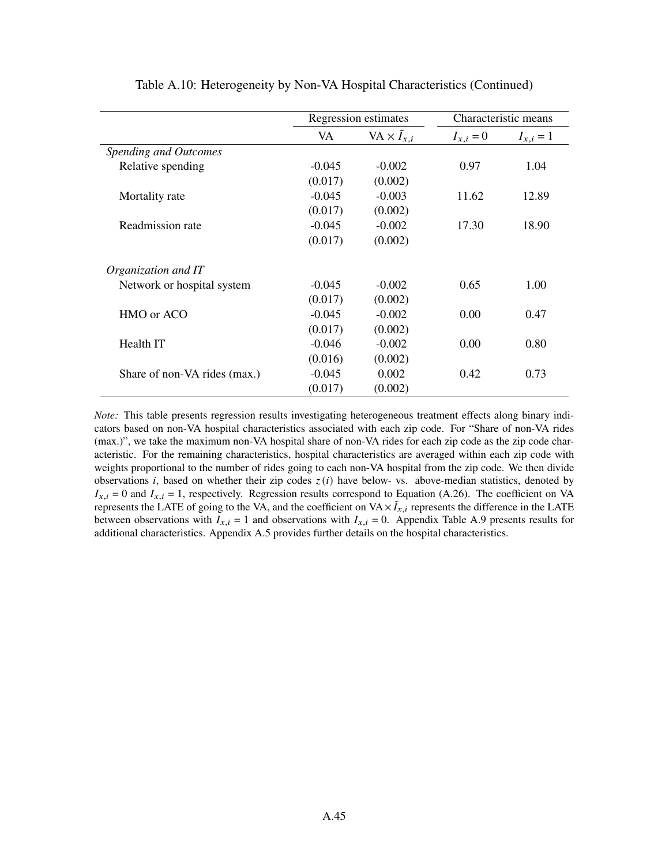|                              |          | Regression estimates        | Characteristic means |               |
|------------------------------|----------|-----------------------------|----------------------|---------------|
|                              | VA       | VA $\times \tilde{I}_{x,i}$ | $I_{x,i} = 0$        | $I_{x,i} = 1$ |
| Spending and Outcomes        |          |                             |                      |               |
| Relative spending            | $-0.045$ | $-0.002$                    | 0.97                 | 1.04          |
|                              | (0.017)  | (0.002)                     |                      |               |
| Mortality rate               | $-0.045$ | $-0.003$                    | 11.62                | 12.89         |
|                              | (0.017)  | (0.002)                     |                      |               |
| Readmission rate             | $-0.045$ | $-0.002$                    | 17.30                | 18.90         |
|                              | (0.017)  | (0.002)                     |                      |               |
| Organization and IT          |          |                             |                      |               |
| Network or hospital system   | $-0.045$ | $-0.002$                    | 0.65                 | 1.00          |
|                              | (0.017)  | (0.002)                     |                      |               |
| HMO or ACO                   | $-0.045$ | $-0.002$                    | 0.00                 | 0.47          |
|                              | (0.017)  | (0.002)                     |                      |               |
| Health IT                    | $-0.046$ | $-0.002$                    | 0.00                 | 0.80          |
|                              | (0.016)  | (0.002)                     |                      |               |
| Share of non-VA rides (max.) | $-0.045$ | 0.002                       | 0.42                 | 0.73          |
|                              | (0.017)  | (0.002)                     |                      |               |

Table A.10: Heterogeneity by Non-VA Hospital Characteristics (Continued)

*Note:* This table presents regression results investigating heterogeneous treatment effects along binary indicators based on non-VA hospital characteristics associated with each zip code. For "Share of non-VA rides (max.)", we take the maximum non-VA hospital share of non-VA rides for each zip code as the zip code characteristic. For the remaining characteristics, hospital characteristics are averaged within each zip code with weights proportional to the number of rides going to each non-VA hospital from the zip code. We then divide observations *i*, based on whether their zip codes  $z(i)$  have below- vs. above-median statistics, denoted by  $I_{x,i} = 0$  and  $I_{x,i} = 1$ , respectively. Regression results correspond to Equation (A.26). The coefficient on VA represents the LATE of going to the VA, and the coefficient on  $VA \times I_{x,i}$  represents the difference in the LATE between observations with  $I_{x,i} = 1$  and observations with  $I_{x,i} = 0$ . Appendix Table A.9 presents results for additional characteristics. Appendix A.5 provides further details on the hospital characteristics.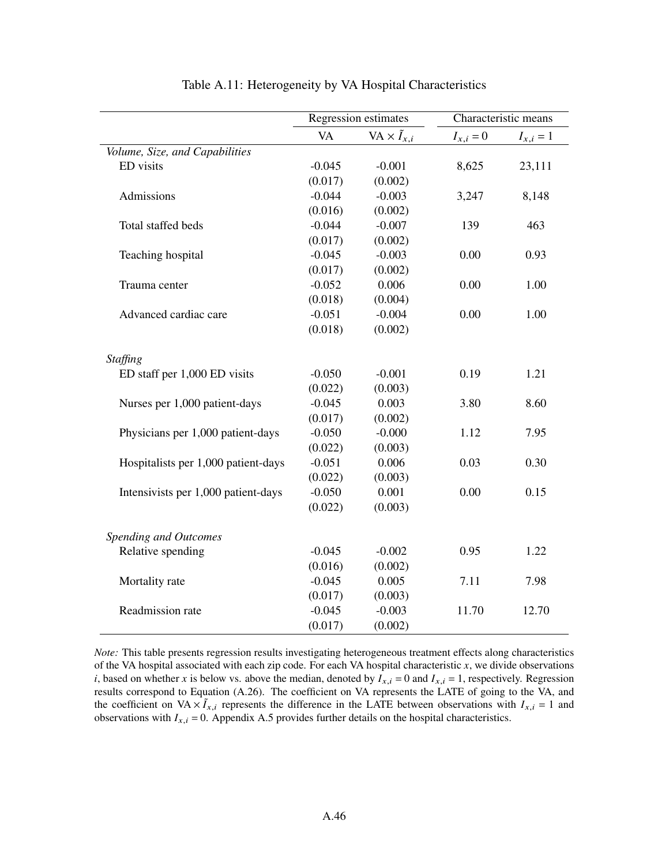|                                     |           | Regression estimates        | Characteristic means |               |
|-------------------------------------|-----------|-----------------------------|----------------------|---------------|
|                                     | <b>VA</b> | VA $\times \tilde{I}_{x,i}$ | $I_{x,i}=0$          | $I_{x,i} = 1$ |
| Volume, Size, and Capabilities      |           |                             |                      |               |
| ED visits                           | $-0.045$  | $-0.001$                    | 8,625                | 23,111        |
|                                     | (0.017)   | (0.002)                     |                      |               |
| Admissions                          | $-0.044$  | $-0.003$                    | 3,247                | 8,148         |
|                                     | (0.016)   | (0.002)                     |                      |               |
| Total staffed beds                  | $-0.044$  | $-0.007$                    | 139                  | 463           |
|                                     | (0.017)   | (0.002)                     |                      |               |
| Teaching hospital                   | $-0.045$  | $-0.003$                    | 0.00                 | 0.93          |
|                                     | (0.017)   | (0.002)                     |                      |               |
| Trauma center                       | $-0.052$  | 0.006                       | 0.00                 | 1.00          |
|                                     | (0.018)   | (0.004)                     |                      |               |
| Advanced cardiac care               | $-0.051$  | $-0.004$                    | 0.00                 | 1.00          |
|                                     | (0.018)   | (0.002)                     |                      |               |
| <b>Staffing</b>                     |           |                             |                      |               |
| ED staff per 1,000 ED visits        | $-0.050$  | $-0.001$                    | 0.19                 | 1.21          |
|                                     | (0.022)   | (0.003)                     |                      |               |
| Nurses per 1,000 patient-days       | $-0.045$  | 0.003                       | 3.80                 | 8.60          |
|                                     | (0.017)   | (0.002)                     |                      |               |
| Physicians per 1,000 patient-days   | $-0.050$  | $-0.000$                    | 1.12                 | 7.95          |
|                                     | (0.022)   | (0.003)                     |                      |               |
| Hospitalists per 1,000 patient-days | $-0.051$  | 0.006                       | 0.03                 | 0.30          |
|                                     | (0.022)   | (0.003)                     |                      |               |
| Intensivists per 1,000 patient-days | $-0.050$  | 0.001                       | 0.00                 | 0.15          |
|                                     | (0.022)   | (0.003)                     |                      |               |
| <b>Spending and Outcomes</b>        |           |                             |                      |               |
| Relative spending                   | $-0.045$  | $-0.002$                    | 0.95                 | 1.22          |
|                                     | (0.016)   | (0.002)                     |                      |               |
| Mortality rate                      | $-0.045$  | 0.005                       | 7.11                 | 7.98          |
|                                     | (0.017)   | (0.003)                     |                      |               |
| Readmission rate                    | $-0.045$  | $-0.003$                    | 11.70                | 12.70         |
|                                     | (0.017)   | (0.002)                     |                      |               |

| Table A.11: Heterogeneity by VA Hospital Characteristics |  |  |
|----------------------------------------------------------|--|--|
|----------------------------------------------------------|--|--|

*Note:* This table presents regression results investigating heterogeneous treatment effects along characteristics of the VA hospital associated with each zip code. For each VA hospital characteristic  $x$ , we divide observations *i*, based on whether *x* is below vs. above the median, denoted by  $I_{x,i} = 0$  and  $I_{x,i} = 1$ , respectively. Regression results correspond to Equation (A.26). The coefficient on VA represents the LATE of going to the VA, and the coefficient on VA  $\times \tilde{I}_{x,i}$  represents the difference in the LATE between observations with  $I_{x,i} = 1$  and observations with  $I_{x,i} = 0$ . Appendix A.5 provides further details on the hospital characteristics.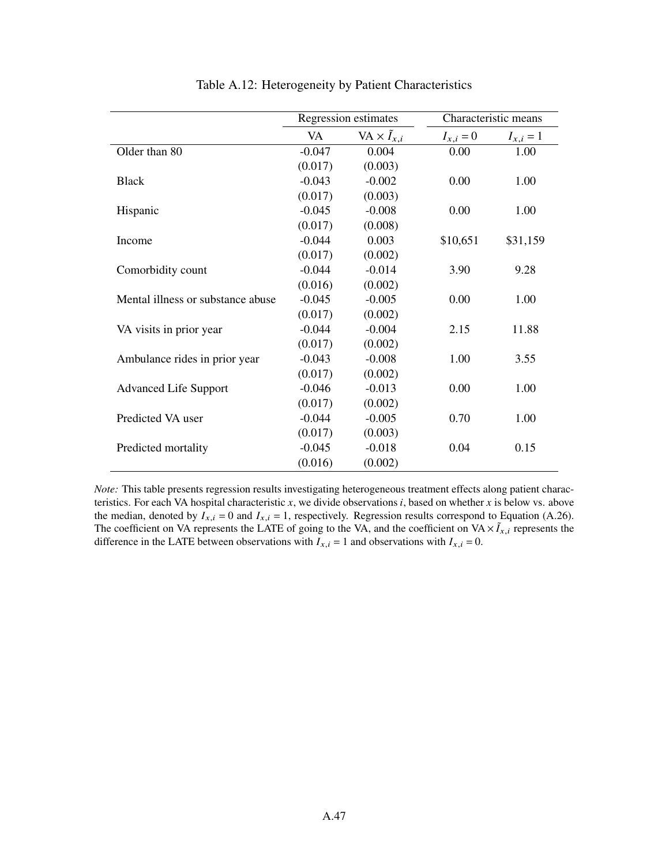|                                   |          | Regression estimates        | Characteristic means |               |
|-----------------------------------|----------|-----------------------------|----------------------|---------------|
|                                   | VA       | VA $\times \tilde{I}_{x,i}$ | $I_{x,i} = 0$        | $I_{x,i} = 1$ |
| Older than 80                     | $-0.047$ | 0.004                       | 0.00                 | 1.00          |
|                                   | (0.017)  | (0.003)                     |                      |               |
| <b>Black</b>                      | $-0.043$ | $-0.002$                    | 0.00                 | 1.00          |
|                                   | (0.017)  | (0.003)                     |                      |               |
| Hispanic                          | $-0.045$ | $-0.008$                    | 0.00                 | 1.00          |
|                                   | (0.017)  | (0.008)                     |                      |               |
| Income                            | $-0.044$ | 0.003                       | \$10,651             | \$31,159      |
|                                   | (0.017)  | (0.002)                     |                      |               |
| Comorbidity count                 | $-0.044$ | $-0.014$                    | 3.90                 | 9.28          |
|                                   | (0.016)  | (0.002)                     |                      |               |
| Mental illness or substance abuse | $-0.045$ | $-0.005$                    | 0.00                 | 1.00          |
|                                   | (0.017)  | (0.002)                     |                      |               |
| VA visits in prior year           | $-0.044$ | $-0.004$                    | 2.15                 | 11.88         |
|                                   | (0.017)  | (0.002)                     |                      |               |
| Ambulance rides in prior year     | $-0.043$ | $-0.008$                    | 1.00                 | 3.55          |
|                                   | (0.017)  | (0.002)                     |                      |               |
| <b>Advanced Life Support</b>      | $-0.046$ | $-0.013$                    | 0.00                 | 1.00          |
|                                   | (0.017)  | (0.002)                     |                      |               |
| Predicted VA user                 | $-0.044$ | $-0.005$                    | 0.70                 | 1.00          |
|                                   | (0.017)  | (0.003)                     |                      |               |
| Predicted mortality               | $-0.045$ | $-0.018$                    | 0.04                 | 0.15          |
|                                   | (0.016)  | (0.002)                     |                      |               |

Table A.12: Heterogeneity by Patient Characteristics

*Note:* This table presents regression results investigating heterogeneous treatment effects along patient characteristics. For each VA hospital characteristic  $x$ , we divide observations  $i$ , based on whether  $x$  is below vs. above the median, denoted by  $I_{x,i} = 0$  and  $I_{x,i} = 1$ , respectively. Regression results correspond to Equation (A.26). The coefficient on VA represents the LATE of going to the VA, and the coefficient on  $VA \times I_{x,i}$  represents the difference in the LATE between observations with  $I_{x,i} = 1$  and observations with  $I_{x,i} = 0$ .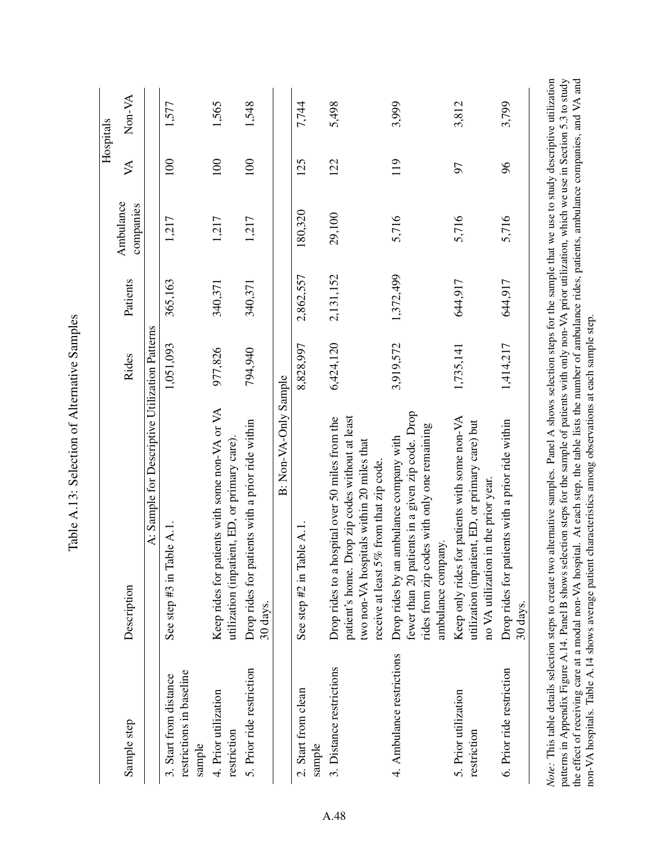|                                                              |                                                                                                                                                                                                                                                                                                                                                                                                                                                                                                                                                                                                                               |           |           |                        |                           | Hospitals |
|--------------------------------------------------------------|-------------------------------------------------------------------------------------------------------------------------------------------------------------------------------------------------------------------------------------------------------------------------------------------------------------------------------------------------------------------------------------------------------------------------------------------------------------------------------------------------------------------------------------------------------------------------------------------------------------------------------|-----------|-----------|------------------------|---------------------------|-----------|
| Sample step                                                  | Description                                                                                                                                                                                                                                                                                                                                                                                                                                                                                                                                                                                                                   | Rides     | Patients  | Ambulance<br>companies | $\cancel{\triangleright}$ | Non-VA    |
|                                                              | A: Sample for Descriptive Utilization Patterns                                                                                                                                                                                                                                                                                                                                                                                                                                                                                                                                                                                |           |           |                        |                           |           |
| restrictions in baseline<br>3. Start from distance<br>sample | lable A.1<br>See step $#3$ in $1$                                                                                                                                                                                                                                                                                                                                                                                                                                                                                                                                                                                             | 1,051,093 | 365,163   | 1,217                  | 100                       | 1,577     |
| 4. Prior utilization<br>restriction                          | Keep rides for patients with some non-VA or VA<br>utilization (inpatient, ED, or primary care)                                                                                                                                                                                                                                                                                                                                                                                                                                                                                                                                | 977,826   | 340,371   | 1,217                  | 100                       | 1,565     |
| 5. Prior ride restriction                                    | Drop rides for patients with a prior ride within<br>30 days.                                                                                                                                                                                                                                                                                                                                                                                                                                                                                                                                                                  | 794,940   | 340,371   | 1,217                  | 100                       | 1,548     |
|                                                              | B: Non-VA-Only Sample                                                                                                                                                                                                                                                                                                                                                                                                                                                                                                                                                                                                         |           |           |                        |                           |           |
| 2. Start from clean<br>sample                                | lable A.1<br>See step #2 in 1                                                                                                                                                                                                                                                                                                                                                                                                                                                                                                                                                                                                 | 8,828,997 | 2,862,557 | 180,320                | 125                       | 7,744     |
| 3. Distance restrictions                                     | patient's home. Drop zip codes without at least<br>hospital over 50 miles from the<br>two non-VA hospitals within 20 miles that<br>5% from that zip code.<br>receive at least<br>Drop rides to a                                                                                                                                                                                                                                                                                                                                                                                                                              | 6,424,120 | 2,131,152 | 29,100                 | 122                       | 5,498     |
| 4. Ambulance restrictions                                    | fewer than 20 patients in a given zip code. Drop<br>rides from zip codes with only one remaining<br>Drop rides by an ambulance company with<br>ambulance company.                                                                                                                                                                                                                                                                                                                                                                                                                                                             | 3,919,572 | 1,372,499 | 5,716                  | 119                       | 3,999     |
| 5. Prior utilization<br>restriction                          | Keep only rides for patients with some non-VA<br>utilization (inpatient, ED, or primary care) but<br>no VA utilization in the prior year                                                                                                                                                                                                                                                                                                                                                                                                                                                                                      | 1,735,141 | 644,917   | 5,716                  | 57                        | 3,812     |
| 6. Prior ride restriction                                    | Drop rides for patients with a prior ride within<br>30 days.                                                                                                                                                                                                                                                                                                                                                                                                                                                                                                                                                                  | 1,414,217 | 644,917   | 5,716                  | $\%$                      | 3,799     |
|                                                              | Note: This table details selection steps to create two alternative samples. Panel A shows selection steps for the sample that we use to study descriptive utilization<br>patterns in Appendix Figure A.14. Panel B shows selection steps for the sample of patients with only non-VA prior utilization, which we use in Section 5.3 to study<br>the effect of receiving care at a modal non-VA hospital. At each step, the table lists the number of ambulance rides, patients, ambulance companies, and VA and<br>non-VA hospitals. Table A.14 shows average patient characteristics among observations at each sample step. |           |           |                        |                           |           |

Table A.13: Selection of Alternative Samples Table A.13: Selection of Alternative Samples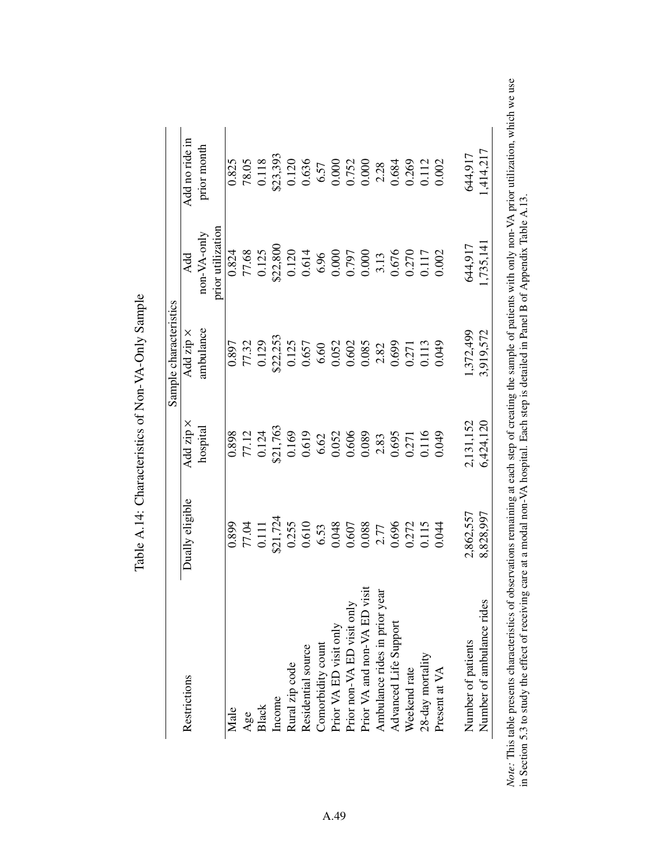|                               |                                                       |                                                       | Sample characteristics                                |                                                                                          |                                                                                          |
|-------------------------------|-------------------------------------------------------|-------------------------------------------------------|-------------------------------------------------------|------------------------------------------------------------------------------------------|------------------------------------------------------------------------------------------|
| Restrictions                  | Dually eligible                                       | Add zip ×                                             | Add zip ×                                             | Add                                                                                      | Add no ride in                                                                           |
|                               |                                                       | hospital                                              | ambulance                                             | $non-VA-only$                                                                            | prior month                                                                              |
|                               |                                                       |                                                       |                                                       | prior utilization                                                                        |                                                                                          |
| Male                          | 0.899                                                 | 0.898                                                 | 0.897                                                 | 0.824                                                                                    | 0.825                                                                                    |
| Age                           | 77.04                                                 | 77.12                                                 | 77.32                                                 | 77.68                                                                                    | 78.05                                                                                    |
| Black                         | 0.111                                                 | 0.124                                                 | 0.129                                                 |                                                                                          | 0.118                                                                                    |
| Income                        |                                                       | \$21,763                                              | \$22,253                                              | $0.125$<br>\$22,800                                                                      |                                                                                          |
| Rural zip code                | \$21,724<br>0.255                                     | 0.169                                                 | 0.125                                                 |                                                                                          | \$23,393<br>0.120                                                                        |
| Residential source            | 0.610                                                 | 0.619                                                 | 0.657                                                 |                                                                                          |                                                                                          |
| Comorbidity count             |                                                       |                                                       |                                                       |                                                                                          |                                                                                          |
| Prior VA ED visit only        | $\begin{array}{c} 6.53 \\ 0.048 \\ 0.607 \end{array}$ | $\begin{array}{c} 6.62 \\ 0.052 \\ 0.606 \end{array}$ | $\begin{array}{c} 6.60 \\ 0.052 \\ 0.602 \end{array}$ |                                                                                          |                                                                                          |
| Prior non-VA ED visit only    |                                                       |                                                       |                                                       |                                                                                          |                                                                                          |
| Prior VA and non-VA ED visit  | 0.088                                                 | 0.089                                                 | 0.085                                                 | $\begin{array}{c} 0.120 \\ 0.614 \\ 6.96 \\ 0.000 \\ 0.797 \\ 0.000 \\ 0.13 \end{array}$ | $\begin{array}{c} 0.636 \\ 6.57 \\ 0.000 \\ 0.752 \\ 0.000 \\ 0.000 \\ 2.28 \end{array}$ |
| Ambulance rides in prior year | 2.77                                                  | 2.83                                                  | 2.82                                                  |                                                                                          |                                                                                          |
| Advanced Life Support         | 0.696                                                 | 0.695                                                 | 0.699                                                 | 0.676                                                                                    | 0.684                                                                                    |
| Weekend rate                  | 0.272                                                 | 1.271                                                 | 0.271                                                 |                                                                                          |                                                                                          |
| 28-day mortality              | 0.115                                                 | 0.116                                                 | 0.113                                                 | 0.270<br>0.117                                                                           | 0.269<br>0.112                                                                           |
| Present at VA                 | 0.044                                                 | 0.049                                                 | 0.049                                                 | 0.002                                                                                    | 0.002                                                                                    |
| Number of patients            | 2,862,557                                             | 2,131,152                                             | .372,499                                              | 644,917                                                                                  | 644,917                                                                                  |
| Number of ambulance rides     | 8,828,997                                             | 6,424,120                                             | 3,919,572                                             | ,735,141                                                                                 | 1,414,217                                                                                |

Table A.14: Characteristics of Non-VA-Only Sample Table A.14: Characteristics of Non-VA-Only Sample